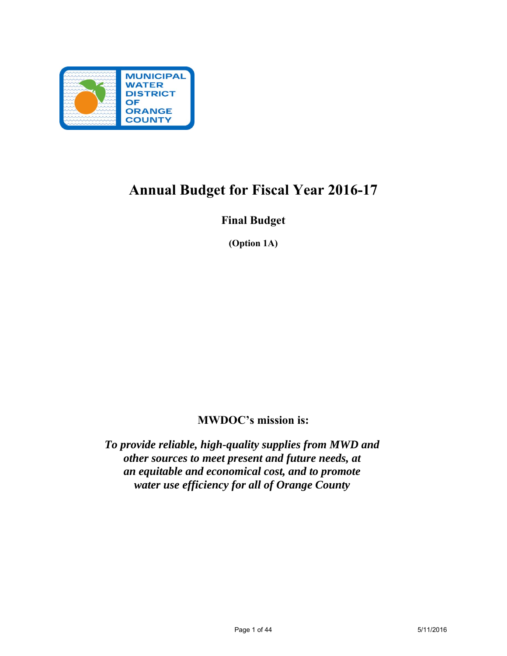

## **Annual Budget for Fiscal Year 2016-17**

## **Final Budget**

**(Option 1A)** 

## **MWDOC's mission is:**

*To provide reliable, high-quality supplies from MWD and other sources to meet present and future needs, at an equitable and economical cost, and to promote water use efficiency for all of Orange County*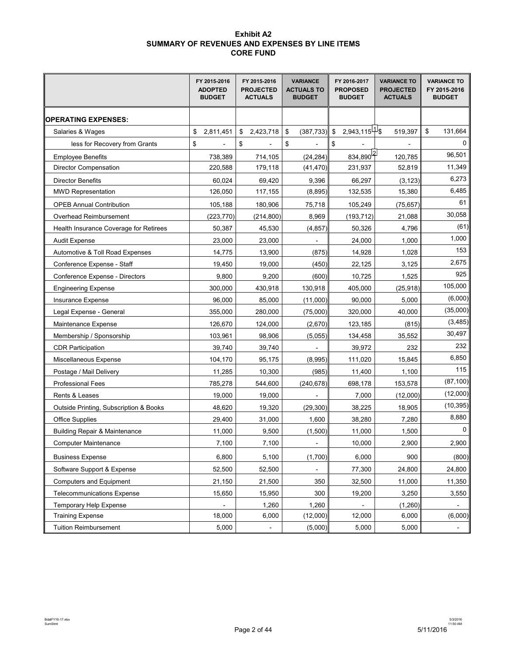#### **Exhibit A2 SUMMARY OF REVENUES AND EXPENSES BY LINE ITEMS CORE FUND**

|                                          | FY 2015-2016<br><b>ADOPTED</b><br><b>BUDGET</b> | FY 2015-2016<br><b>PROJECTED</b><br><b>ACTUALS</b> | <b>VARIANCE</b><br><b>ACTUALS TO</b><br><b>BUDGET</b> | FY 2016-2017<br><b>PROPOSED</b><br><b>BUDGET</b> | <b>VARIANCE TO</b><br><b>PROJECTED</b><br><b>ACTUALS</b> | <b>VARIANCE TO</b><br>FY 2015-2016<br><b>BUDGET</b> |  |
|------------------------------------------|-------------------------------------------------|----------------------------------------------------|-------------------------------------------------------|--------------------------------------------------|----------------------------------------------------------|-----------------------------------------------------|--|
| <b>OPERATING EXPENSES:</b>               |                                                 |                                                    |                                                       |                                                  |                                                          |                                                     |  |
| Salaries & Wages                         | \$<br>2,811,451                                 | \$<br>2,423,718                                    | \$<br>(387, 733)                                      | $2,943,115^{41}$ \$<br>\$                        | 519,397                                                  | \$<br>131,664                                       |  |
| less for Recovery from Grants            | \$                                              | \$                                                 | \$                                                    | \$                                               |                                                          | 0                                                   |  |
| <b>Employee Benefits</b>                 | 738,389                                         | 714,105                                            | (24, 284)                                             | $834,890^{2}$                                    | 120,785                                                  | 96,501                                              |  |
| <b>Director Compensation</b>             | 220,588                                         | 179,118                                            | (41, 470)                                             | 231,937                                          | 52,819                                                   | 11,349                                              |  |
| <b>Director Benefits</b>                 | 60,024                                          | 69,420                                             | 9,396                                                 | 66,297                                           | (3, 123)                                                 | 6,273                                               |  |
| <b>MWD Representation</b>                | 126,050                                         | 117,155                                            | (8,895)                                               | 132,535                                          | 15,380                                                   | 6,485                                               |  |
| <b>OPEB Annual Contribution</b>          | 105,188                                         | 180,906                                            | 75,718                                                | 105,249                                          | (75, 657)                                                | 61                                                  |  |
| Overhead Reimbursement                   | (223, 770)                                      | (214,800)                                          | 8,969                                                 | (193,712)                                        | 21,088                                                   | 30,058                                              |  |
| Health Insurance Coverage for Retirees   | 50,387                                          | 45,530                                             | (4, 857)                                              | 50,326                                           | 4,796                                                    | (61)                                                |  |
| <b>Audit Expense</b>                     | 23,000                                          | 23,000                                             |                                                       | 24,000                                           | 1,000                                                    | 1,000                                               |  |
| Automotive & Toll Road Expenses          | 14,775                                          | 13,900                                             | (875)                                                 | 14,928                                           | 1,028                                                    | 153                                                 |  |
| Conference Expense - Staff               | 19,450                                          | 19,000                                             | (450)                                                 | 22,125                                           | 3,125                                                    | 2,675                                               |  |
| Conference Expense - Directors           | 9,800                                           | 9,200                                              | (600)                                                 | 10,725                                           | 1,525                                                    | 925                                                 |  |
| <b>Engineering Expense</b>               | 300,000                                         | 430,918                                            | 130,918                                               | 405,000                                          | (25, 918)                                                | 105,000                                             |  |
| Insurance Expense                        | 96,000                                          | 85,000                                             | (11,000)                                              | 90,000                                           | 5,000                                                    | (6,000)                                             |  |
| Legal Expense - General                  | 355,000                                         | 280,000                                            | (75,000)                                              | 320,000                                          | 40,000                                                   | (35,000)                                            |  |
| Maintenance Expense                      | 126,670                                         | 124,000                                            | (2,670)                                               | 123,185                                          | (815)                                                    | (3,485)                                             |  |
| Membership / Sponsorship                 | 103,961                                         | 98,906                                             | (5,055)                                               | 134,458                                          | 35,552                                                   | 30,497                                              |  |
| <b>CDR Participation</b>                 | 39,740                                          | 39,740                                             |                                                       | 39,972                                           | 232                                                      | 232                                                 |  |
| Miscellaneous Expense                    | 104,170                                         | 95,175                                             | (8,995)                                               | 111,020                                          | 15,845                                                   | 6,850                                               |  |
| Postage / Mail Delivery                  | 11,285                                          | 10,300                                             | (985)                                                 | 11,400                                           | 1,100                                                    | 115                                                 |  |
| <b>Professional Fees</b>                 | 785,278                                         | 544,600                                            | (240, 678)                                            | 698,178                                          | 153,578                                                  | (87, 100)                                           |  |
| Rents & Leases                           | 19,000                                          | 19,000                                             |                                                       | 7,000                                            | (12,000)                                                 | (12,000)                                            |  |
| Outside Printing, Subscription & Books   | 48,620                                          | 19,320                                             | (29, 300)                                             | 38,225                                           | 18,905                                                   | (10, 395)                                           |  |
| <b>Office Supplies</b>                   | 29.400                                          | 31,000                                             | 1,600                                                 | 38,280                                           | 7,280                                                    | 8,880                                               |  |
| <b>Building Repair &amp; Maintenance</b> | 11,000                                          | 9,500                                              | (1,500)                                               | 11,000                                           | 1,500                                                    | 0                                                   |  |
| <b>Computer Maintenance</b>              | 7,100                                           | 7,100                                              |                                                       | 10,000                                           | 2,900                                                    | 2,900                                               |  |
| <b>Business Expense</b>                  | 6,800                                           | 5,100                                              | (1,700)                                               | 6,000                                            | 900                                                      | (800)                                               |  |
| Software Support & Expense               | 52,500                                          | 52,500                                             |                                                       | 77,300                                           | 24,800                                                   | 24,800                                              |  |
| <b>Computers and Equipment</b>           | 21,150                                          | 21,500                                             | 350                                                   | 32,500                                           | 11,000                                                   | 11,350                                              |  |
| <b>Telecommunications Expense</b>        | 15,650                                          | 15,950                                             | 300                                                   | 19,200                                           | 3,250                                                    | 3,550                                               |  |
| <b>Temporary Help Expense</b>            |                                                 | 1,260                                              | 1,260                                                 |                                                  | (1,260)                                                  | -                                                   |  |
| <b>Training Expense</b>                  | 18,000                                          | 6,000                                              | (12,000)                                              | 12,000                                           | 6,000                                                    | (6,000)                                             |  |
| <b>Tuition Reimbursement</b>             | 5,000                                           |                                                    | (5,000)                                               | 5,000                                            | 5,000                                                    | $\overline{\phantom{0}}$                            |  |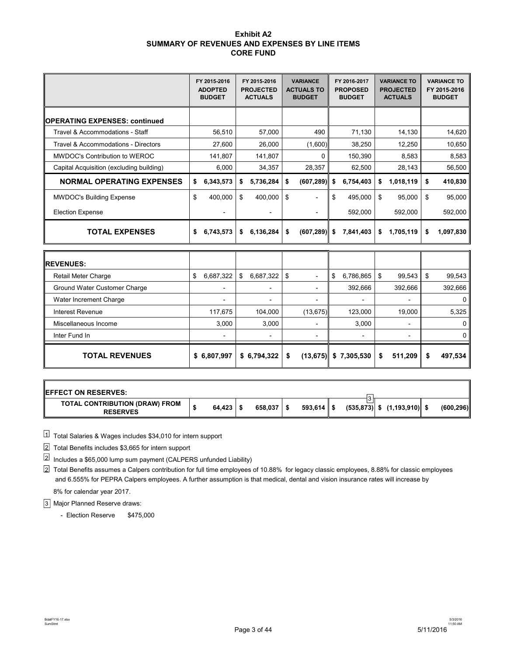#### **Exhibit A2 SUMMARY OF REVENUES AND EXPENSES BY LINE ITEMS CORE FUND**

|                                          |    | FY 2015-2016<br><b>ADOPTED</b><br><b>BUDGET</b> |    | FY 2015-2016<br><b>PROJECTED</b><br><b>ACTUALS</b> |    | <b>VARIANCE</b><br><b>ACTUALS TO</b><br><b>BUDGET</b> | FY 2016-2017<br><b>PROPOSED</b><br><b>BUDGET</b> | <b>VARIANCE TO</b><br><b>PROJECTED</b><br><b>ACTUALS</b> | <b>VARIANCE TO</b><br>FY 2015-2016<br><b>BUDGET</b> |
|------------------------------------------|----|-------------------------------------------------|----|----------------------------------------------------|----|-------------------------------------------------------|--------------------------------------------------|----------------------------------------------------------|-----------------------------------------------------|
| <b>IOPERATING EXPENSES: continued</b>    |    |                                                 |    |                                                    |    |                                                       |                                                  |                                                          |                                                     |
| Travel & Accommodations - Staff          |    | 56,510                                          |    | 57,000                                             |    | 490                                                   | 71,130                                           | 14,130                                                   | 14,620                                              |
| Travel & Accommodations - Directors      |    | 27,600                                          |    | 26,000                                             |    | (1,600)                                               | 38,250                                           | 12,250                                                   | 10,650                                              |
| MWDOC's Contribution to WEROC            |    | 141,807                                         |    | 141,807                                            |    | 0                                                     | 150,390                                          | 8,583                                                    | 8,583                                               |
| Capital Acquisition (excluding building) |    | 6,000                                           |    | 34,357                                             |    | 28,357                                                | 62,500                                           | 28,143                                                   | 56,500                                              |
| <b>NORMAL OPERATING EXPENSES</b>         | \$ | 6,343,573                                       | S  | 5,736,284                                          | S  | (607, 289)                                            | \$<br>6,754,403                                  | \$<br>1,018,119                                          | \$<br>410,830                                       |
| <b>MWDOC's Building Expense</b>          | \$ | 400.000                                         | \$ | 400.000                                            | \$ |                                                       | \$<br>495,000                                    | \$<br>95,000                                             | \$<br>95.000                                        |
| <b>Election Expense</b>                  |    |                                                 |    |                                                    |    |                                                       | 592,000                                          | 592,000                                                  | 592,000                                             |
| <b>TOTAL EXPENSES</b>                    | S  | 6,743,573                                       | \$ | 6,136,284                                          | \$ | (607, 289)                                            | \$<br>7,841,403                                  | \$<br>1,705,119                                          | \$<br>1,097,830                                     |

| <b>REVENUES:</b>             |                 |                          |   |                          |                          |   |                          |   |                          |               |
|------------------------------|-----------------|--------------------------|---|--------------------------|--------------------------|---|--------------------------|---|--------------------------|---------------|
| Retail Meter Charge          | 6,687,322<br>\$ |                          | S | $6,687,322$ \ \ \$       | $\overline{\phantom{0}}$ | S | 6,786,865                | S | 99,543                   | \$<br>99,543  |
| Ground Water Customer Charge |                 |                          |   | $\blacksquare$           |                          |   | 392,666                  |   | 392,666                  | 392,666       |
| Water Increment Charge       |                 | $\overline{\phantom{a}}$ |   | $\blacksquare$           | $\overline{\phantom{a}}$ |   | $\overline{\phantom{a}}$ |   | $\overline{\phantom{a}}$ | 0             |
| Interest Revenue             |                 | 117,675                  |   | 104,000                  | (13, 675)                |   | 123,000                  |   | 19,000                   | 5,325         |
| Miscellaneous Income         |                 | 3.000                    |   | 3,000                    | $\overline{\phantom{0}}$ |   | 3,000                    |   | $\overline{\phantom{a}}$ | 0             |
| Inter Fund In                |                 |                          |   | $\overline{\phantom{0}}$ |                          |   |                          |   | $\overline{\phantom{0}}$ | 0             |
| <b>TOTAL REVENUES</b>        | \$6,807,997     |                          |   | \$6,794,322              | \$<br>(13, 675)          |   | \$7,305,530              | S | 511,209                  | \$<br>497,534 |

| <b>IEFFECT ON RESERVES:</b>                              |              |                    |              |  |                                 |            |
|----------------------------------------------------------|--------------|--------------------|--------------|--|---------------------------------|------------|
| <b>TOTAL CONTRIBUTION (DRAW) FROM</b><br><b>RESERVES</b> | $64.423$   9 | $658.037$ $\pm$ \$ | $593,614$ \$ |  | $(535,873)$ \$ $(1,193,910)$ \$ | (600, 296) |

 $1\!\!\!\perp$  Total Salaries & Wages includes \$34,010 for intern support

Total Benefits includes \$3,665 for intern support 2

 $^{2}$  Includes a \$65,000 lump sum payment (CALPERS unfunded Liability)

Total Benefits assumes a Calpers contribution for full time employees of 10.88% for legacy classic employees, 8.88% for classic employees 2 and 6.555% for PEPRA Calpers employees. A further assumption is that medical, dental and vision insurance rates will increase by 8% for calendar year 2017.

Major Planned Reserve draws: 3

- Election Reserve \$475,000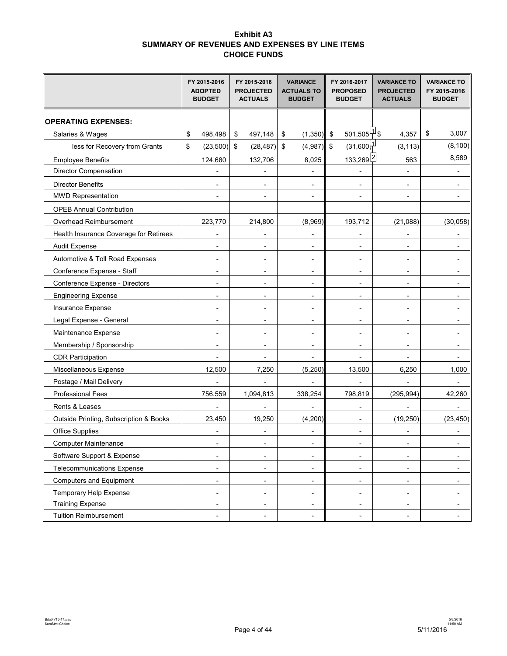### **Exhibit A3 SUMMARY OF REVENUES AND EXPENSES BY LINE ITEMS CHOICE FUNDS**

|                                        | FY 2015-2016<br><b>ADOPTED</b><br><b>BUDGET</b> | FY 2015-2016<br><b>PROJECTED</b><br><b>ACTUALS</b> | <b>VARIANCE</b><br><b>ACTUALS TO</b><br><b>BUDGET</b> | FY 2016-2017<br><b>PROPOSED</b><br><b>BUDGET</b> | <b>VARIANCE TO</b><br><b>PROJECTED</b><br><b>ACTUALS</b> | <b>VARIANCE TO</b><br>FY 2015-2016<br><b>BUDGET</b> |                          |
|----------------------------------------|-------------------------------------------------|----------------------------------------------------|-------------------------------------------------------|--------------------------------------------------|----------------------------------------------------------|-----------------------------------------------------|--------------------------|
| <b>OPERATING EXPENSES:</b>             |                                                 |                                                    |                                                       |                                                  |                                                          |                                                     |                          |
| Salaries & Wages                       | \$<br>498,498                                   | \$<br>497,148                                      | \$<br>$(1,350)$ \$                                    | $501,505^{[1]}$ \$                               | 4,357                                                    | \$                                                  | 3,007                    |
| less for Recovery from Grants          | \$<br>$(23,500)$ \$                             | (28, 487)                                          | \$<br>$(4,987)$ \$                                    | $(31,600)$ <sup>1</sup>                          | (3, 113)                                                 |                                                     | (8, 100)                 |
| <b>Employee Benefits</b>               | 124,680                                         | 132,706                                            | 8,025                                                 | 133,269 <sup>[2]</sup>                           | 563                                                      |                                                     | 8,589                    |
| <b>Director Compensation</b>           |                                                 |                                                    |                                                       |                                                  |                                                          |                                                     |                          |
| <b>Director Benefits</b>               |                                                 |                                                    |                                                       |                                                  |                                                          |                                                     |                          |
| <b>MWD Representation</b>              |                                                 |                                                    |                                                       |                                                  |                                                          |                                                     |                          |
| <b>OPEB Annual Contribution</b>        |                                                 |                                                    |                                                       |                                                  |                                                          |                                                     |                          |
| Overhead Reimbursement                 | 223,770                                         | 214,800                                            | (8,969)                                               | 193,712                                          | (21,088)                                                 |                                                     | (30, 058)                |
| Health Insurance Coverage for Retirees |                                                 |                                                    |                                                       |                                                  |                                                          |                                                     |                          |
| <b>Audit Expense</b>                   | Ĭ.                                              |                                                    | Ĭ.                                                    | $\blacksquare$                                   | $\blacksquare$                                           |                                                     |                          |
| Automotive & Toll Road Expenses        | $\overline{\phantom{a}}$                        | $\blacksquare$                                     | $\overline{\phantom{a}}$                              | $\overline{\phantom{a}}$                         | $\blacksquare$                                           |                                                     |                          |
| Conference Expense - Staff             | ٠                                               |                                                    | $\overline{\phantom{a}}$                              | $\blacksquare$                                   | $\overline{a}$                                           |                                                     |                          |
| Conference Expense - Directors         | ٠                                               |                                                    | $\overline{\phantom{a}}$                              | $\overline{\phantom{a}}$                         | $\overline{\phantom{a}}$                                 |                                                     |                          |
| <b>Engineering Expense</b>             | ä,                                              |                                                    |                                                       | $\overline{\phantom{a}}$                         | $\blacksquare$                                           |                                                     |                          |
| Insurance Expense                      | ٠                                               | $\overline{a}$                                     | $\overline{\phantom{a}}$                              | $\blacksquare$                                   | $\overline{\phantom{a}}$                                 |                                                     | $\overline{\phantom{a}}$ |
| Legal Expense - General                | ٠                                               | ٠                                                  | $\blacksquare$                                        | $\blacksquare$                                   | $\blacksquare$                                           |                                                     | $\overline{a}$           |
| Maintenance Expense                    | $\overline{a}$                                  | $\overline{\phantom{0}}$                           | $\overline{a}$                                        | $\blacksquare$                                   | $\overline{\phantom{a}}$                                 |                                                     |                          |
| Membership / Sponsorship               | ٠                                               |                                                    | $\blacksquare$                                        | $\overline{\phantom{a}}$                         | $\blacksquare$                                           |                                                     |                          |
| <b>CDR Participation</b>               |                                                 |                                                    |                                                       |                                                  |                                                          |                                                     |                          |
| Miscellaneous Expense                  | 12,500                                          | 7,250                                              | (5, 250)                                              | 13,500                                           | 6,250                                                    |                                                     | 1,000                    |
| Postage / Mail Delivery                |                                                 |                                                    | $\overline{a}$                                        |                                                  | $\overline{a}$                                           |                                                     |                          |
| <b>Professional Fees</b>               | 756,559                                         | 1,094,813                                          | 338,254                                               | 798,819                                          | (295, 994)                                               |                                                     | 42,260                   |
| Rents & Leases                         |                                                 |                                                    |                                                       | $\overline{\phantom{a}}$                         |                                                          |                                                     |                          |
| Outside Printing, Subscription & Books | 23,450                                          | 19,250                                             | (4,200)                                               | $\overline{\phantom{a}}$                         | (19, 250)                                                |                                                     | (23, 450)                |
| Office Supplies                        | ۰                                               |                                                    |                                                       | $\blacksquare$                                   |                                                          |                                                     | $\overline{a}$           |
| <b>Computer Maintenance</b>            |                                                 |                                                    |                                                       |                                                  |                                                          |                                                     |                          |
| Software Support & Expense             | -                                               | $\overline{\phantom{a}}$                           | $\overline{\phantom{a}}$                              | $\overline{\phantom{a}}$                         | $\overline{\phantom{a}}$                                 |                                                     | $\overline{\phantom{a}}$ |
| <b>Telecommunications Expense</b>      | -                                               | ٠                                                  | $\overline{\phantom{a}}$                              | $\overline{\phantom{a}}$                         |                                                          |                                                     |                          |
| <b>Computers and Equipment</b>         | ۰                                               | ۰                                                  | $\overline{\phantom{a}}$                              | $\overline{\phantom{a}}$                         | $\overline{\phantom{a}}$                                 |                                                     | $\overline{\phantom{a}}$ |
| Temporary Help Expense                 | $\overline{a}$                                  | ٠                                                  | $\overline{\phantom{a}}$                              | $\overline{\phantom{a}}$                         | $\overline{\phantom{a}}$                                 |                                                     |                          |
| <b>Training Expense</b>                | ۰                                               | ٠                                                  | $\overline{\phantom{a}}$                              | $\overline{\phantom{a}}$                         | $\overline{\phantom{a}}$                                 |                                                     | $\overline{\phantom{a}}$ |
| <b>Tuition Reimbursement</b>           | ٠                                               | ٠                                                  |                                                       |                                                  | $\overline{\phantom{a}}$                                 |                                                     | $\overline{\phantom{a}}$ |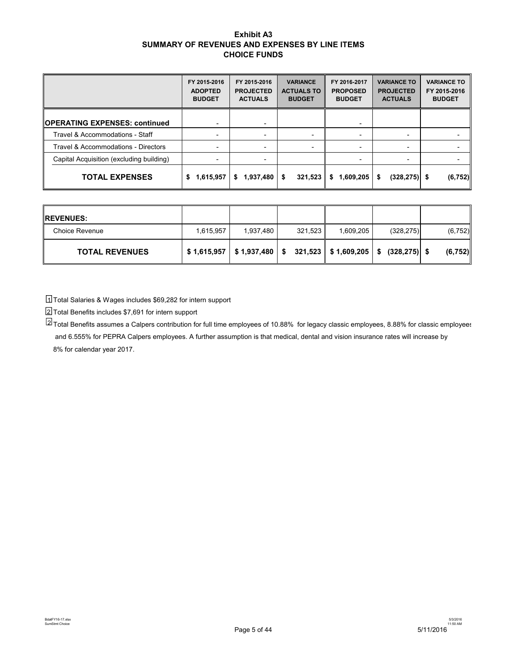#### **Exhibit A3 SUMMARY OF REVENUES AND EXPENSES BY LINE ITEMS CHOICE FUNDS**

|                                          | FY 2015-2016<br><b>ADOPTED</b><br><b>BUDGET</b> | FY 2015-2016<br><b>PROJECTED</b><br><b>ACTUALS</b> | <b>VARIANCE</b><br><b>ACTUALS TO</b><br><b>BUDGET</b> | FY 2016-2017<br><b>PROPOSED</b><br><b>BUDGET</b> | <b>VARIANCE TO</b><br><b>PROJECTED</b><br><b>ACTUALS</b> | <b>VARIANCE TO</b><br>FY 2015-2016<br><b>BUDGET</b> |
|------------------------------------------|-------------------------------------------------|----------------------------------------------------|-------------------------------------------------------|--------------------------------------------------|----------------------------------------------------------|-----------------------------------------------------|
| <b>OPERATING EXPENSES: continued</b>     | ٠                                               |                                                    |                                                       |                                                  |                                                          |                                                     |
| Travel & Accommodations - Staff          | $\overline{\phantom{a}}$                        |                                                    |                                                       | $\overline{\phantom{0}}$                         | $\overline{\phantom{a}}$                                 |                                                     |
| Travel & Accommodations - Directors      | -                                               |                                                    |                                                       | $\overline{\phantom{0}}$                         |                                                          |                                                     |
| Capital Acquisition (excluding building) | $\overline{\phantom{0}}$                        |                                                    |                                                       |                                                  |                                                          |                                                     |
| <b>TOTAL EXPENSES</b>                    | 1,615,957<br>\$                                 | 1,937,480<br>\$                                    | 321,523<br>\$                                         | 1,609,205<br>Ŝ.                                  | $(328, 275)$ \$<br>\$                                    | (6, 752)                                            |

| <b>IREVENUES:</b>     |           |           |         |           |                                                                         |          |
|-----------------------|-----------|-----------|---------|-----------|-------------------------------------------------------------------------|----------|
| <b>Choice Revenue</b> | 1,615,957 | 1,937,480 | 321,523 | 1,609,205 | (328, 275)                                                              | (6, 752) |
| <b>TOTAL REVENUES</b> |           |           |         |           | $$1,615,957$   \$1,937,480   \$321,523    \$1,609,205   \$(328,275)  \$ | (6, 752) |

Total Salaries & Wages includes \$69,282 for intern support 1

Total Benefits includes \$7,691 for intern support 32

 $^{21}$ Total Benefits assumes a Calpers contribution for full time employees of 10.88% for legacy classic employees, 8.88% for classic employees and 6.555% for PEPRA Calpers employees. A further assumption is that medical, dental and vision insurance rates will increase by 8% for calendar year 2017.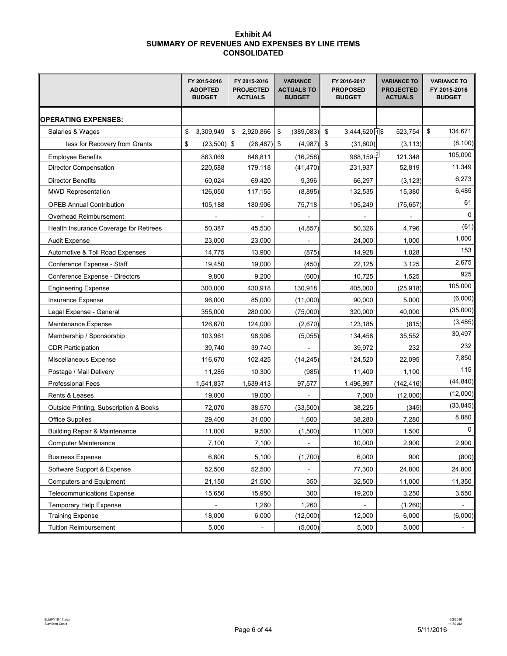#### **Exhibit A4 SUMMARY OF REVENUES AND EXPENSES BY LINE ITEMS CONSOLIDATED**

|                                          | FY 2015-2016<br><b>ADOPTED</b><br><b>BUDGET</b> | FY 2015-2016<br><b>PROJECTED</b><br><b>ACTUALS</b> | <b>VARIANCE</b><br><b>ACTUALS TO</b><br><b>BUDGET</b> | FY 2016-2017<br><b>PROPOSED</b><br><b>BUDGET</b> | <b>VARIANCE TO</b><br><b>PROJECTED</b><br><b>ACTUALS</b> | <b>VARIANCE TO</b><br>FY 2015-2016<br><b>BUDGET</b> |
|------------------------------------------|-------------------------------------------------|----------------------------------------------------|-------------------------------------------------------|--------------------------------------------------|----------------------------------------------------------|-----------------------------------------------------|
| <b>OPERATING EXPENSES:</b>               |                                                 |                                                    |                                                       |                                                  |                                                          |                                                     |
| Salaries & Wages                         | \$<br>3,309,949                                 | \$<br>2,920,866                                    | \$<br>(389, 083)                                      | $3,444,620$ 1\$<br>\$                            | 523,754                                                  | \$<br>134,671                                       |
| less for Recovery from Grants            | \$<br>$(23,500)$ \$                             | $(28, 487)$ \$                                     | (4,987)                                               | \$<br>(31,600)                                   | (3, 113)                                                 | (8, 100)                                            |
| <b>Employee Benefits</b>                 | 863,069                                         | 846,811                                            | (16, 258)                                             | <u>96</u> 8,159 <sup>[2]</sup>                   | 121,348                                                  | 105,090                                             |
| <b>Director Compensation</b>             | 220,588                                         | 179,118                                            | (41, 470)                                             | 231,937                                          | 52,819                                                   | 11,349                                              |
| <b>Director Benefits</b>                 | 60,024                                          | 69,420                                             | 9,396                                                 | 66,297                                           | (3, 123)                                                 | 6,273                                               |
| <b>MWD Representation</b>                | 126,050                                         | 117,155                                            | (8,895)                                               | 132,535                                          | 15,380                                                   | 6,485                                               |
| <b>OPEB Annual Contribution</b>          | 105,188                                         | 180,906                                            | 75,718                                                | 105,249                                          | (75, 657)                                                | 61                                                  |
| Overhead Reimbursement                   |                                                 |                                                    |                                                       |                                                  |                                                          | 0                                                   |
| Health Insurance Coverage for Retirees   | 50,387                                          | 45,530                                             | (4, 857)                                              | 50,326                                           | 4,796                                                    | (61)                                                |
| <b>Audit Expense</b>                     | 23,000                                          | 23,000                                             |                                                       | 24,000                                           | 1,000                                                    | 1,000                                               |
| Automotive & Toll Road Expenses          | 14,775                                          | 13,900                                             | (875)                                                 | 14,928                                           | 1,028                                                    | 153                                                 |
| Conference Expense - Staff               | 19,450                                          | 19,000                                             | (450)                                                 | 22,125                                           | 3,125                                                    | 2,675                                               |
| Conference Expense - Directors           | 9,800                                           | 9,200                                              | (600)                                                 | 10,725                                           | 1,525                                                    | 925                                                 |
| <b>Engineering Expense</b>               | 300,000                                         | 430,918                                            | 130,918                                               | 405,000                                          | (25, 918)                                                | 105,000                                             |
| Insurance Expense                        | 96,000                                          | 85,000                                             | (11,000)                                              | 90,000                                           | 5,000                                                    | (6,000)                                             |
| Legal Expense - General                  | 355,000                                         | 280,000                                            | (75,000)                                              | 320,000                                          | 40,000                                                   | (35,000)                                            |
| Maintenance Expense                      | 126,670                                         | 124,000                                            | (2,670)                                               | 123,185                                          | (815)                                                    | (3,485)                                             |
| Membership / Sponsorship                 | 103,961                                         | 98,906                                             | (5,055)                                               | 134,458                                          | 35,552                                                   | 30,497                                              |
| <b>CDR Participation</b>                 | 39,740                                          | 39,740                                             |                                                       | 39,972                                           | 232                                                      | 232                                                 |
| Miscellaneous Expense                    | 116,670                                         | 102,425                                            | (14, 245)                                             | 124,520                                          | 22,095                                                   | 7,850                                               |
| Postage / Mail Delivery                  | 11,285                                          | 10,300                                             | (985)                                                 | 11,400                                           | 1,100                                                    | 115                                                 |
| <b>Professional Fees</b>                 | 1,541,837                                       | 1,639,413                                          | 97,577                                                | 1,496,997                                        | (142, 416)                                               | (44, 840)                                           |
| Rents & Leases                           | 19,000                                          | 19,000                                             |                                                       | 7,000                                            | (12,000)                                                 | (12,000)                                            |
| Outside Printing, Subscription & Books   | 72,070                                          | 38,570                                             | (33,500)                                              | 38,225                                           | (345)                                                    | (33, 845)                                           |
| <b>Office Supplies</b>                   | 29,400                                          | 31,000                                             | 1,600                                                 | 38,280                                           | 7,280                                                    | 8,880                                               |
| <b>Building Repair &amp; Maintenance</b> | 11,000                                          | 9,500                                              | (1,500)                                               | 11,000                                           | 1,500                                                    | 0                                                   |
| <b>Computer Maintenance</b>              | 7,100                                           | 7,100                                              |                                                       | 10,000                                           | 2,900                                                    | 2,900                                               |
| <b>Business Expense</b>                  | 6,800                                           | 5,100                                              | (1,700)                                               | 6,000                                            | 900                                                      | (800)                                               |
| Software Support & Expense               | 52,500                                          | 52,500                                             |                                                       | 77,300                                           | 24,800                                                   | 24,800                                              |
| <b>Computers and Equipment</b>           | 21,150                                          | 21,500                                             | 350                                                   | 32,500                                           | 11,000                                                   | 11,350                                              |
| <b>Telecommunications Expense</b>        | 15,650                                          | 15,950                                             | 300                                                   | 19,200                                           | 3,250                                                    | 3,550                                               |
| <b>Temporary Help Expense</b>            |                                                 | 1,260                                              | 1,260                                                 |                                                  | (1,260)                                                  |                                                     |
| <b>Training Expense</b>                  | 18,000                                          | 6,000                                              | (12,000)                                              | 12,000                                           | 6,000                                                    | (6,000)                                             |
| <b>Tuition Reimbursement</b>             | 5,000                                           | $\overline{\phantom{a}}$                           | (5,000)                                               | 5,000                                            | 5,000                                                    | $\overline{\phantom{a}}$                            |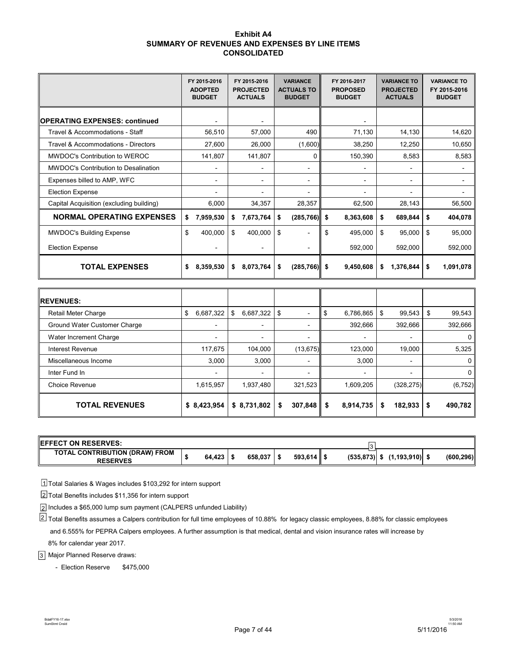#### **Exhibit A4 SUMMARY OF REVENUES AND EXPENSES BY LINE ITEMS CONSOLIDATED**

|                                             | FY 2015-2016<br><b>ADOPTED</b><br><b>BUDGET</b> | FY 2015-2016<br><b>PROJECTED</b><br><b>ACTUALS</b> | <b>VARIANCE</b><br><b>ACTUALS TO</b><br><b>BUDGET</b> | FY 2016-2017<br><b>PROPOSED</b><br><b>BUDGET</b> | <b>VARIANCE TO</b><br><b>PROJECTED</b><br><b>ACTUALS</b> | <b>VARIANCE TO</b><br>FY 2015-2016<br><b>BUDGET</b> |
|---------------------------------------------|-------------------------------------------------|----------------------------------------------------|-------------------------------------------------------|--------------------------------------------------|----------------------------------------------------------|-----------------------------------------------------|
| OPERATING EXPENSES: continued               |                                                 |                                                    |                                                       |                                                  |                                                          |                                                     |
| Travel & Accommodations - Staff             | 56,510                                          | 57,000                                             | 490                                                   | 71,130                                           | 14,130                                                   | 14,620                                              |
| Travel & Accommodations - Directors         | 27,600                                          | 26,000                                             | (1,600)                                               | 38,250                                           | 12,250                                                   | 10,650                                              |
| MWDOC's Contribution to WEROC               | 141,807                                         | 141,807                                            | 0                                                     | 150,390                                          | 8,583                                                    | 8,583                                               |
| <b>MWDOC's Contribution to Desalination</b> | -                                               | -                                                  | $\overline{\phantom{a}}$                              |                                                  |                                                          |                                                     |
| Expenses billed to AMP, WFC                 | -                                               | $\overline{\phantom{0}}$                           | $\blacksquare$                                        | $\overline{\phantom{0}}$                         | Ξ.                                                       |                                                     |
| <b>Election Expense</b>                     |                                                 |                                                    |                                                       |                                                  |                                                          |                                                     |
| Capital Acquisition (excluding building)    | 6,000                                           | 34,357                                             | 28,357                                                | 62,500                                           | 28,143                                                   | 56,500                                              |
| <b>NORMAL OPERATING EXPENSES</b>            | \$<br>7,959,530                                 | \$<br>7,673,764                                    | \$<br>$(285, 766)$ \$                                 | 8,363,608                                        | \$<br>689,844                                            | \$<br>404,078                                       |
| <b>MWDOC's Building Expense</b>             | \$<br>400,000                                   | \$<br>400,000                                      | \$<br>$\overline{\phantom{0}}$                        | \$<br>495,000                                    | \$<br>95,000                                             | \$<br>95,000                                        |
| <b>Election Expense</b>                     |                                                 |                                                    |                                                       | 592,000                                          | 592,000                                                  | 592,000                                             |
| <b>TOTAL EXPENSES</b>                       | \$<br>8,359,530                                 | \$<br>8,073,764                                    | \$<br>$(285,766)$ \$                                  | 9,450,608                                        | \$<br>1,376,844                                          | \$<br>1,091,078                                     |

| <b>IREVENUES:</b>            |                 |                          |                          |                          |                          |                |
|------------------------------|-----------------|--------------------------|--------------------------|--------------------------|--------------------------|----------------|
| <b>Retail Meter Charge</b>   | 6,687,322<br>\$ | 6,687,322<br>\$          | \$<br>$\blacksquare$     | 6,786,865<br>ъ           | 99,543<br>\$             | 99,543<br>S    |
| Ground Water Customer Charge | $\blacksquare$  | ۰                        | ۰                        | 392,666                  | 392,666                  | 392,666        |
| Water Increment Charge       | $\blacksquare$  | $\overline{\phantom{a}}$ | ۰                        | $\overline{\phantom{a}}$ | $\overline{\phantom{a}}$ | $\overline{0}$ |
| Interest Revenue             | 117,675         | 104,000                  | (13, 675)                | 123,000                  | 19,000                   | 5,325          |
| Miscellaneous Income         | 3,000           | 3,000                    | $\overline{\phantom{a}}$ | 3,000                    | $\overline{\phantom{a}}$ | $\overline{0}$ |
| Inter Fund In                | $\blacksquare$  | ۰                        | ۰                        |                          | $\overline{\phantom{a}}$ | $\overline{0}$ |
| <b>Choice Revenue</b>        | 1,615,957       | 1,937,480                | 321,523                  | 1,609,205                | (328, 275)               | (6, 752)       |
| <b>TOTAL REVENUES</b>        | \$8,423,954     | \$8,731,802              | 307,848<br>\$            | 8,914,735<br>\$          | $182,933$ \$<br>\$       | 490,782        |

| <b>IEFFECT ON RESERVES:</b>                       |        |         |             |                 |                  |            |
|---------------------------------------------------|--------|---------|-------------|-----------------|------------------|------------|
| TOTAL CONTRIBUTION (DRAW) FROM<br><b>RESERVES</b> | 64,423 | 658.037 | $593.614$ S | $(535, 873)$ \$ | $(1,193,910)$ \$ | (600, 296) |

Total Salaries & Wages includes \$103,292 for intern support 1

Total Benefits includes \$11,356 for intern support 2

 $_2$ | Includes a \$65,000 lump sum payment (CALPERS unfunded Liability)

Total Benefits assumes a Calpers contribution for full time employees of 10.88% for legacy classic employees, 8.88% for classic employees 2 and 6.555% for PEPRA Calpers employees. A further assumption is that medical, dental and vision insurance rates will increase by 8% for calendar year 2017.

Major Planned Reserve draws: 3

- Election Reserve \$475,000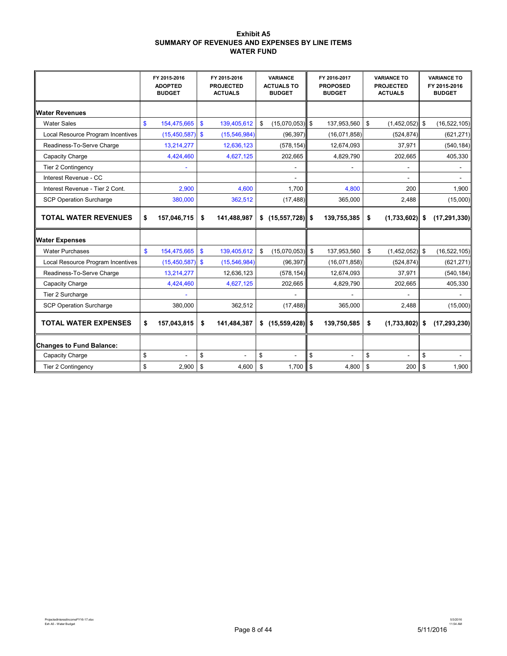#### **Exhibit A5 SUMMARY OF REVENUES AND EXPENSES BY LINE ITEMS WATER FUND**

|                                   |              | FY 2015 2016<br><b>ADOPTED</b><br><b>BUDGET</b> | FY 2015 2016<br><b>PROJECTED</b><br><b>ACTUALS</b> | <b>VARIANCE</b><br><b>ACTUALS TO</b><br><b>BUDGET</b> |                    | FY 2016-2017<br><b>PROPOSED</b><br><b>BUDGET</b> | <b>VARIANCE TO</b><br><b>PROJECTED</b><br><b>ACTUALS</b> | <b>VARIANCE TO</b><br>FY 2015-2016<br><b>BUDGET</b> |
|-----------------------------------|--------------|-------------------------------------------------|----------------------------------------------------|-------------------------------------------------------|--------------------|--------------------------------------------------|----------------------------------------------------------|-----------------------------------------------------|
| <b>Water Revenues</b>             |              |                                                 |                                                    |                                                       |                    |                                                  |                                                          |                                                     |
| <b>Water Sales</b>                | \$           | 154,475,665                                     | \$<br>139,405,612                                  | \$<br>(15,070,053)                                    | $\mathfrak{S}$     | 137,953,560                                      | \$<br>$(1,452,052)$ \$                                   | (16, 522, 105)                                      |
| Local Resource Program Incentives |              | $(15,450,587)$ \$                               | (15, 546, 984)                                     | (96, 397)                                             |                    | (16,071,858)                                     | (524, 874)                                               | (621, 271)                                          |
| Readiness-To-Serve Charge         |              | 13,214,277                                      | 12,636,123                                         | (578, 154)                                            |                    | 12,674,093                                       | 37,971                                                   | (540, 184)                                          |
| Capacity Charge                   |              | 4,424,460                                       | 4,627,125                                          | 202,665                                               |                    | 4,829,790                                        | 202,665                                                  | 405,330                                             |
| Tier 2 Contingency                |              |                                                 |                                                    |                                                       |                    |                                                  |                                                          |                                                     |
| Interest Revenue - CC             |              |                                                 |                                                    |                                                       |                    |                                                  |                                                          |                                                     |
| Interest Revenue - Tier 2 Cont.   |              | 2,900                                           | 4,600                                              | 1.700                                                 |                    | 4,800                                            | 200                                                      | 1,900                                               |
| <b>SCP Operation Surcharge</b>    |              | 380,000                                         | 362,512                                            | (17, 488)                                             |                    | 365,000                                          | 2,488                                                    | (15,000)                                            |
| <b>TOTAL WATER REVENUES</b>       | \$           | 157,046,715                                     | \$<br>141,488,987                                  | \$ (15, 557, 728)                                     | \$                 | 139,755,385                                      | \$<br>(1,733,602)                                        | \$<br>(17, 291, 330)                                |
| <b>Water Expenses</b>             |              |                                                 |                                                    |                                                       |                    |                                                  |                                                          |                                                     |
| <b>Water Purchases</b>            | $\mathbf{s}$ | 154,475,665                                     | \$<br>139,405,612                                  | \$<br>(15,070,053)                                    | $\mathbf{\hat{s}}$ | 137,953,560                                      | \$<br>$(1,452,052)$ \$                                   | (16, 522, 105)                                      |
| Local Resource Program Incentives |              | $(15,450,587)$ \$                               | (15, 546, 984)                                     | (96, 397)                                             |                    | (16,071,858)                                     | (524, 874)                                               | (621, 271)                                          |
| Readiness-To-Serve Charge         |              | 13,214,277                                      | 12,636,123                                         | (578, 154)                                            |                    | 12,674,093                                       | 37,971                                                   | (540, 184)                                          |
| Capacity Charge                   |              | 4,424,460                                       | 4,627,125                                          | 202,665                                               |                    | 4,829,790                                        | 202,665                                                  | 405,330                                             |
| Tier 2 Surcharge                  |              |                                                 |                                                    |                                                       |                    |                                                  |                                                          |                                                     |
| <b>SCP Operation Surcharge</b>    |              | 380,000                                         | 362,512                                            | (17, 488)                                             |                    | 365,000                                          | 2,488                                                    | (15,000)                                            |
| <b>TOTAL WATER EXPENSES</b>       | \$           | 157,043,815                                     | \$<br>141,484,387                                  | \$ (15,559,428)                                       | \$                 | 139,750,585                                      | \$<br>(1,733,802)                                        | \$<br>(17, 293, 230)                                |
| Changes to Fund Balance:          |              |                                                 |                                                    |                                                       |                    |                                                  |                                                          |                                                     |
| Capacity Charge                   | \$           | ÷.                                              | \$                                                 | \$                                                    | \$                 |                                                  | \$<br>ä.                                                 | \$                                                  |
| <b>Tier 2 Contingency</b>         | \$           | 2,900                                           | \$<br>4,600                                        | \$<br>1,700                                           | \$                 | 4,800                                            | \$<br>200                                                | \$<br>1,900                                         |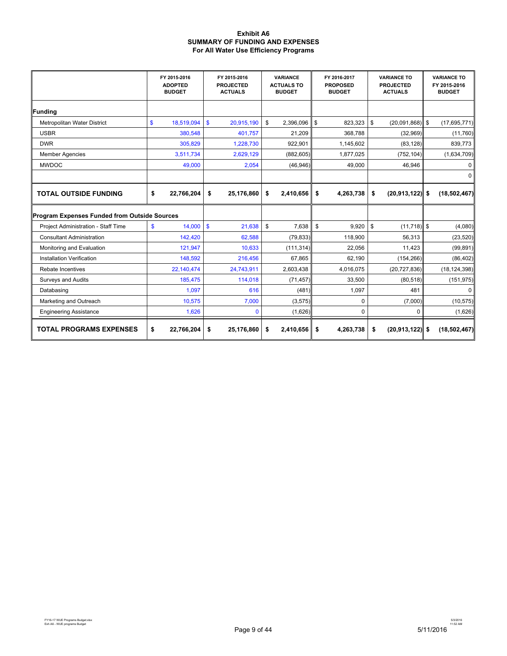#### **Exhibit A6 SUMMARY OF FUNDING AND EXPENSES For All Water Use Efficiency Programs**

|                                              | FY 2015-2016<br><b>ADOPTED</b><br><b>BUDGET</b> | FY 2015-2016<br><b>PROJECTED</b><br><b>ACTUALS</b> | <b>VARIANCE</b><br><b>ACTUALS TO</b><br><b>BUDGET</b> | FY 2016-2017<br><b>PROPOSED</b><br><b>BUDGET</b> | <b>VARIANCE TO</b><br><b>PROJECTED</b><br><b>ACTUALS</b> | <b>VARIANCE TO</b><br>FY 2015-2016<br><b>BUDGET</b> |
|----------------------------------------------|-------------------------------------------------|----------------------------------------------------|-------------------------------------------------------|--------------------------------------------------|----------------------------------------------------------|-----------------------------------------------------|
| Funding                                      |                                                 |                                                    |                                                       |                                                  |                                                          |                                                     |
| Metropolitan Water District                  | $\mathbf{\$}$<br>18,519,094                     | $\mathbf{\$}$<br>20,915,190                        | \$<br>2,396,096                                       | \$<br>823,323                                    | \$<br>$(20,091,868)$ \$                                  | (17,695,771)                                        |
| <b>USBR</b>                                  | 380,548                                         | 401.757                                            | 21,209                                                | 368.788                                          | (32,969)                                                 | (11,760)                                            |
| <b>DWR</b>                                   | 305,829                                         | 1,228,730                                          | 922,901                                               | 1,145,602                                        | (83, 128)                                                | 839,773                                             |
| <b>Member Agencies</b>                       | 3,511,734                                       | 2,629,129                                          | (882, 605)                                            | 1,877,025                                        | (752, 104)                                               | (1,634,709)                                         |
| <b>MWDOC</b>                                 | 49,000                                          | 2,054                                              | (46, 946)                                             | 49,000                                           | 46.946                                                   | 0                                                   |
|                                              |                                                 |                                                    |                                                       |                                                  |                                                          | 0                                                   |
| <b>TOTAL OUTSIDE FUNDING</b>                 | \$<br>22,766,204                                | 25,176,860<br>\$                                   | 2,410,656<br>\$                                       | \$<br>4,263,738                                  | \$<br>$(20.913.122)$ \$                                  | (18, 502, 467)                                      |
| Program Expenses Funded from Outside Sources |                                                 |                                                    |                                                       |                                                  |                                                          |                                                     |
| Project Administration - Staff Time          | \$<br>14.000                                    | $\mathbf{s}$<br>21,638                             | \$<br>7,638                                           | ${\mathbb S}$<br>9,920                           | $(11, 718)$ \$<br>\$                                     | (4,080)                                             |
| <b>Consultant Administration</b>             | 142.420                                         | 62,588                                             | (79, 833)                                             | 118,900                                          | 56.313                                                   | (23, 520)                                           |
| Monitoring and Evaluation                    | 121,947                                         | 10,633                                             | (111, 314)                                            | 22,056                                           | 11,423                                                   | (99, 891)                                           |
| <b>Installation Verification</b>             | 148,592                                         | 216,456                                            | 67,865                                                | 62,190                                           | (154, 266)                                               | (86, 402)                                           |
| Rebate Incentives                            | 22,140,474                                      | 24,743,911                                         | 2,603,438                                             | 4,016,075                                        | (20, 727, 836)                                           | (18, 124, 398)                                      |
| <b>Surveys and Audits</b>                    | 185,475                                         | 114,018                                            | (71, 457)                                             | 33,500                                           | (80, 518)                                                | (151, 975)                                          |
| Databasing                                   | 1,097                                           | 616                                                | (481)                                                 | 1,097                                            | 481                                                      | $\Omega$                                            |
| Marketing and Outreach                       | 10,575                                          | 7,000                                              | (3, 575)                                              | 0                                                | (7,000)                                                  | (10, 575)                                           |
| <b>Engineering Assistance</b>                | 1,626                                           | $\mathbf{0}$                                       | (1,626)                                               | 0                                                | 0                                                        | (1,626)                                             |
| <b>TOTAL PROGRAMS EXPENSES</b>               | \$<br>22,766,204                                | 25,176,860<br>\$                                   | \$<br>2,410,656                                       | \$<br>4,263,738                                  | \$<br>$(20, 913, 122)$ \$                                | (18,502,467)                                        |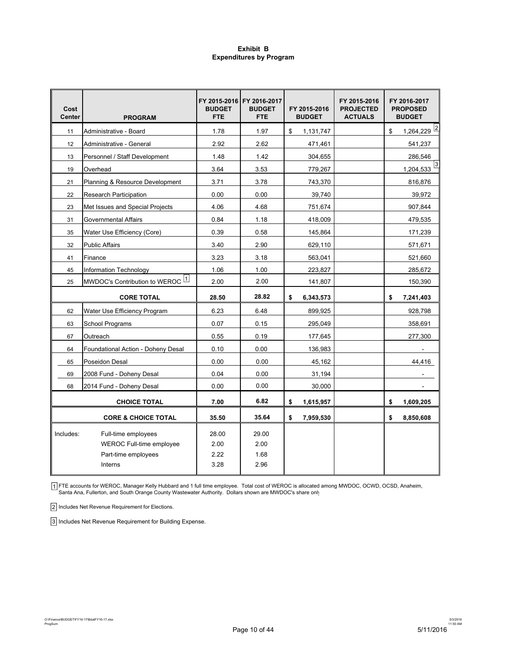#### **Exhibit B Expenditures by Program**

| Cost<br><b>Center</b> | <b>PROGRAM</b>                                                                           | <b>BUDGET</b><br><b>FTE</b>   | FY 2015-2016 FY 2016-2017<br><b>BUDGET</b><br><b>FTE</b> | FY 2015-2016<br><b>BUDGET</b> | FY 2015-2016<br><b>PROJECTED</b><br><b>ACTUALS</b> | FY 2016-2017<br><b>PROPOSED</b><br><b>BUDGET</b> |
|-----------------------|------------------------------------------------------------------------------------------|-------------------------------|----------------------------------------------------------|-------------------------------|----------------------------------------------------|--------------------------------------------------|
| 11                    | Administrative - Board                                                                   | 1.78                          | 1.97                                                     | \$<br>1,131,747               |                                                    | $\frac{1,264,229}{2}$<br>\$                      |
| 12                    | Administrative - General                                                                 | 2.92                          | 2.62                                                     | 471,461                       |                                                    | 541,237                                          |
| 13                    | Personnel / Staff Development                                                            | 1.48                          | 1.42                                                     | 304,655                       |                                                    | 286,546                                          |
| 19                    | Overhead                                                                                 | 3.64                          | 3.53                                                     | 779.267                       |                                                    | 3<br>1,204,533                                   |
| 21                    | Planning & Resource Development                                                          | 3.71                          | 3.78                                                     | 743,370                       |                                                    | 816,876                                          |
| 22                    | <b>Research Participation</b>                                                            | 0.00                          | 0.00                                                     | 39,740                        |                                                    | 39,972                                           |
| 23                    | Met Issues and Special Projects                                                          | 4.06                          | 4.68                                                     | 751,674                       |                                                    | 907,844                                          |
| 31                    | <b>Governmental Affairs</b>                                                              | 0.84                          | 1.18                                                     | 418,009                       |                                                    | 479,535                                          |
| 35                    | Water Use Efficiency (Core)                                                              | 0.39                          | 0.58                                                     | 145,864                       |                                                    | 171,239                                          |
| 32                    | <b>Public Affairs</b>                                                                    | 3.40                          | 2.90                                                     | 629,110                       |                                                    | 571,671                                          |
| 41                    | Finance                                                                                  | 3.23                          | 3.18                                                     | 563,041                       |                                                    | 521,660                                          |
| 45                    | Information Technology                                                                   | 1.06                          | 1.00                                                     | 223,827                       |                                                    | 285,672                                          |
| 25                    | MWDOC's Contribution to WEROC 1                                                          | 2.00                          | 2.00                                                     | 141,807                       |                                                    | 150,390                                          |
|                       | <b>CORE TOTAL</b>                                                                        | 28.50                         | 28.82                                                    | \$<br>6,343,573               |                                                    | \$<br>7,241,403                                  |
| 62                    | Water Use Efficiency Program                                                             | 6.23                          | 6.48                                                     | 899,925                       |                                                    | 928,798                                          |
| 63                    | School Programs                                                                          | 0.07                          | 0.15                                                     | 295,049                       |                                                    | 358,691                                          |
| 67                    | Outreach                                                                                 | 0.55                          | 0.19                                                     | 177,645                       |                                                    | 277,300                                          |
| 64                    | Foundational Action - Doheny Desal                                                       | 0.10                          | 0.00                                                     | 136.983                       |                                                    |                                                  |
| 65                    | Poseidon Desal                                                                           | 0.00                          | 0.00                                                     | 45,162                        |                                                    | 44,416                                           |
| 69                    | 2008 Fund - Doheny Desal                                                                 | 0.04                          | 0.00                                                     | 31,194                        |                                                    |                                                  |
| 68                    | 2014 Fund - Doheny Desal                                                                 | 0.00                          | 0.00                                                     | 30,000                        |                                                    |                                                  |
|                       | <b>CHOICE TOTAL</b>                                                                      | 7.00                          | 6.82                                                     | \$<br>1,615,957               |                                                    | \$<br>1,609,205                                  |
|                       | <b>CORE &amp; CHOICE TOTAL</b>                                                           | 35.50                         | 35.64                                                    | \$<br>7,959,530               |                                                    | \$<br>8,850,608                                  |
| Includes:             | Full-time employees<br><b>WEROC Full-time employee</b><br>Part-time employees<br>Interns | 28.00<br>2.00<br>2.22<br>3.28 | 29.00<br>2.00<br>1.68<br>2.96                            |                               |                                                    |                                                  |
|                       |                                                                                          |                               |                                                          |                               |                                                    |                                                  |

ן FTE accounts for WEROC, Manager Kelly Hubbard and 1 full time employee. Total cost of WEROC is allocated among MWDOC, OCWD, OCSD, Anaheim,<br>Santa Ana, Fullerton, and South Orange County Wastewater Authority. Dollars s

2 Includes Net Revenue Requirement for Elections.

3 Includes Net Revenue Requirement for Building Expense.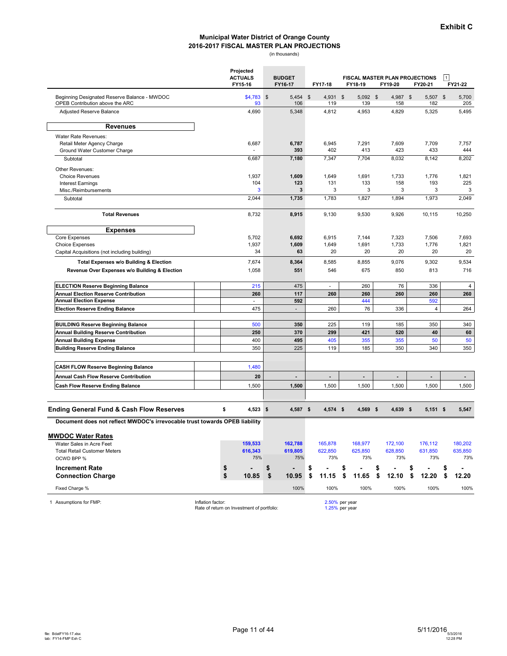#### **2016-2017 FISCAL MASTER PLAN PROJECTIONS Municipal Water District of Orange County**

(in thousands)

|                                                                                 |                   | Projected<br><b>ACTUALS</b><br>FY15-16     |                | <b>BUDGET</b><br>FY16-17 | FY17-18         | FY18-19                          |                   | FY19-20         | <b>FISCAL MASTER PLAN PROJECTIONS</b><br>FY20-21 | $\mathbf{1}$ | FY21-22        |
|---------------------------------------------------------------------------------|-------------------|--------------------------------------------|----------------|--------------------------|-----------------|----------------------------------|-------------------|-----------------|--------------------------------------------------|--------------|----------------|
| Beginning Designated Reserve Balance - MWDOC<br>OPEB Contribution above the ARC |                   | \$4,783<br>93                              | $\mathfrak{F}$ | $5,454$ \$<br>106        | 4,931 \$<br>119 |                                  | $5,092$ \$<br>139 | 4,987 \$<br>158 | 5.507 \$<br>182                                  |              | 5,700<br>205   |
| <b>Adjusted Reserve Balance</b>                                                 |                   | 4,690                                      |                | 5,348                    | 4,812           |                                  | 4,953             | 4,829           | 5,325                                            |              | 5,495          |
| <b>Revenues</b>                                                                 |                   |                                            |                |                          |                 |                                  |                   |                 |                                                  |              |                |
| Water Rate Revenues:                                                            |                   |                                            |                |                          |                 |                                  |                   |                 |                                                  |              |                |
| Retail Meter Agency Charge                                                      |                   | 6,687                                      |                | 6,787                    | 6,945           |                                  | 7,291             | 7,609           | 7,709                                            |              | 7,757          |
| Ground Water Customer Charge                                                    |                   |                                            |                | 393                      | 402             |                                  | 413               | 423             | 433                                              |              | 444            |
| Subtotal                                                                        |                   | 6,687                                      |                | 7,180                    | 7,347           |                                  | 7,704             | 8,032           | 8,142                                            |              | 8,202          |
| Other Revenues:                                                                 |                   |                                            |                |                          |                 |                                  |                   |                 |                                                  |              |                |
| <b>Choice Revenues</b>                                                          |                   | 1,937                                      |                | 1,609                    | 1,649           |                                  | 1,691             | 1,733           | 1,776                                            |              | 1,821          |
| <b>Interest Earnings</b>                                                        |                   | 104                                        |                | 123                      | 131             |                                  | 133               | 158             | 193                                              |              | 225            |
| Misc./Reimbursements                                                            |                   | 3                                          |                | 3                        | 3               |                                  | 3                 | 3               | 3                                                |              | 3              |
| Subtotal                                                                        |                   | 2,044                                      |                | 1,735                    | 1,783           |                                  | 1,827             | 1,894           | 1,973                                            |              | 2,049          |
| <b>Total Revenues</b>                                                           |                   | 8,732                                      |                | 8,915                    | 9,130           |                                  | 9,530             | 9,926           | 10,115                                           |              | 10,250         |
| <b>Expenses</b>                                                                 |                   |                                            |                |                          |                 |                                  |                   |                 |                                                  |              |                |
| Core Expenses                                                                   |                   | 5,702                                      |                | 6,692                    | 6,915           |                                  | 7,144             | 7,323           | 7,506                                            |              | 7,693          |
| <b>Choice Expenses</b>                                                          |                   | 1,937                                      |                | 1,609                    | 1,649           |                                  | 1,691             | 1,733           | 1,776                                            |              | 1,821          |
| Capital Acquisitions (not including building)                                   |                   | 34                                         |                | 63                       | 20              |                                  | 20                | 20              | 20                                               |              | 20             |
| Total Expenses w/o Building & Election                                          |                   | 7,674                                      |                | 8,364                    | 8,585           |                                  | 8,855             | 9,076           | 9,302                                            |              | 9,534          |
| Revenue Over Expenses w/o Building & Election                                   |                   | 1,058                                      |                | 551                      | 546             |                                  | 675               | 850             | 813                                              |              | 716            |
| <b>ELECTION Reserve Beginning Balance</b>                                       |                   | 215                                        |                | 475                      | ÷.              |                                  | 260               | 76              | 336                                              |              | 4              |
| <b>Annual Election Reserve Contribution</b>                                     |                   | 260                                        |                | 117                      | 260             |                                  | 260               | 260             | 260                                              |              | 260            |
| <b>Annual Election Expense</b>                                                  |                   | $\sim$                                     |                | 592                      |                 |                                  | 444               |                 | 592                                              |              |                |
| <b>Election Reserve Ending Balance</b>                                          |                   | 475                                        |                | $\blacksquare$           | 260             |                                  | 76                | 336             | $\overline{4}$                                   |              | 264            |
| <b>BUILDING Reserve Beginning Balance</b>                                       |                   | 500                                        |                | 350                      | 225             |                                  | 119               | 185             | 350                                              |              | 340            |
| <b>Annual Building Reserve Contribution</b>                                     |                   | 250                                        |                | 370                      | 299             |                                  | 421               | 520             | 40                                               |              | 60             |
| <b>Annual Building Expense</b>                                                  |                   | 400                                        |                | 495                      | 405             |                                  | 355               | 355             | 50                                               |              | 50             |
| <b>Building Reserve Ending Balance</b>                                          |                   | 350                                        |                | 225                      | 119             |                                  | 185               | 350             | 340                                              |              | 350            |
|                                                                                 |                   |                                            |                |                          |                 |                                  |                   |                 |                                                  |              |                |
| <b>CASH FLOW Reserve Beginning Balance</b>                                      |                   | 1,480                                      |                |                          |                 |                                  |                   |                 |                                                  |              |                |
| Annual Cash Flow Reserve Contribution                                           |                   | 20                                         |                | $\overline{\phantom{a}}$ | $\blacksquare$  |                                  | $\blacksquare$    | $\blacksquare$  | $\overline{\phantom{a}}$                         |              | $\blacksquare$ |
| <b>Cash Flow Reserve Ending Balance</b>                                         |                   | 1,500                                      |                | 1,500                    | 1,500           |                                  | 1,500             | 1,500           | 1,500                                            |              | 1,500          |
| <b>Ending General Fund &amp; Cash Flow Reserves</b>                             | \$                | $4,523$ \$                                 |                | $4,587$ \$               | $4,574$ \$      |                                  | $4,569$ \$        | $4,639$ \$      | $5,151$ \$                                       |              | 5,547          |
| Document does not reflect MWDOC's irrevocable trust towards OPEB liability      |                   |                                            |                |                          |                 |                                  |                   |                 |                                                  |              |                |
| <b>MWDOC Water Rates</b>                                                        |                   |                                            |                |                          |                 |                                  |                   |                 |                                                  |              |                |
| Water Sales in Acre Feet                                                        |                   | 159,533                                    |                | 162,788                  | 165,878         |                                  | 168,977           | 172,100         | 176,112                                          |              | 180,202        |
| <b>Total Retail Customer Meters</b>                                             |                   | 616,343                                    |                | 619,805                  | 622,850         |                                  | 625,850           | 628,850         | 631,850                                          |              | 635,850        |
| OCWD BPP %                                                                      |                   | 75%                                        |                | 75%                      | 73%             |                                  | 73%               | 73%             | 73%                                              |              | 73%            |
|                                                                                 |                   |                                            |                |                          |                 |                                  |                   |                 |                                                  |              |                |
| <b>Increment Rate</b>                                                           | \$<br>\$          |                                            | \$             |                          | \$              | \$                               |                   | \$              | \$<br>$\blacksquare$                             | \$           |                |
| <b>Connection Charge</b>                                                        |                   | 10.85                                      | \$             | 10.95                    | \$<br>11.15     | \$                               | 11.65             | \$<br>12.10     | \$<br>12.20                                      | \$           | 12.20          |
| Fixed Charge %                                                                  |                   |                                            |                | 100%                     | 100%            |                                  | 100%              | 100%            | 100%                                             |              | 100%           |
| 1 Assumptions for FMP:                                                          | Inflation factor: | Rate of return on Investment of portfolio: |                |                          |                 | 2.50% per year<br>1.25% per year |                   |                 |                                                  |              |                |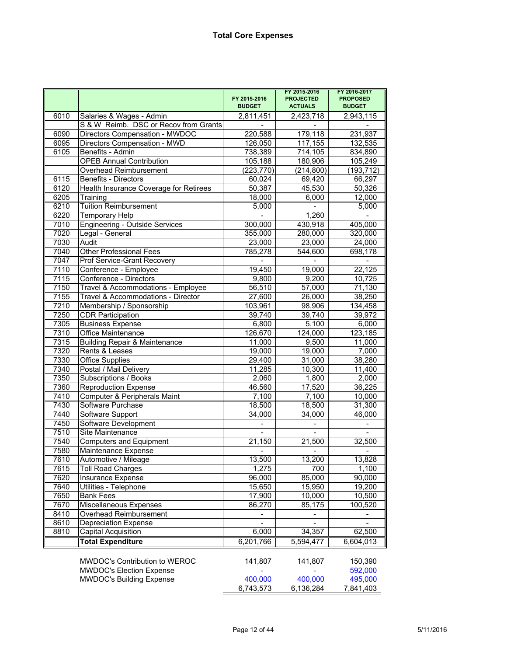|      |                                          |                               | FY 2015-2016                       | FY 2016-2017                     |  |  |
|------|------------------------------------------|-------------------------------|------------------------------------|----------------------------------|--|--|
|      |                                          | FY 2015-2016<br><b>BUDGET</b> | <b>PROJECTED</b><br><b>ACTUALS</b> | <b>PROPOSED</b><br><b>BUDGET</b> |  |  |
| 6010 | Salaries & Wages - Admin                 | 2,811,451                     | 2,423,718                          | 2,943,115                        |  |  |
|      | S & W Reimb. DSC or Recov from Grants    |                               |                                    |                                  |  |  |
| 6090 | Directors Compensation - MWDOC           | 220,588                       | 179,118                            | 231,937                          |  |  |
| 6095 | Directors Compensation - MWD             | 126,050                       | 117,155                            | 132,535                          |  |  |
| 6105 | Benefits - Admin                         | 738,389                       | 714,105                            | 834,890                          |  |  |
|      | <b>OPEB Annual Contribution</b>          | 105,188                       | 180,906                            | 105,249                          |  |  |
|      | <b>Overhead Reimbursement</b>            | (223, 770)                    | (214, 800)                         | (193, 712)                       |  |  |
| 6115 | Benefits - Directors                     | 60,024                        | 69,420                             | 66,297                           |  |  |
| 6120 | Health Insurance Coverage for Retirees   | 50,387                        | 45,530                             | 50,326                           |  |  |
| 6205 | Training                                 | 18,000                        | 6,000                              | 12,000                           |  |  |
| 6210 | <b>Tuition Reimbursement</b>             | 5,000                         |                                    | 5,000                            |  |  |
| 6220 | <b>Temporary Help</b>                    |                               | 1,260                              |                                  |  |  |
| 7010 | <b>Engineering - Outside Services</b>    | 300,000                       | 430,918                            | 405,000                          |  |  |
| 7020 | Legal - General                          | 355,000                       | 280,000                            | 320,000                          |  |  |
| 7030 | Audit                                    | 23,000                        | 23,000                             | 24,000                           |  |  |
| 7040 | <b>Other Professional Fees</b>           | 785,278                       | 544,600                            | 698,178                          |  |  |
| 7047 | Prof Service-Grant Recovery              |                               |                                    |                                  |  |  |
| 7110 | Conference - Employee                    | 19,450                        | 19,000                             | 22,125                           |  |  |
| 7115 | Conference - Directors                   | 9,800                         | 9,200                              | 10,725                           |  |  |
| 7150 | Travel & Accommodations - Employee       | 56,510                        | 57,000                             | 71,130                           |  |  |
| 7155 | Travel & Accommodations - Director       | 27,600                        | 26,000                             | 38,250                           |  |  |
| 7210 | Membership / Sponsorship                 | 103,961                       | 98,906                             | 134,458                          |  |  |
| 7250 | <b>CDR Participation</b>                 | 39,740                        | 39,740                             | 39,972                           |  |  |
| 7305 | <b>Business Expense</b>                  | 6,800                         | 5,100                              | 6,000                            |  |  |
| 7310 | <b>Office Maintenance</b>                | 126,670                       | 124,000                            | 123,185                          |  |  |
| 7315 | <b>Building Repair &amp; Maintenance</b> | 11,000                        | 9,500                              | 11,000                           |  |  |
| 7320 | Rents & Leases                           | 19,000                        | 19,000                             | 7,000                            |  |  |
| 7330 | Office Supplies                          | 29,400                        | 31,000                             | 38,280                           |  |  |
| 7340 | Postal / Mail Delivery                   | 11,285                        | 10,300                             | 11,400                           |  |  |
| 7350 | <b>Subscriptions / Books</b>             | 2,060                         | 1,800                              | 2,000                            |  |  |
| 7360 | <b>Reproduction Expense</b>              | 46,560                        | 17,520                             | 36,225                           |  |  |
| 7410 | Computer & Peripherals Maint             | 7,100                         | 7,100                              | 10,000                           |  |  |
| 7430 | Software Purchase                        | 18,500                        | 18,500                             | 31,300                           |  |  |
| 7440 | Software Support                         | 34,000                        | 34,000                             | 46,000                           |  |  |
| 7450 | Software Development                     |                               |                                    |                                  |  |  |
| 7510 | Site Maintenance                         |                               | $\blacksquare$                     | $\sim$                           |  |  |
| 7540 | <b>Computers and Equipment</b>           | 21,150                        | 21,500                             | 32,500                           |  |  |
| 7580 | Maintenance Expense                      |                               |                                    |                                  |  |  |
| 7610 | Automotive / Mileage                     | 13,500                        | 13,200                             | 13,828                           |  |  |
| 7615 | <b>Toll Road Charges</b>                 | 1,275                         | 700                                | 1,100                            |  |  |
| 7620 | Insurance Expense                        | 96,000                        | 85,000                             | 90,000                           |  |  |
| 7640 | Utilities - Telephone                    | 15,650                        | 15,950                             | 19,200                           |  |  |
| 7650 | <b>Bank Fees</b>                         | 17,900                        | 10,000                             | 10,500                           |  |  |
| 7670 | Miscellaneous Expenses                   | 86,270                        | 85,175                             | 100,520                          |  |  |
| 8410 | Overhead Reimbursement                   |                               |                                    |                                  |  |  |
| 8610 | <b>Depreciation Expense</b>              |                               |                                    |                                  |  |  |
| 8810 | Capital Acquisition                      | 6,000                         | 34,357                             | 62,500                           |  |  |
|      | <b>Total Expenditure</b>                 | 6,201,766                     | 5,594,477                          | 6,604,013                        |  |  |
|      | MWDOC's Contribution to WEROC            | 141,807                       | 141,807                            | 150,390                          |  |  |
|      | <b>MWDOC's Election Expense</b>          |                               |                                    | 592,000                          |  |  |
|      | <b>MWDOC's Building Expense</b>          | 400,000                       | 400,000                            | 495,000                          |  |  |
|      |                                          | 6,743,573                     | 6,136,284                          | 7,841,403                        |  |  |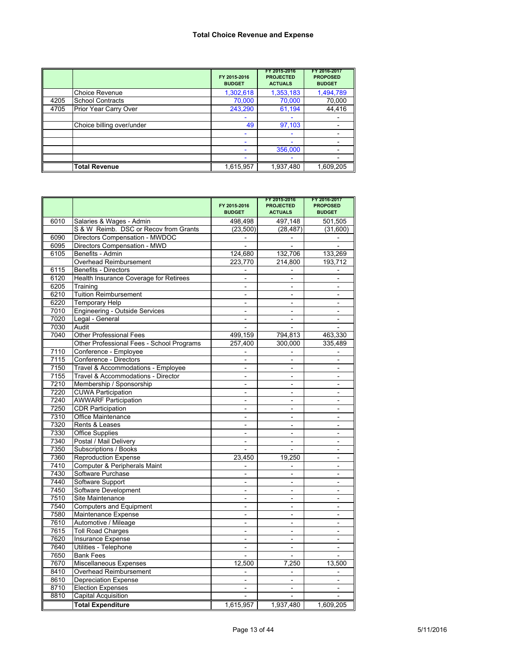#### **Total Choice Revenue and Expense**

|      |                           | FY 2015-2016<br><b>BUDGET</b> | FY 2015-2016<br><b>PROJECTED</b><br><b>ACTUALS</b> | FY 2016-2017<br><b>PROPOSED</b><br><b>BUDGET</b> |
|------|---------------------------|-------------------------------|----------------------------------------------------|--------------------------------------------------|
|      | <b>Choice Revenue</b>     | 1,302,618                     | 1,353,183                                          | 1,494,789                                        |
| 4205 | <b>School Contracts</b>   | 70,000                        | 70,000                                             | 70,000                                           |
| 4705 | Prior Year Carry Over     | 243,290                       | 61,194                                             | 44,416                                           |
|      |                           |                               |                                                    |                                                  |
|      | Choice billing over/under | 49                            | 97,103                                             |                                                  |
|      |                           |                               |                                                    |                                                  |
|      |                           |                               |                                                    |                                                  |
|      |                           |                               | 356,000                                            |                                                  |
|      |                           |                               |                                                    |                                                  |
|      | <b>Total Revenue</b>      | 1,615,957                     | 1,937,480                                          | 1,609,205                                        |

|      |                                           | FY 2015-2016<br><b>BUDGET</b> | FY 2015-2016<br><b>PROJECTED</b><br><b>ACTUALS</b> | FY 2016-2017<br><b>PROPOSED</b><br><b>BUDGET</b> |
|------|-------------------------------------------|-------------------------------|----------------------------------------------------|--------------------------------------------------|
| 6010 | Salaries & Wages - Admin                  | 498,498                       | 497,148                                            | 501,505                                          |
|      | S & W Reimb. DSC or Recov from Grants     | (23, 500)                     | (28, 487)                                          | (31,600)                                         |
| 6090 | Directors Compensation - MWDOC            | $\frac{1}{2}$                 | $\frac{1}{2}$                                      | $\blacksquare$                                   |
| 6095 | Directors Compensation - MWD              |                               |                                                    |                                                  |
| 6105 | Benefits - Admin                          | 124,680                       | 132,706                                            | 133,269                                          |
|      | Overhead Reimbursement                    | 223,770                       | 214,800                                            | 193,712                                          |
| 6115 | <b>Benefits - Directors</b>               | $\overline{\phantom{a}}$      |                                                    | $\qquad \qquad \blacksquare$                     |
| 6120 | Health Insurance Coverage for Retirees    |                               |                                                    |                                                  |
| 6205 | Training                                  |                               |                                                    |                                                  |
| 6210 | <b>Tuition Reimbursement</b>              |                               |                                                    |                                                  |
| 6220 | <b>Temporary Help</b>                     | $\overline{a}$                | $\overline{a}$                                     | $\overline{a}$                                   |
| 7010 | <b>Engineering - Outside Services</b>     | $\overline{a}$                | $\overline{a}$                                     | $\overline{\phantom{a}}$                         |
| 7020 | Legal - General                           | L,                            | $\overline{a}$                                     | $\overline{a}$                                   |
| 7030 | Audit                                     |                               |                                                    |                                                  |
| 7040 | <b>Other Professional Fees</b>            | 499,159                       | 794,813                                            | 463,330                                          |
|      | Other Professional Fees - School Programs | 257,400                       | 300,000                                            | 335,489                                          |
| 7110 | Conference - Employee                     | $\overline{\phantom{a}}$      |                                                    | $\overline{\phantom{a}}$                         |
| 7115 | Conference - Directors                    | $\blacksquare$                | $\blacksquare$                                     | $\overline{\phantom{a}}$                         |
| 7150 | Travel & Accommodations - Employee        | $\overline{a}$                | $\overline{a}$                                     | $\overline{a}$                                   |
| 7155 | Travel & Accommodations - Director        | $\overline{a}$                | $\overline{a}$                                     | $\overline{\phantom{a}}$                         |
| 7210 | Membership / Sponsorship                  | $\overline{\phantom{0}}$      | $\overline{\phantom{0}}$                           | $\overline{\phantom{0}}$                         |
| 7220 | <b>CUWA Participation</b>                 | $\blacksquare$                | $\blacksquare$                                     | $\blacksquare$                                   |
| 7240 | <b>AWWARF Participation</b>               | $\overline{\phantom{a}}$      |                                                    |                                                  |
| 7250 | <b>CDR Participation</b>                  | $\overline{a}$                | $\overline{a}$                                     | $\overline{a}$                                   |
| 7310 | Office Maintenance                        |                               |                                                    |                                                  |
| 7320 | Rents & Leases                            | $\overline{a}$                | $\overline{a}$                                     |                                                  |
| 7330 | <b>Office Supplies</b>                    | $\overline{a}$                |                                                    |                                                  |
| 7340 | Postal / Mail Delivery                    | $\overline{a}$                | $\overline{a}$                                     | $\overline{a}$                                   |
| 7350 | Subscriptions / Books                     |                               |                                                    | $\overline{a}$                                   |
| 7360 | <b>Reproduction Expense</b>               | 23,450                        | 19,250                                             | $\overline{a}$                                   |
| 7410 | <b>Computer &amp; Peripherals Maint</b>   |                               |                                                    | $\overline{a}$                                   |
| 7430 | Software Purchase                         | $\overline{a}$                | $\overline{a}$                                     | L,                                               |
| 7440 | Software Support                          | $\blacksquare$                | $\overline{a}$                                     | ÷                                                |
| 7450 | Software Development                      |                               |                                                    |                                                  |
| 7510 | Site Maintenance                          | $\overline{a}$                | $\blacksquare$                                     | $\blacksquare$                                   |
| 7540 | <b>Computers and Equipment</b>            | $\overline{a}$                | $\overline{a}$                                     | $\overline{a}$                                   |
| 7580 | Maintenance Expense                       | $\blacksquare$                | $\blacksquare$                                     | $\blacksquare$                                   |
| 7610 | Automotive / Mileage                      | $\overline{\phantom{0}}$      |                                                    | $\overline{\phantom{0}}$                         |
| 7615 | <b>Toll Road Charges</b>                  | $\blacksquare$                | $\blacksquare$                                     | $\blacksquare$                                   |
| 7620 | Insurance Expense                         | $\overline{\phantom{0}}$      |                                                    | $\overline{a}$                                   |
| 7640 | Utilities - Telephone                     | $\overline{\phantom{m}}$      | $\overline{\phantom{0}}$                           | $\qquad \qquad \blacksquare$                     |
| 7650 | <b>Bank Fees</b>                          |                               |                                                    |                                                  |
| 7670 | Miscellaneous Expenses                    | 12,500                        | 7.250                                              | 13,500                                           |
| 8410 | Overhead Reimbursement                    | $\overline{a}$                |                                                    |                                                  |
| 8610 | <b>Depreciation Expense</b>               | $\overline{a}$                | $\overline{a}$                                     | $\overline{a}$                                   |
| 8710 | <b>Election Expenses</b>                  | ÷,                            | $\overline{a}$                                     |                                                  |
| 8810 | <b>Capital Acquisition</b>                |                               |                                                    |                                                  |
|      | <b>Total Expenditure</b>                  | 1,615,957                     | 1,937,480                                          | 1.609.205                                        |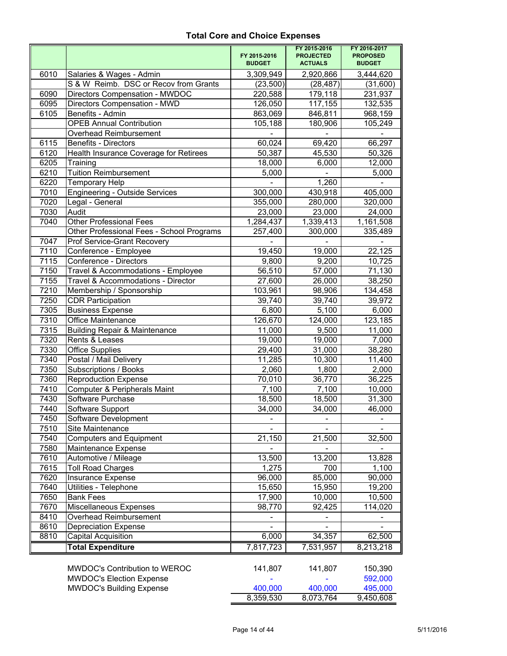## **Total Core and Choice Expenses**

|                   |                                           |                               | FY 2015-2016                       | FY 2016-2017                     |
|-------------------|-------------------------------------------|-------------------------------|------------------------------------|----------------------------------|
|                   |                                           | FY 2015-2016<br><b>BUDGET</b> | <b>PROJECTED</b><br><b>ACTUALS</b> | <b>PROPOSED</b><br><b>BUDGET</b> |
| 6010              | Salaries & Wages - Admin                  | 3,309,949                     | 2,920,866                          | 3,444,620                        |
|                   | S & W Reimb. DSC or Recov from Grants     | (23,500)                      | (28, 487)                          | (31,600)                         |
| 6090              | Directors Compensation - MWDOC            | 220,588                       | 179,118                            | 231,937                          |
| 6095              | Directors Compensation - MWD              | 126,050                       | 117,155                            | 132,535                          |
| 6105              | Benefits - Admin                          | 863,069                       | 846,811                            | 968,159                          |
|                   | <b>OPEB Annual Contribution</b>           | 105,188                       | 180,906                            | 105,249                          |
|                   | Overhead Reimbursement                    |                               |                                    |                                  |
| 6115              | <b>Benefits - Directors</b>               | 60,024                        | 69,420                             | 66,297                           |
| 6120              | Health Insurance Coverage for Retirees    | 50,387                        | 45,530                             | 50,326                           |
| 6205              | Training                                  | 18,000                        | 6,000                              | $\overline{12,000}$              |
| 6210              | <b>Tuition Reimbursement</b>              | 5,000                         |                                    | 5,000                            |
| $\overline{622}0$ | <b>Temporary Help</b>                     |                               | 1,260                              |                                  |
| 7010              | <b>Engineering - Outside Services</b>     | 300,000                       | 430,918                            | 405,000                          |
| 7020              | Legal - General                           | 355,000                       | 280,000                            | 320,000                          |
| 7030              | Audit                                     | 23,000                        | 23,000                             | 24,000                           |
| 7040              | <b>Other Professional Fees</b>            | 1,284,437                     | 1,339,413                          | 1,161,508                        |
|                   | Other Professional Fees - School Programs | 257,400                       | 300,000                            | 335,489                          |
| 7047              | Prof Service-Grant Recovery               |                               |                                    |                                  |
| 7110              | Conference - Employee                     | 19,450                        | 19,000                             | 22,125                           |
| 7115              | Conference - Directors                    | 9,800                         | 9,200                              | 10,725                           |
| 7150              | Travel & Accommodations - Employee        | 56,510                        | 57,000                             | 71,130                           |
| 7155              | Travel & Accommodations - Director        | 27,600                        | 26,000                             | 38,250                           |
| 7210              | Membership / Sponsorship                  | 103,961                       | 98,906                             | 134,458                          |
| 7250              | <b>CDR Participation</b>                  | 39,740                        | 39,740                             | 39,972                           |
| 7305              | <b>Business Expense</b>                   | 6,800                         | 5,100                              | 6,000                            |
| 7310              | <b>Office Maintenance</b>                 | 126,670                       | 124,000                            | 123,185                          |
| 7315              | <b>Building Repair &amp; Maintenance</b>  | 11,000                        | 9,500                              | 11,000                           |
| 7320              | Rents & Leases                            | 19,000                        | 19,000                             | 7,000                            |
| 7330              | <b>Office Supplies</b>                    | 29,400                        | 31,000                             | 38,280                           |
| 7340              | Postal / Mail Delivery                    | 11,285                        | 10,300                             | 11,400                           |
| 7350              | Subscriptions / Books                     | 2,060                         | 1,800                              | 2,000                            |
| 7360              | <b>Reproduction Expense</b>               | 70,010                        | 36,770                             | 36,225                           |
| 7410              | Computer & Peripherals Maint              | 7,100                         | 7,100                              | 10,000                           |
| 7430              | Software Purchase                         | 18,500                        | 18,500                             | 31,300                           |
| 7440              | Software Support                          | 34,000                        | 34,000                             | 46,000                           |
| 7450              | Software Development                      | ٠                             | ۰                                  |                                  |
| 7510              | Site Maintenance                          |                               |                                    |                                  |
| 7540              | Computers and Equipment                   | 21,150                        | 21,500                             | 32,500                           |
| 7580              | Maintenance Expense                       |                               |                                    |                                  |
| 7610              | Automotive / Mileage                      | 13,500                        | 13,200                             | 13,828                           |
| 7615              | <b>Toll Road Charges</b>                  | 1,275                         | 700                                | 1,100                            |
| 7620              | Insurance Expense                         | 96,000                        | 85,000                             | 90,000                           |
| 7640              | Utilities - Telephone                     | 15,650                        | 15,950                             | 19,200                           |
| 7650              | <b>Bank Fees</b>                          | 17,900                        | 10,000                             | 10,500                           |
| 7670              | Miscellaneous Expenses                    | 98,770                        | 92,425                             | 114,020                          |
| 8410              | Overhead Reimbursement                    |                               |                                    |                                  |
| 8610              | <b>Depreciation Expense</b>               |                               |                                    |                                  |
| 8810              | Capital Acquisition                       | 6,000                         | 34,357                             | 62,500                           |
|                   | <b>Total Expenditure</b>                  | 7,817,723                     | 7,531,957                          | 8,213,218                        |
|                   |                                           |                               |                                    |                                  |
|                   | MWDOC's Contribution to WEROC             | 141,807                       | 141,807                            | 150,390                          |
|                   | <b>MWDOC's Election Expense</b>           |                               |                                    | 592,000                          |
|                   | <b>MWDOC's Building Expense</b>           | 400,000                       | 400,000                            | 495,000                          |
|                   |                                           | 8,359,530                     | 8,073,764                          | 9,450,608                        |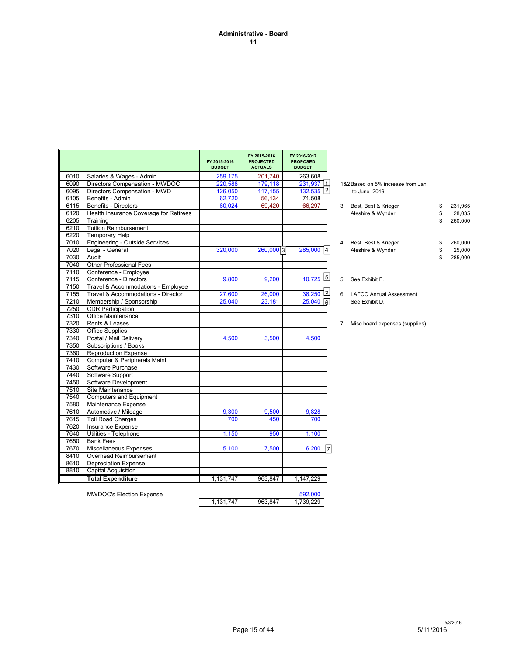#### **Administrative - Board 11**

|      |                                        | FY 2015-2016<br><b>BUDGET</b> | FY 2015-2016<br><b>PROJECTED</b><br><b>ACTUALS</b> | FY 2016-2017<br><b>PROPOSED</b><br><b>BUDGET</b> |                |                                   |               |
|------|----------------------------------------|-------------------------------|----------------------------------------------------|--------------------------------------------------|----------------|-----------------------------------|---------------|
| 6010 | Salaries & Wages - Admin               | 259,175                       | 201,740                                            | 263,608                                          |                |                                   |               |
| 6090 | Directors Compensation - MWDOC         | 220,588                       | 179,118                                            | 231,937 1                                        |                | 1&2 Based on 5% increase from Jan |               |
| 6095 | Directors Compensation - MWD           | 126,050                       | 117,155                                            | 132,535 2                                        |                | to June 2016.                     |               |
| 6105 | Benefits - Admin                       | 62,720                        | 56,134                                             | 71,508                                           |                |                                   |               |
| 6115 | <b>Benefits - Directors</b>            | 60,024                        | 69,420                                             | 66,297                                           | 3              | Best, Best & Krieger              | \$<br>231,965 |
| 6120 | Health Insurance Coverage for Retirees |                               |                                                    |                                                  |                | Aleshire & Wynder                 | \$<br>28,035  |
| 6205 | Training                               |                               |                                                    |                                                  |                |                                   | 260,000       |
| 6210 | <b>Tuition Reimbursement</b>           |                               |                                                    |                                                  |                |                                   |               |
| 6220 | <b>Temporary Help</b>                  |                               |                                                    |                                                  |                |                                   |               |
| 7010 | <b>Engineering - Outside Services</b>  |                               |                                                    |                                                  | 4              | Best, Best & Krieger              | \$<br>260,000 |
| 7020 | Legal - General                        | 320,000                       | 260,000 3                                          | 285,000<br>14                                    |                | Aleshire & Wynder                 | \$<br>25,000  |
| 7030 | Audit                                  |                               |                                                    |                                                  |                |                                   | 285,000       |
| 7040 | <b>Other Professional Fees</b>         |                               |                                                    |                                                  |                |                                   |               |
| 7110 | Conference - Employee                  |                               |                                                    |                                                  |                |                                   |               |
| 7115 | Conference - Directors                 | 9.800                         | 9.200                                              | 15 <br>10.725                                    | 5              | See Exhibit F.                    |               |
| 7150 | Travel & Accommodations - Employee     |                               |                                                    |                                                  |                |                                   |               |
| 7155 | Travel & Accommodations - Director     | 27,600                        | 26,000                                             | 녝<br>38,250                                      | 6              | <b>LAFCO Annual Assessment</b>    |               |
| 7210 | Membership / Sponsorship               | 25,040                        | 23,181                                             | 25,040<br>6                                      |                | See Exhibit D.                    |               |
| 7250 | <b>CDR Participation</b>               |                               |                                                    |                                                  |                |                                   |               |
| 7310 | Office Maintenance                     |                               |                                                    |                                                  |                |                                   |               |
| 7320 | Rents & Leases                         |                               |                                                    |                                                  | $\overline{7}$ | Misc board expenses (supplies)    |               |
| 7330 | <b>Office Supplies</b>                 |                               |                                                    |                                                  |                |                                   |               |
| 7340 | Postal / Mail Delivery                 | 4,500                         | 3,500                                              | 4,500                                            |                |                                   |               |
| 7350 | Subscriptions / Books                  |                               |                                                    |                                                  |                |                                   |               |
| 7360 | <b>Reproduction Expense</b>            |                               |                                                    |                                                  |                |                                   |               |
| 7410 | Computer & Peripherals Maint           |                               |                                                    |                                                  |                |                                   |               |
| 7430 | Software Purchase                      |                               |                                                    |                                                  |                |                                   |               |
| 7440 | Software Support                       |                               |                                                    |                                                  |                |                                   |               |
| 7450 | Software Development                   |                               |                                                    |                                                  |                |                                   |               |
| 7510 | Site Maintenance                       |                               |                                                    |                                                  |                |                                   |               |
| 7540 | <b>Computers and Equipment</b>         |                               |                                                    |                                                  |                |                                   |               |
| 7580 | Maintenance Expense                    |                               |                                                    |                                                  |                |                                   |               |
| 7610 | Automotive / Mileage                   | 9,300                         | 9,500                                              | 9,828                                            |                |                                   |               |
| 7615 | <b>Toll Road Charges</b>               | 700                           | 450                                                | 700                                              |                |                                   |               |
| 7620 | <b>Insurance Expense</b>               |                               |                                                    |                                                  |                |                                   |               |
| 7640 | Utilities - Telephone                  | 1,150                         | 950                                                | 1,100                                            |                |                                   |               |
| 7650 | <b>Bank Fees</b>                       |                               |                                                    |                                                  |                |                                   |               |
| 7670 | <b>Miscellaneous Expenses</b>          | 5,100                         | 7,500                                              | 6,200<br>17                                      |                |                                   |               |
| 8410 | Overhead Reimbursement                 |                               |                                                    |                                                  |                |                                   |               |
| 8610 | <b>Depreciation Expense</b>            |                               |                                                    |                                                  |                |                                   |               |
| 8810 | <b>Capital Acquisition</b>             |                               |                                                    |                                                  |                |                                   |               |
|      | <b>Total Expenditure</b>               | 1,131,747                     | 963.847                                            | 1,147,229                                        |                |                                   |               |
|      |                                        |                               |                                                    |                                                  |                |                                   |               |

| 3 | Best, Best & Krieger<br>Aleshire & Wynder | S<br>S | 231.965<br>28,035 |
|---|-------------------------------------------|--------|-------------------|
|   |                                           | S      | 260.000           |
|   |                                           |        |                   |
| 4 | Best, Best & Krieger                      | S      | 260.000           |
|   | Aleshire & Wynder                         | S      | 25.000            |

MWDOC's Election Expense 592,000<br>
1,131,747 963,847 1,739,229

 $5/11/2016$ <br>5/11/2016

1, 131, 747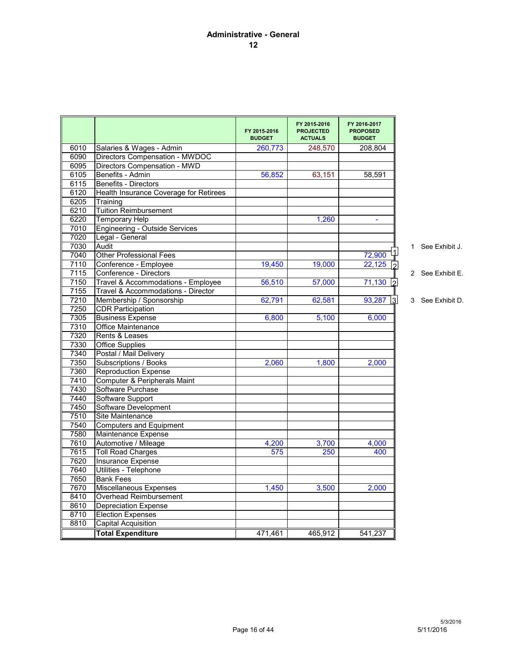|      |                                        | FY 2015-2016<br><b>BUDGET</b> | FY 2015-2016<br><b>PROJECTED</b><br><b>ACTUALS</b> | FY 2016-2017<br><b>PROPOSED</b><br><b>BUDGET</b> |  |                  |
|------|----------------------------------------|-------------------------------|----------------------------------------------------|--------------------------------------------------|--|------------------|
| 6010 | Salaries & Wages - Admin               | 260,773                       | 248,570                                            | 208,804                                          |  |                  |
| 6090 | Directors Compensation - MWDOC         |                               |                                                    |                                                  |  |                  |
| 6095 | Directors Compensation - MWD           |                               |                                                    |                                                  |  |                  |
| 6105 | Benefits - Admin                       | 56,852                        | 63,151                                             | 58,591                                           |  |                  |
| 6115 | <b>Benefits - Directors</b>            |                               |                                                    |                                                  |  |                  |
| 6120 | Health Insurance Coverage for Retirees |                               |                                                    |                                                  |  |                  |
| 6205 | Training                               |                               |                                                    |                                                  |  |                  |
| 6210 | <b>Tuition Reimbursement</b>           |                               |                                                    |                                                  |  |                  |
| 6220 | <b>Temporary Help</b>                  |                               | 1,260                                              |                                                  |  |                  |
| 7010 | Engineering - Outside Services         |                               |                                                    |                                                  |  |                  |
| 7020 | Legal - General                        |                               |                                                    |                                                  |  |                  |
| 7030 | Audit                                  |                               |                                                    |                                                  |  | 1 See Exhibit J. |
| 7040 | <b>Other Professional Fees</b>         |                               |                                                    | 72,900                                           |  |                  |
| 7110 | Conference - Employee                  | 19,450                        | 19,000                                             | 22,125                                           |  |                  |
| 7115 | Conference - Directors                 |                               |                                                    |                                                  |  | 2 See Exhibit E. |
| 7150 | Travel & Accommodations - Employee     | 56,510                        | 57,000                                             | 71,130                                           |  |                  |
| 7155 | Travel & Accommodations - Director     |                               |                                                    |                                                  |  |                  |
| 7210 | Membership / Sponsorship               | 62,791                        | 62,581                                             | 93,287<br>lЗ.                                    |  | 3 See Exhibit D. |
| 7250 | <b>CDR Participation</b>               |                               |                                                    |                                                  |  |                  |
| 7305 | <b>Business Expense</b>                | 6,800                         | 5,100                                              | 6,000                                            |  |                  |
| 7310 | Office Maintenance                     |                               |                                                    |                                                  |  |                  |
| 7320 | Rents & Leases                         |                               |                                                    |                                                  |  |                  |
| 7330 | <b>Office Supplies</b>                 |                               |                                                    |                                                  |  |                  |
| 7340 | Postal / Mail Delivery                 |                               |                                                    |                                                  |  |                  |
| 7350 | Subscriptions / Books                  | 2,060                         | 1,800                                              | 2,000                                            |  |                  |
| 7360 | <b>Reproduction Expense</b>            |                               |                                                    |                                                  |  |                  |
| 7410 | Computer & Peripherals Maint           |                               |                                                    |                                                  |  |                  |
| 7430 | Software Purchase                      |                               |                                                    |                                                  |  |                  |
| 7440 | Software Support                       |                               |                                                    |                                                  |  |                  |
| 7450 | Software Development                   |                               |                                                    |                                                  |  |                  |
| 7510 | Site Maintenance                       |                               |                                                    |                                                  |  |                  |
| 7540 | <b>Computers and Equipment</b>         |                               |                                                    |                                                  |  |                  |
| 7580 | Maintenance Expense                    |                               |                                                    |                                                  |  |                  |
| 7610 | Automotive / Mileage                   | 4,200                         | 3,700                                              | 4,000                                            |  |                  |
| 7615 | <b>Toll Road Charges</b>               | 575                           | 250                                                | 400                                              |  |                  |
| 7620 | Insurance Expense                      |                               |                                                    |                                                  |  |                  |
| 7640 | Utilities - Telephone                  |                               |                                                    |                                                  |  |                  |
| 7650 | <b>Bank Fees</b>                       |                               |                                                    |                                                  |  |                  |
| 7670 | Miscellaneous Expenses                 | 1,450                         | 3,500                                              | 2,000                                            |  |                  |
| 8410 | Overhead Reimbursement                 |                               |                                                    |                                                  |  |                  |
| 8610 | <b>Depreciation Expense</b>            |                               |                                                    |                                                  |  |                  |
| 8710 | <b>Election Expenses</b>               |                               |                                                    |                                                  |  |                  |
| 8810 | <b>Capital Acquisition</b>             |                               |                                                    |                                                  |  |                  |
|      | <b>Total Expenditure</b>               | 471,461                       | 465.912                                            | 541.237                                          |  |                  |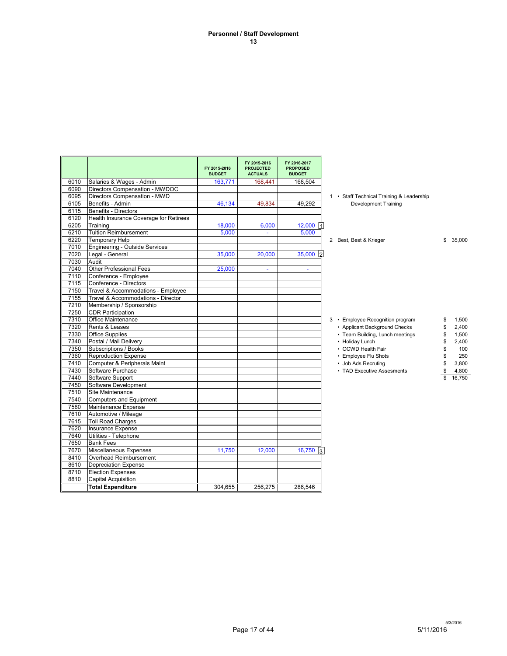#### **Personnel / Staff Development 13**

|      |                                        | FY 2015-2016<br><b>BUDGET</b> | FY 2015-2016<br><b>PROJECTED</b><br><b>ACTUALS</b> | FY 2016-2017<br><b>PROPOSED</b><br><b>BUDGET</b> |  |                                           |              |
|------|----------------------------------------|-------------------------------|----------------------------------------------------|--------------------------------------------------|--|-------------------------------------------|--------------|
| 6010 | Salaries & Wages - Admin               | 163,771                       | 168,441                                            | 168,504                                          |  |                                           |              |
| 6090 | Directors Compensation - MWDOC         |                               |                                                    |                                                  |  |                                           |              |
| 6095 | Directors Compensation - MWD           |                               |                                                    |                                                  |  | 1 • Staff Technical Training & Leadership |              |
| 6105 | Benefits - Admin                       | 46,134                        | 49.834                                             | 49.292                                           |  | <b>Development Training</b>               |              |
| 6115 | Benefits - Directors                   |                               |                                                    |                                                  |  |                                           |              |
| 6120 | Health Insurance Coverage for Retirees |                               |                                                    |                                                  |  |                                           |              |
| 6205 | Training                               | 18,000                        | 6,000                                              | 12,000                                           |  |                                           |              |
| 6210 | <b>Tuition Reimbursement</b>           | 5.000                         | $\sim$                                             | 5.000                                            |  |                                           |              |
| 6220 | <b>Temporary Help</b>                  |                               |                                                    |                                                  |  | 2 Best, Best & Krieger                    | \$<br>35,000 |
| 7010 | Engineering - Outside Services         |                               |                                                    |                                                  |  |                                           |              |
| 7020 | Legal - General                        | 35,000                        | 20.000                                             | $35,000$ 2                                       |  |                                           |              |
| 7030 | Audit                                  |                               |                                                    |                                                  |  |                                           |              |
| 7040 | <b>Other Professional Fees</b>         | 25,000                        | $\sim$                                             | $\sim$                                           |  |                                           |              |
| 7110 | Conference - Employee                  |                               |                                                    |                                                  |  |                                           |              |
| 7115 | Conference - Directors                 |                               |                                                    |                                                  |  |                                           |              |
| 7150 | Travel & Accommodations - Employee     |                               |                                                    |                                                  |  |                                           |              |
| 7155 | Travel & Accommodations - Director     |                               |                                                    |                                                  |  |                                           |              |
| 7210 | Membership / Sponsorship               |                               |                                                    |                                                  |  |                                           |              |
| 7250 | <b>CDR Participation</b>               |                               |                                                    |                                                  |  |                                           |              |
| 7310 | Office Maintenance                     |                               |                                                    |                                                  |  | 3 • Employee Recognition program          | \$<br>1,500  |
| 7320 | Rents & Leases                         |                               |                                                    |                                                  |  | • Applicant Background Checks             | \$<br>2,400  |
| 7330 | <b>Office Supplies</b>                 |                               |                                                    |                                                  |  | • Team Building, Lunch meetings           | \$<br>1,500  |
| 7340 | Postal / Mail Delivery                 |                               |                                                    |                                                  |  | • Holiday Lunch                           | \$<br>2,400  |
| 7350 | Subscriptions / Books                  |                               |                                                    |                                                  |  | • OCWD Health Fair                        | \$<br>100    |
| 7360 | <b>Reproduction Expense</b>            |                               |                                                    |                                                  |  | • Employee Flu Shots                      | \$<br>250    |
| 7410 | Computer & Peripherals Maint           |                               |                                                    |                                                  |  | • Job Ads Recruting                       | \$<br>3,800  |
| 7430 | Software Purchase                      |                               |                                                    |                                                  |  | • TAD Executive Assesments                | 4,800        |
| 7440 | Software Support                       |                               |                                                    |                                                  |  |                                           | 16.750       |
| 7450 | Software Development                   |                               |                                                    |                                                  |  |                                           |              |
| 7510 | Site Maintenance                       |                               |                                                    |                                                  |  |                                           |              |
| 7540 | <b>Computers and Equipment</b>         |                               |                                                    |                                                  |  |                                           |              |
| 7580 | Maintenance Expense                    |                               |                                                    |                                                  |  |                                           |              |
| 7610 | Automotive / Mileage                   |                               |                                                    |                                                  |  |                                           |              |
| 7615 | <b>Toll Road Charges</b>               |                               |                                                    |                                                  |  |                                           |              |
| 7620 | <b>Insurance Expense</b>               |                               |                                                    |                                                  |  |                                           |              |
| 7640 | Utilities - Telephone                  |                               |                                                    |                                                  |  |                                           |              |
| 7650 | <b>Bank Fees</b>                       |                               |                                                    |                                                  |  |                                           |              |
| 7670 | Miscellaneous Expenses                 | 11,750                        | 12.000                                             | $16,750$ 3                                       |  |                                           |              |
| 8410 | Overhead Reimbursement                 |                               |                                                    |                                                  |  |                                           |              |
| 8610 | <b>Depreciation Expense</b>            |                               |                                                    |                                                  |  |                                           |              |
| 8710 | <b>Election Expenses</b>               |                               |                                                    |                                                  |  |                                           |              |
| 8810 | <b>Capital Acquisition</b>             |                               |                                                    |                                                  |  |                                           |              |
|      | <b>Total Expenditure</b>               | 304.655                       | 256.275                                            | 286.546                                          |  |                                           |              |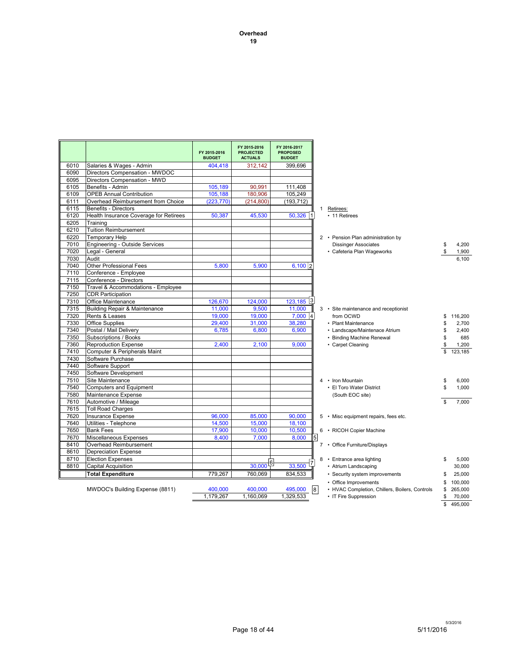**Overhead 19**

|      |                                          | FY 2015-2016<br><b>BUDGET</b> | FY 2015-2016<br><b>PROJECTED</b><br><b>ACTUALS</b> | FY 2016-2017<br><b>PROPOSED</b><br><b>BUDGET</b> |   |                                                |               |
|------|------------------------------------------|-------------------------------|----------------------------------------------------|--------------------------------------------------|---|------------------------------------------------|---------------|
| 6010 | Salaries & Wages - Admin                 | 404,418                       | 312,142                                            | 399,696                                          |   |                                                |               |
| 6090 | Directors Compensation - MWDOC           |                               |                                                    |                                                  |   |                                                |               |
| 6095 | Directors Compensation - MWD             |                               |                                                    |                                                  |   |                                                |               |
| 6105 | Benefits - Admin                         | 105,189                       | 90,991                                             | 111.408                                          |   |                                                |               |
| 6109 | <b>OPEB Annual Contribution</b>          | 105,188                       | 180,906                                            | 105,249                                          |   |                                                |               |
| 6111 | Overhead Reimbursement from Choice       | (223, 770)                    | (214, 800)                                         | (193, 712)                                       |   |                                                |               |
| 6115 | <b>Benefits - Directors</b>              |                               |                                                    |                                                  |   | $\mathbf{1}$<br>Retirees:                      |               |
| 6120 | Health Insurance Coverage for Retirees   | 50,387                        | 45,530                                             | $50,326$ 1                                       |   | • 11 Retirees                                  |               |
| 6205 | Training                                 |                               |                                                    |                                                  |   |                                                |               |
| 6210 | <b>Tuition Reimbursement</b>             |                               |                                                    |                                                  |   |                                                |               |
| 6220 | <b>Temporary Help</b>                    |                               |                                                    |                                                  |   | 2 • Pension Plan administration by             |               |
| 7010 | <b>Engineering - Outside Services</b>    |                               |                                                    |                                                  |   | <b>Dissinger Associates</b>                    | \$<br>4,200   |
| 7020 | Legal - General                          |                               |                                                    |                                                  |   | • Cafeteria Plan Wageworks                     | \$<br>1,900   |
| 7030 | Audit                                    |                               |                                                    |                                                  |   |                                                | 6.100         |
| 7040 | <b>Other Professional Fees</b>           | 5,800                         | 5,900                                              | 6,100 2                                          |   |                                                |               |
| 7110 | Conference - Employee                    |                               |                                                    |                                                  |   |                                                |               |
| 7115 | Conference - Directors                   |                               |                                                    |                                                  |   |                                                |               |
| 7150 | Travel & Accommodations - Employee       |                               |                                                    |                                                  |   |                                                |               |
| 7250 | <b>CDR Participation</b>                 |                               |                                                    |                                                  |   |                                                |               |
| 7310 | Office Maintenance                       | 126,670                       | 124,000                                            | 13<br>123,185                                    |   |                                                |               |
| 7315 | <b>Building Repair &amp; Maintenance</b> | 11,000                        | 9,500                                              | 11,000                                           |   | 3 • Site maintenance and receptionist          |               |
| 7320 | Rents & Leases                           | 19,000                        | 19,000                                             | $7,000$  4                                       |   | from OCWD                                      | \$<br>116,200 |
| 7330 | <b>Office Supplies</b>                   | 29,400                        | 31,000                                             | 38,280                                           |   | • Plant Maintenance                            | \$<br>2,700   |
| 7340 | Postal / Mail Delivery                   | 6.785                         | 6,800                                              | 6.900                                            |   | • Landscape/Maintenace Atrium                  | \$<br>2,400   |
| 7350 | Subscriptions / Books                    |                               |                                                    |                                                  |   | • Binding Machine Renewal                      | \$<br>685     |
| 7360 | <b>Reproduction Expense</b>              | 2,400                         | 2,100                                              | 9,000                                            |   | • Carpet Cleaning                              | \$<br>1,200   |
| 7410 | Computer & Peripherals Maint             |                               |                                                    |                                                  |   |                                                | \$<br>123.185 |
| 7430 | Software Purchase                        |                               |                                                    |                                                  |   |                                                |               |
| 7440 | Software Support                         |                               |                                                    |                                                  |   |                                                |               |
| 7450 | Software Development                     |                               |                                                    |                                                  |   |                                                |               |
| 7510 | Site Maintenance                         |                               |                                                    |                                                  |   | 4 • Iron Mountain                              | \$<br>6,000   |
| 7540 | <b>Computers and Equipment</b>           |                               |                                                    |                                                  |   | • El Toro Water District                       | \$<br>1,000   |
| 7580 | Maintenance Expense                      |                               |                                                    |                                                  |   | (South EOC site)                               |               |
| 7610 | Automotive / Mileage                     |                               |                                                    |                                                  |   |                                                | \$<br>7,000   |
| 7615 | <b>Toll Road Charges</b>                 |                               |                                                    |                                                  |   |                                                |               |
| 7620 | Insurance Expense                        | 96,000                        | 85,000                                             | 90,000                                           |   | 5 • Misc equipment repairs, fees etc.          |               |
| 7640 | Utilities - Telephone                    | 14,500                        | 15,000                                             | 18,100                                           |   |                                                |               |
| 7650 | <b>Bank Fees</b>                         | 17,900                        | 10.000                                             | 10,500                                           |   | 6 • RICOH Copier Machine                       |               |
| 7670 | Miscellaneous Expenses                   | 8,400                         | 7,000                                              | 8,000                                            | 5 |                                                |               |
| 8410 | Overhead Reimbursement                   |                               |                                                    |                                                  |   | 7 • Office Furniture/Displays                  |               |
| 8610 | <b>Depreciation Expense</b>              |                               |                                                    |                                                  |   |                                                |               |
| 8710 | <b>Election Expenses</b>                 |                               |                                                    |                                                  |   | 8 • Entrance area lighting                     | \$<br>5,000   |
| 8810 | Capital Acquisition                      |                               | $30,000$ <sup>[6]</sup>                            | 33,500                                           | 7 | • Atrium Landscaping                           | 30,000        |
|      | <b>Total Expenditure</b>                 | 779,267                       | 760.069                                            | 834.533                                          |   | • Security system improvements                 | 25,000        |
|      |                                          |                               |                                                    |                                                  |   | • Office Improvements                          | \$<br>100,000 |
|      | MWDOC's Building Expense (8811)          | 400,000                       | 400.000                                            | 495,000                                          | 8 | • HVAC Completion, Chillers, Boilers, Controls | \$<br>265,000 |
|      |                                          | 1,179,267                     | 1,160,069                                          | 1,329,533                                        |   | • IT Fire Suppression                          | \$<br>70,000  |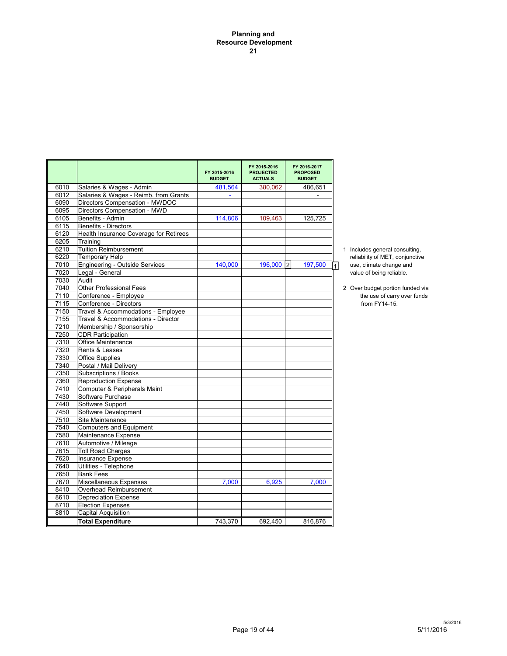#### **Planning and Resource Development 21**

|              |                                                       | FY 2015-2016<br><b>BUDGET</b> | FY 2015-2016<br><b>PROJECTED</b><br><b>ACTUALS</b> | FY 2016-2017<br><b>PROPOSED</b><br><b>BUDGET</b> |                                              |
|--------------|-------------------------------------------------------|-------------------------------|----------------------------------------------------|--------------------------------------------------|----------------------------------------------|
| 6010         | Salaries & Wages - Admin                              | 481,564                       | 380,062                                            | 486,651                                          |                                              |
| 6012         | Salaries & Wages - Reimb. from Grants                 |                               |                                                    |                                                  |                                              |
| 6090         | Directors Compensation - MWDOC                        |                               |                                                    |                                                  |                                              |
| 6095         | Directors Compensation - MWD                          |                               |                                                    |                                                  |                                              |
| 6105         | Benefits - Admin                                      | 114,806                       | 109,463                                            | 125,725                                          |                                              |
| 6115         | <b>Benefits - Directors</b>                           |                               |                                                    |                                                  |                                              |
| 6120         | Health Insurance Coverage for Retirees                |                               |                                                    |                                                  |                                              |
| 6205         | Training                                              |                               |                                                    |                                                  |                                              |
| 6210         | <b>Tuition Reimbursement</b>                          |                               |                                                    |                                                  | 1 Includes general consulting,               |
| 6220         | <b>Temporary Help</b>                                 |                               |                                                    |                                                  | reliability of MET, conjunctive              |
| 7010         | Engineering - Outside Services                        | 140,000                       | 196,000 2                                          | 197,500                                          | use, climate change and<br>1                 |
| 7020         | Legal - General                                       |                               |                                                    |                                                  | value of being reliable.                     |
| 7030         | Audit<br><b>Other Professional Fees</b>               |                               |                                                    |                                                  |                                              |
| 7040<br>7110 | Conference - Employee                                 |                               |                                                    |                                                  | 2 Over budget portion funded via             |
| 7115         | Conference - Directors                                |                               |                                                    |                                                  | the use of carry over funds<br>from FY14-15. |
| 7150         | Travel & Accommodations - Employee                    |                               |                                                    |                                                  |                                              |
| 7155         | Travel & Accommodations - Director                    |                               |                                                    |                                                  |                                              |
| 7210         | Membership / Sponsorship                              |                               |                                                    |                                                  |                                              |
| 7250         | <b>CDR Participation</b>                              |                               |                                                    |                                                  |                                              |
| 7310         | <b>Office Maintenance</b>                             |                               |                                                    |                                                  |                                              |
| 7320         | Rents & Leases                                        |                               |                                                    |                                                  |                                              |
| 7330         | <b>Office Supplies</b>                                |                               |                                                    |                                                  |                                              |
| 7340         | Postal / Mail Deliverv                                |                               |                                                    |                                                  |                                              |
| 7350         | Subscriptions / Books                                 |                               |                                                    |                                                  |                                              |
| 7360         | <b>Reproduction Expense</b>                           |                               |                                                    |                                                  |                                              |
| 7410         | Computer & Peripherals Maint                          |                               |                                                    |                                                  |                                              |
| 7430         | Software Purchase                                     |                               |                                                    |                                                  |                                              |
| 7440         | Software Support                                      |                               |                                                    |                                                  |                                              |
| 7450         | Software Development                                  |                               |                                                    |                                                  |                                              |
| 7510         | Site Maintenance                                      |                               |                                                    |                                                  |                                              |
| 7540         | <b>Computers and Equipment</b>                        |                               |                                                    |                                                  |                                              |
| 7580         | Maintenance Expense                                   |                               |                                                    |                                                  |                                              |
| 7610         | Automotive / Mileage                                  |                               |                                                    |                                                  |                                              |
| 7615         | <b>Toll Road Charges</b>                              |                               |                                                    |                                                  |                                              |
| 7620         | Insurance Expense                                     |                               |                                                    |                                                  |                                              |
| 7640         | Utilities - Telephone                                 |                               |                                                    |                                                  |                                              |
| 7650         | <b>Bank Fees</b>                                      |                               |                                                    |                                                  |                                              |
| 7670         | Miscellaneous Expenses                                | 7.000                         | 6,925                                              | 7.000                                            |                                              |
| 8410<br>8610 | Overhead Reimbursement<br><b>Depreciation Expense</b> |                               |                                                    |                                                  |                                              |
| 8710         | <b>Election Expenses</b>                              |                               |                                                    |                                                  |                                              |
| 8810         | <b>Capital Acquisition</b>                            |                               |                                                    |                                                  |                                              |
|              | <b>Total Expenditure</b>                              | 743.370                       | 692,450                                            | 816,876                                          |                                              |
|              |                                                       |                               |                                                    |                                                  |                                              |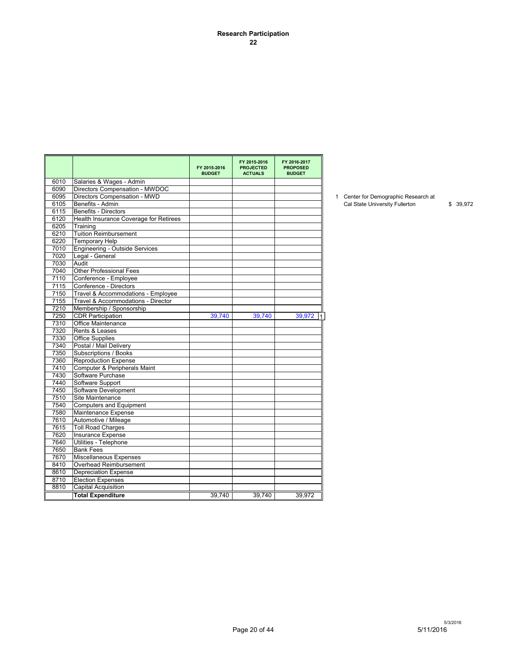#### **Research Participation 22**

|      |                                        | FY 2015-2016<br><b>BUDGET</b> | FY 2015-2016<br><b>PROJECTED</b><br><b>ACTUALS</b> | FY 2016-2017<br><b>PROPOSED</b><br><b>BUDGET</b> |
|------|----------------------------------------|-------------------------------|----------------------------------------------------|--------------------------------------------------|
| 6010 | Salaries & Wages - Admin               |                               |                                                    |                                                  |
| 6090 | Directors Compensation - MWDOC         |                               |                                                    |                                                  |
| 6095 | Directors Compensation - MWD           |                               |                                                    |                                                  |
| 6105 | Benefits - Admin                       |                               |                                                    |                                                  |
| 6115 | Benefits - Directors                   |                               |                                                    |                                                  |
| 6120 | Health Insurance Coverage for Retirees |                               |                                                    |                                                  |
| 6205 | Training                               |                               |                                                    |                                                  |
| 6210 | <b>Tuition Reimbursement</b>           |                               |                                                    |                                                  |
| 6220 | <b>Temporary Help</b>                  |                               |                                                    |                                                  |
| 7010 | <b>Engineering - Outside Services</b>  |                               |                                                    |                                                  |
| 7020 | Legal - General                        |                               |                                                    |                                                  |
| 7030 | Audit                                  |                               |                                                    |                                                  |
| 7040 | <b>Other Professional Fees</b>         |                               |                                                    |                                                  |
| 7110 | Conference - Employee                  |                               |                                                    |                                                  |
| 7115 | Conference - Directors                 |                               |                                                    |                                                  |
| 7150 | Travel & Accommodations - Employee     |                               |                                                    |                                                  |
| 7155 | Travel & Accommodations - Director     |                               |                                                    |                                                  |
| 7210 | Membership / Sponsorship               |                               |                                                    |                                                  |
| 7250 | <b>CDR Participation</b>               | 39,740                        | 39,740                                             | 39,972                                           |
| 7310 | Office Maintenance                     |                               |                                                    |                                                  |
| 7320 | Rents & Leases                         |                               |                                                    |                                                  |
| 7330 | <b>Office Supplies</b>                 |                               |                                                    |                                                  |
| 7340 | Postal / Mail Delivery                 |                               |                                                    |                                                  |
| 7350 | Subscriptions / Books                  |                               |                                                    |                                                  |
| 7360 | <b>Reproduction Expense</b>            |                               |                                                    |                                                  |
| 7410 | Computer & Peripherals Maint           |                               |                                                    |                                                  |
| 7430 | Software Purchase                      |                               |                                                    |                                                  |
| 7440 | Software Support                       |                               |                                                    |                                                  |
| 7450 | Software Development                   |                               |                                                    |                                                  |
| 7510 | Site Maintenance                       |                               |                                                    |                                                  |
| 7540 | <b>Computers and Equipment</b>         |                               |                                                    |                                                  |
| 7580 | Maintenance Expense                    |                               |                                                    |                                                  |
| 7610 | Automotive / Mileage                   |                               |                                                    |                                                  |
| 7615 | <b>Toll Road Charges</b>               |                               |                                                    |                                                  |
| 7620 | Insurance Expense                      |                               |                                                    |                                                  |
| 7640 | Utilities - Telephone                  |                               |                                                    |                                                  |
| 7650 | <b>Bank Fees</b>                       |                               |                                                    |                                                  |
| 7670 | Miscellaneous Expenses                 |                               |                                                    |                                                  |
| 8410 | Overhead Reimbursement                 |                               |                                                    |                                                  |
| 8610 | <b>Depreciation Expense</b>            |                               |                                                    |                                                  |
| 8710 | <b>Election Expenses</b>               |                               |                                                    |                                                  |
| 8810 | <b>Capital Acquisition</b>             |                               |                                                    |                                                  |
|      |                                        |                               |                                                    |                                                  |
|      | <b>Total Expenditure</b>               | 39.740                        | 39.740                                             | 39.972                                           |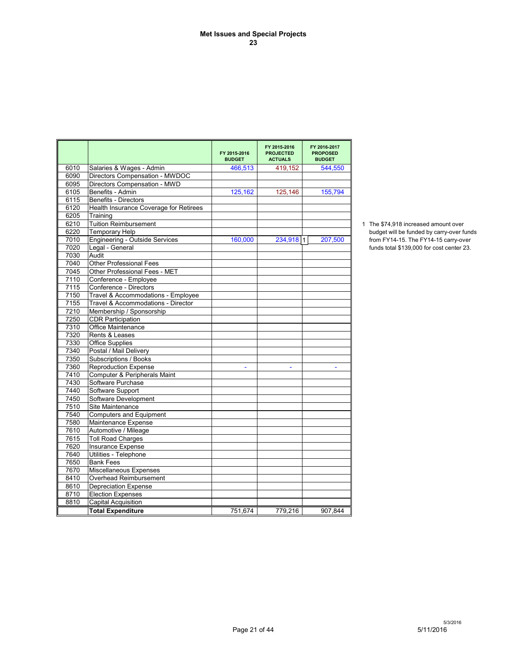|      |                                        | FY 2015-2016<br><b>BUDGET</b> | FY 2015-2016<br><b>PROJECTED</b><br><b>ACTUALS</b> | FY 2016-2017<br><b>PROPOSED</b><br><b>BUDGET</b> |                                           |
|------|----------------------------------------|-------------------------------|----------------------------------------------------|--------------------------------------------------|-------------------------------------------|
| 6010 | Salaries & Wages - Admin               | 466,513                       | 419,152                                            | 544,550                                          |                                           |
| 6090 | Directors Compensation - MWDOC         |                               |                                                    |                                                  |                                           |
| 6095 | Directors Compensation - MWD           |                               |                                                    |                                                  |                                           |
| 6105 | Benefits - Admin                       | 125,162                       | 125,146                                            | 155,794                                          |                                           |
| 6115 | <b>Benefits - Directors</b>            |                               |                                                    |                                                  |                                           |
| 6120 | Health Insurance Coverage for Retirees |                               |                                                    |                                                  |                                           |
| 6205 | Training                               |                               |                                                    |                                                  |                                           |
| 6210 | <b>Tuition Reimbursement</b>           |                               |                                                    |                                                  | 1 The \$74.918 increased amount over      |
| 6220 | <b>Temporary Help</b>                  |                               |                                                    |                                                  | budget will be funded by carry-over funds |
| 7010 | <b>Engineering - Outside Services</b>  | 160,000                       | 234,918 1                                          | 207,500                                          | from FY14-15. The FY14-15 carry-over      |
| 7020 | Legal - General                        |                               |                                                    |                                                  | funds total \$139,000 for cost center 23. |
| 7030 | Audit                                  |                               |                                                    |                                                  |                                           |
| 7040 | <b>Other Professional Fees</b>         |                               |                                                    |                                                  |                                           |
| 7045 | Other Professional Fees - MET          |                               |                                                    |                                                  |                                           |
| 7110 | Conference - Employee                  |                               |                                                    |                                                  |                                           |
| 7115 | Conference - Directors                 |                               |                                                    |                                                  |                                           |
| 7150 | Travel & Accommodations - Employee     |                               |                                                    |                                                  |                                           |
| 7155 | Travel & Accommodations - Director     |                               |                                                    |                                                  |                                           |
| 7210 | Membership / Sponsorship               |                               |                                                    |                                                  |                                           |
| 7250 | <b>CDR Participation</b>               |                               |                                                    |                                                  |                                           |
| 7310 | Office Maintenance                     |                               |                                                    |                                                  |                                           |
| 7320 | Rents & Leases                         |                               |                                                    |                                                  |                                           |
| 7330 | <b>Office Supplies</b>                 |                               |                                                    |                                                  |                                           |
| 7340 | Postal / Mail Delivery                 |                               |                                                    |                                                  |                                           |
| 7350 | Subscriptions / Books                  |                               |                                                    |                                                  |                                           |
| 7360 | Reproduction Expense                   | $\sim$                        | $\blacksquare$                                     | $\sim$                                           |                                           |
| 7410 | Computer & Peripherals Maint           |                               |                                                    |                                                  |                                           |
| 7430 | Software Purchase                      |                               |                                                    |                                                  |                                           |
| 7440 | Software Support                       |                               |                                                    |                                                  |                                           |
| 7450 | Software Development                   |                               |                                                    |                                                  |                                           |
| 7510 | Site Maintenance                       |                               |                                                    |                                                  |                                           |
| 7540 | <b>Computers and Equipment</b>         |                               |                                                    |                                                  |                                           |
| 7580 | Maintenance Expense                    |                               |                                                    |                                                  |                                           |
| 7610 | Automotive / Mileage                   |                               |                                                    |                                                  |                                           |
| 7615 | <b>Toll Road Charges</b>               |                               |                                                    |                                                  |                                           |
| 7620 | Insurance Expense                      |                               |                                                    |                                                  |                                           |
| 7640 | Utilities - Telephone                  |                               |                                                    |                                                  |                                           |
| 7650 | <b>Bank Fees</b>                       |                               |                                                    |                                                  |                                           |
| 7670 | Miscellaneous Expenses                 |                               |                                                    |                                                  |                                           |
| 8410 | Overhead Reimbursement                 |                               |                                                    |                                                  |                                           |
| 8610 | <b>Depreciation Expense</b>            |                               |                                                    |                                                  |                                           |
| 8710 | <b>Election Expenses</b>               |                               |                                                    |                                                  |                                           |
| 8810 | <b>Capital Acquisition</b>             |                               |                                                    |                                                  |                                           |
|      | <b>Total Expenditure</b>               | 751,674                       | 779.216                                            | 907.844                                          |                                           |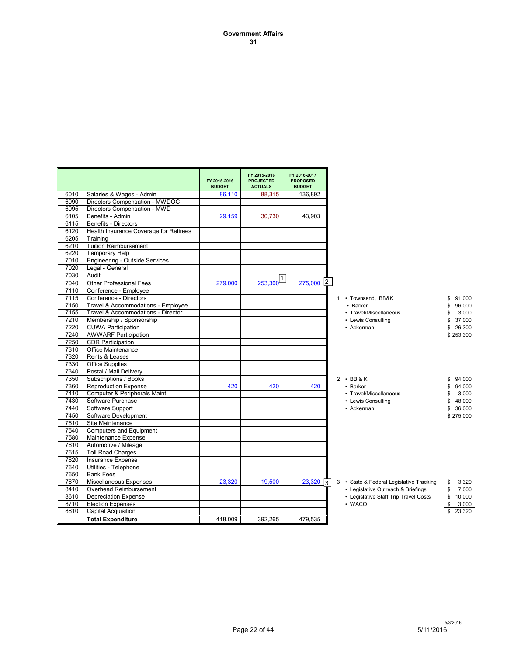#### **Government Affairs 31**

|      |                                        | FY 2015-2016<br><b>BUDGET</b> | FY 2015-2016<br><b>PROJECTED</b><br><b>ACTUALS</b> | FY 2016-2017<br><b>PROPOSED</b><br><b>BUDGET</b> |                                                                |
|------|----------------------------------------|-------------------------------|----------------------------------------------------|--------------------------------------------------|----------------------------------------------------------------|
| 6010 | Salaries & Wages - Admin               | 86.110                        | 88,315                                             | 136.892                                          |                                                                |
| 6090 | Directors Compensation - MWDOC         |                               |                                                    |                                                  |                                                                |
| 6095 | Directors Compensation - MWD           |                               |                                                    |                                                  |                                                                |
| 6105 | Benefits - Admin                       | 29,159                        | 30,730                                             | 43,903                                           |                                                                |
| 6115 | <b>Benefits - Directors</b>            |                               |                                                    |                                                  |                                                                |
| 6120 | Health Insurance Coverage for Retirees |                               |                                                    |                                                  |                                                                |
| 6205 | Training                               |                               |                                                    |                                                  |                                                                |
| 6210 | <b>Tuition Reimbursement</b>           |                               |                                                    |                                                  |                                                                |
| 6220 | <b>Temporary Help</b>                  |                               |                                                    |                                                  |                                                                |
| 7010 | <b>Engineering - Outside Services</b>  |                               |                                                    |                                                  |                                                                |
| 7020 | Legal - General                        |                               |                                                    |                                                  |                                                                |
| 7030 | Audit                                  |                               |                                                    |                                                  |                                                                |
| 7040 | <b>Other Professional Fees</b>         | 279,000                       | 253,300                                            | $275,000$ <sup>2</sup>                           |                                                                |
| 7110 | Conference - Employee                  |                               |                                                    |                                                  |                                                                |
| 7115 | Conference - Directors                 |                               |                                                    |                                                  | 1 • Townsend, BB&K<br>91.000<br>\$                             |
| 7150 | Travel & Accommodations - Employee     |                               |                                                    |                                                  | • Barker<br>96,000<br>\$                                       |
| 7155 | Travel & Accommodations - Director     |                               |                                                    |                                                  | • Travel/Miscellaneous<br>\$<br>3,000                          |
| 7210 | Membership / Sponsorship               |                               |                                                    |                                                  | \$<br>• Lewis Consulting<br>37,000                             |
| 7220 | <b>CUWA Participation</b>              |                               |                                                    |                                                  | • Ackerman<br>\$26,300                                         |
| 7240 | <b>AWWARF Participation</b>            |                               |                                                    |                                                  | \$253,300                                                      |
| 7250 | <b>CDR Participation</b>               |                               |                                                    |                                                  |                                                                |
| 7310 | <b>Office Maintenance</b>              |                               |                                                    |                                                  |                                                                |
| 7320 | Rents & Leases                         |                               |                                                    |                                                  |                                                                |
| 7330 | <b>Office Supplies</b>                 |                               |                                                    |                                                  |                                                                |
| 7340 | Postal / Mail Delivery                 |                               |                                                    |                                                  |                                                                |
| 7350 | Subscriptions / Books                  |                               |                                                    |                                                  | $2 \cdot BB8K$<br>94,000<br>\$                                 |
| 7360 | <b>Reproduction Expense</b>            | 420                           | 420                                                | 420                                              | • Barker<br>94,000<br>\$                                       |
| 7410 | Computer & Peripherals Maint           |                               |                                                    |                                                  | • Travel/Miscellaneous<br>3,000<br>\$                          |
| 7430 | Software Purchase                      |                               |                                                    |                                                  | • Lewis Consulting<br>\$<br>48,000                             |
| 7440 | Software Support                       |                               |                                                    |                                                  | • Ackerman<br>\$<br>36,000                                     |
| 7450 | Software Development                   |                               |                                                    |                                                  | \$275,000                                                      |
| 7510 | Site Maintenance                       |                               |                                                    |                                                  |                                                                |
| 7540 | <b>Computers and Equipment</b>         |                               |                                                    |                                                  |                                                                |
| 7580 | Maintenance Expense                    |                               |                                                    |                                                  |                                                                |
| 7610 | Automotive / Mileage                   |                               |                                                    |                                                  |                                                                |
| 7615 | <b>Toll Road Charges</b>               |                               |                                                    |                                                  |                                                                |
| 7620 | <b>Insurance Expense</b>               |                               |                                                    |                                                  |                                                                |
| 7640 | Utilities - Telephone                  |                               |                                                    |                                                  |                                                                |
| 7650 | <b>Bank Fees</b>                       |                               |                                                    |                                                  |                                                                |
| 7670 | <b>Miscellaneous Expenses</b>          | 23,320                        | 19,500                                             | 23,320                                           | 3 • State & Federal Legislative Tracking<br>3,320<br>\$<br>। २ |
| 8410 | Overhead Reimbursement                 |                               |                                                    |                                                  | • Legislative Outreach & Briefings<br>\$<br>7,000              |
| 8610 | <b>Depreciation Expense</b>            |                               |                                                    |                                                  | • Legislative Staff Trip Travel Costs<br>\$<br>10,000          |
| 8710 | <b>Election Expenses</b>               |                               |                                                    |                                                  | • WACO<br>\$<br>3,000                                          |
| 8810 | <b>Capital Acquisition</b>             |                               |                                                    |                                                  | 23,320<br>\$                                                   |
|      | <b>Total Expenditure</b>               | 418,009                       | 392,265                                            | 479,535                                          |                                                                |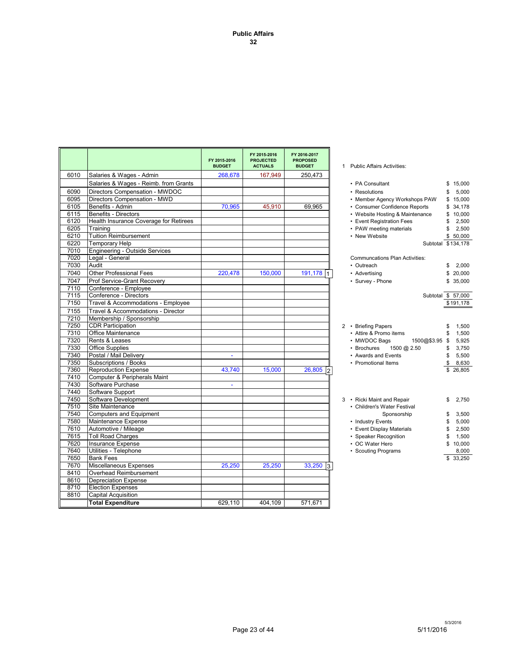|      |                                        | FY 2015-2016<br><b>BUDGET</b> | FY 2015-2016<br><b>PROJECTED</b><br><b>ACTUALS</b> | FY 2016-2017<br><b>PROPOSED</b><br><b>BUDGET</b> | 1 Public Affairs Activities:          |                    |
|------|----------------------------------------|-------------------------------|----------------------------------------------------|--------------------------------------------------|---------------------------------------|--------------------|
| 6010 | Salaries & Wages - Admin               | 268,678                       | 167,949                                            | 250,473                                          |                                       |                    |
|      | Salaries & Wages - Reimb. from Grants  |                               |                                                    |                                                  | • PA Consultant                       | \$15,000           |
| 6090 | Directors Compensation - MWDOC         |                               |                                                    |                                                  | • Resolutions                         | 5.000<br>\$        |
| 6095 | Directors Compensation - MWD           |                               |                                                    |                                                  | • Member Agency Workshops PAW         | \$15,000           |
| 6105 | Benefits - Admin                       | 70,965                        | 45,910                                             | 69,965                                           | • Consumer Confidence Reports         | \$34,178           |
| 6115 | <b>Benefits - Directors</b>            |                               |                                                    |                                                  | • Website Hosting & Maintenance       | \$10,000           |
| 6120 | Health Insurance Coverage for Retirees |                               |                                                    |                                                  | • Event Registration Fees             | 2,500<br>\$        |
| 6205 | Training                               |                               |                                                    |                                                  | • PAW meeting materials               | 2,500<br>\$        |
| 6210 | <b>Tuition Reimbursement</b>           |                               |                                                    |                                                  | • New Website                         | \$50,000           |
| 6220 | <b>Temporary Help</b>                  |                               |                                                    |                                                  |                                       | Subtotal \$134,178 |
| 7010 | Engineering - Outside Services         |                               |                                                    |                                                  |                                       |                    |
| 7020 | Legal - General                        |                               |                                                    |                                                  | <b>Communcations Plan Activities:</b> |                    |
| 7030 | Audit                                  |                               |                                                    |                                                  | • Outreach                            | 2,000<br>\$        |
| 7040 | <b>Other Professional Fees</b>         | 220,478                       | 150,000                                            | 191,178                                          | • Advertising                         | \$20,000           |
| 7047 | Prof Service-Grant Recovery            |                               |                                                    |                                                  | • Survey - Phone                      | \$35,000           |
| 7110 | Conference - Employee                  |                               |                                                    |                                                  |                                       |                    |
| 7115 | Conference - Directors                 |                               |                                                    |                                                  |                                       | Subtotal \$ 57,000 |
| 7150 | Travel & Accommodations - Employee     |                               |                                                    |                                                  |                                       | \$191,178          |
| 7155 | Travel & Accommodations - Director     |                               |                                                    |                                                  |                                       |                    |
| 7210 | Membership / Sponsorship               |                               |                                                    |                                                  |                                       |                    |
| 7250 | <b>CDR Participation</b>               |                               |                                                    |                                                  | 2 • Briefing Papers                   | 1,500<br>\$        |
| 7310 | <b>Office Maintenance</b>              |                               |                                                    |                                                  | • Attire & Promo items                | 1,500<br>\$        |
| 7320 | Rents & Leases                         |                               |                                                    |                                                  | • MWDOC Bags<br>1500@\$3.95 \$        | 5,925              |
| 7330 | <b>Office Supplies</b>                 |                               |                                                    |                                                  | • Brochures<br>1500 @ 2.50            | \$<br>3,750        |
| 7340 | Postal / Mail Delivery                 | ÷                             |                                                    |                                                  | • Awards and Events                   | 5,500<br>\$        |
| 7350 | Subscriptions / Books                  |                               |                                                    |                                                  | • Promotional Items                   | \$<br>8,630        |
| 7360 | <b>Reproduction Expense</b>            | 43.740                        | 15,000                                             | 26,805<br>12                                     |                                       | \$26,805           |
| 7410 | Computer & Peripherals Maint           |                               |                                                    |                                                  |                                       |                    |
| 7430 | Software Purchase                      | $\blacksquare$                |                                                    |                                                  |                                       |                    |
| 7440 | Software Support                       |                               |                                                    |                                                  |                                       |                    |
| 7450 | Software Development                   |                               |                                                    |                                                  | 3 • Ricki Maint and Repair            | 2,750<br>\$        |
| 7510 | Site Maintenance                       |                               |                                                    |                                                  | • Children's Water Festival           |                    |
| 7540 | <b>Computers and Equipment</b>         |                               |                                                    |                                                  | Sponsorship                           | 3,500<br>\$        |
| 7580 | Maintenance Expense                    |                               |                                                    |                                                  | • Industry Events                     | 5,000<br>\$        |
| 7610 | Automotive / Mileage                   |                               |                                                    |                                                  | • Event Display Materials             | 2,500<br>\$        |
| 7615 | <b>Toll Road Charges</b>               |                               |                                                    |                                                  | • Speaker Recognition                 | 1,500<br>\$        |
| 7620 | Insurance Expense                      |                               |                                                    |                                                  | • OC Water Hero                       | 10,000             |
| 7640 | Utilities - Telephone                  |                               |                                                    |                                                  | • Scouting Programs                   | 8,000              |
| 7650 | <b>Bank Fees</b>                       |                               |                                                    |                                                  |                                       | \$ 33,250          |
| 7670 | Miscellaneous Expenses                 | 25,250                        | 25,250                                             | $33,250$ 3                                       |                                       |                    |
| 8410 | Overhead Reimbursement                 |                               |                                                    |                                                  |                                       |                    |
| 8610 | <b>Depreciation Expense</b>            |                               |                                                    |                                                  |                                       |                    |
| 8710 | <b>Election Expenses</b>               |                               |                                                    |                                                  |                                       |                    |
| 8810 | <b>Capital Acquisition</b>             |                               |                                                    |                                                  |                                       |                    |
|      | <b>Total Expenditure</b>               | 629,110                       | 404,109                                            | 571,671                                          |                                       |                    |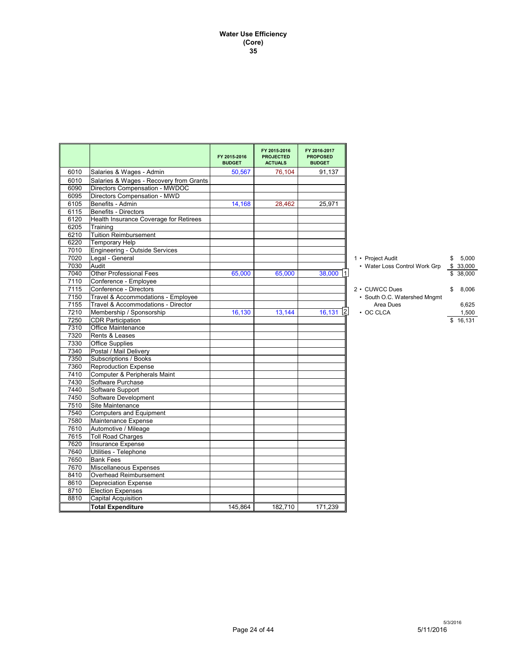#### **Water Use Efficiency (Core) 35**

|              |                                                         | FY 2015-2016<br><b>BUDGET</b> | FY 2015-2016<br><b>PROJECTED</b><br><b>ACTUALS</b> | FY 2016-2017<br><b>PROPOSED</b><br><b>BUDGET</b> |                               |              |
|--------------|---------------------------------------------------------|-------------------------------|----------------------------------------------------|--------------------------------------------------|-------------------------------|--------------|
| 6010         | Salaries & Wages - Admin                                | 50,567                        | 76,104                                             | 91,137                                           |                               |              |
| 6010         | Salaries & Wages - Recovery from Grants                 |                               |                                                    |                                                  |                               |              |
| 6090         | Directors Compensation - MWDOC                          |                               |                                                    |                                                  |                               |              |
| 6095         | Directors Compensation - MWD                            |                               |                                                    |                                                  |                               |              |
| 6105         | Benefits - Admin                                        | 14,168                        | 28,462                                             | 25,971                                           |                               |              |
| 6115         | <b>Benefits - Directors</b>                             |                               |                                                    |                                                  |                               |              |
| 6120         | Health Insurance Coverage for Retirees                  |                               |                                                    |                                                  |                               |              |
| 6205         | Training                                                |                               |                                                    |                                                  |                               |              |
| 6210         | <b>Tuition Reimbursement</b>                            |                               |                                                    |                                                  |                               |              |
| 6220         | <b>Temporary Help</b>                                   |                               |                                                    |                                                  |                               |              |
| 7010         | <b>Engineering - Outside Services</b>                   |                               |                                                    |                                                  |                               |              |
| 7020         | Legal - General                                         |                               |                                                    |                                                  | 1 • Project Audit             | 5,000<br>\$  |
| 7030         | Audit<br><b>Other Professional Fees</b>                 |                               | 65,000                                             | 38,000 1                                         | • Water Loss Control Work Grp | \$33,000     |
| 7040<br>7110 | Conference - Employee                                   | 65,000                        |                                                    |                                                  |                               | \$<br>38,000 |
| 7115         | Conference - Directors                                  |                               |                                                    |                                                  | 2 • CUWCC Dues                | \$<br>8,006  |
| 7150         | Travel & Accommodations - Employee                      |                               |                                                    |                                                  | • South O.C. Watershed Mngmt  |              |
| 7155         | Travel & Accommodations - Director                      |                               |                                                    |                                                  | Area Dues                     | 6,625        |
| 7210         | Membership / Sponsorship                                | 16,130                        | 13,144                                             | 12<br>16,131                                     | $\cdot$ OC CLCA               | 1,500        |
| 7250         | <b>CDR Participation</b>                                |                               |                                                    |                                                  |                               | \$16,131     |
| 7310         | Office Maintenance                                      |                               |                                                    |                                                  |                               |              |
| 7320         | Rents & Leases                                          |                               |                                                    |                                                  |                               |              |
| 7330         | <b>Office Supplies</b>                                  |                               |                                                    |                                                  |                               |              |
| 7340         | Postal / Mail Delivery                                  |                               |                                                    |                                                  |                               |              |
| 7350         | Subscriptions / Books                                   |                               |                                                    |                                                  |                               |              |
| 7360         | <b>Reproduction Expense</b>                             |                               |                                                    |                                                  |                               |              |
| 7410         | Computer & Peripherals Maint                            |                               |                                                    |                                                  |                               |              |
| 7430         | Software Purchase                                       |                               |                                                    |                                                  |                               |              |
| 7440         | Software Support                                        |                               |                                                    |                                                  |                               |              |
| 7450         | Software Development                                    |                               |                                                    |                                                  |                               |              |
| 7510         | Site Maintenance                                        |                               |                                                    |                                                  |                               |              |
| 7540         | <b>Computers and Equipment</b>                          |                               |                                                    |                                                  |                               |              |
| 7580         | Maintenance Expense                                     |                               |                                                    |                                                  |                               |              |
| 7610         | Automotive / Mileage                                    |                               |                                                    |                                                  |                               |              |
| 7615         | <b>Toll Road Charges</b>                                |                               |                                                    |                                                  |                               |              |
| 7620         | Insurance Expense                                       |                               |                                                    |                                                  |                               |              |
| 7640         | Utilities - Telephone                                   |                               |                                                    |                                                  |                               |              |
| 7650         | <b>Bank Fees</b>                                        |                               |                                                    |                                                  |                               |              |
| 7670         | Miscellaneous Expenses                                  |                               |                                                    |                                                  |                               |              |
| 8410         | Overhead Reimbursement                                  |                               |                                                    |                                                  |                               |              |
| 8610<br>8710 | <b>Depreciation Expense</b><br><b>Election Expenses</b> |                               |                                                    |                                                  |                               |              |
| 8810         |                                                         |                               |                                                    |                                                  |                               |              |
|              | <b>Capital Acquisition</b>                              |                               |                                                    |                                                  |                               |              |
|              | <b>Total Expenditure</b>                                | 145,864                       | 182,710                                            | 171,239                                          |                               |              |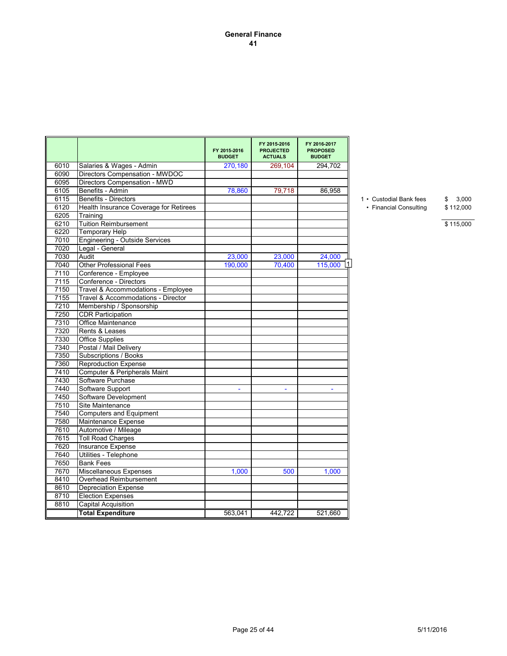|      |                                                            | FY 2015-2016<br><b>BUDGET</b> | FY 2015-2016<br><b>PROJECTED</b><br><b>ACTUALS</b> | FY 2016-2017<br><b>PROPOSED</b><br><b>BUDGET</b> |                         |             |
|------|------------------------------------------------------------|-------------------------------|----------------------------------------------------|--------------------------------------------------|-------------------------|-------------|
| 6010 |                                                            |                               |                                                    | 294,702                                          |                         |             |
| 6090 | Salaries & Wages - Admin<br>Directors Compensation - MWDOC | 270,180                       | 269,104                                            |                                                  |                         |             |
| 6095 | Directors Compensation - MWD                               |                               |                                                    |                                                  |                         |             |
| 6105 | Benefits - Admin                                           | 78,860                        | 79,718                                             | 86,958                                           |                         |             |
| 6115 | <b>Benefits - Directors</b>                                |                               |                                                    |                                                  | 1 • Custodial Bank fees | 3.000<br>\$ |
| 6120 | Health Insurance Coverage for Retirees                     |                               |                                                    |                                                  | • Financial Consulting  | \$112,000   |
| 6205 | Training                                                   |                               |                                                    |                                                  |                         |             |
| 6210 | <b>Tuition Reimbursement</b>                               |                               |                                                    |                                                  |                         | \$115,000   |
| 6220 | <b>Temporary Help</b>                                      |                               |                                                    |                                                  |                         |             |
| 7010 | Engineering - Outside Services                             |                               |                                                    |                                                  |                         |             |
| 7020 | Legal - General                                            |                               |                                                    |                                                  |                         |             |
| 7030 | Audit                                                      | 23,000                        | 23,000                                             |                                                  |                         |             |
| 7040 |                                                            |                               |                                                    | 24,000                                           |                         |             |
|      | <b>Other Professional Fees</b>                             | 190,000                       | 70,400                                             | 115,000                                          |                         |             |
| 7110 | Conference - Employee                                      |                               |                                                    |                                                  |                         |             |
| 7115 | Conference - Directors                                     |                               |                                                    |                                                  |                         |             |
| 7150 | Travel & Accommodations - Employee                         |                               |                                                    |                                                  |                         |             |
| 7155 | Travel & Accommodations - Director                         |                               |                                                    |                                                  |                         |             |
| 7210 | Membership / Sponsorship                                   |                               |                                                    |                                                  |                         |             |
| 7250 | <b>CDR Participation</b>                                   |                               |                                                    |                                                  |                         |             |
| 7310 | Office Maintenance                                         |                               |                                                    |                                                  |                         |             |
| 7320 | Rents & Leases                                             |                               |                                                    |                                                  |                         |             |
| 7330 | <b>Office Supplies</b>                                     |                               |                                                    |                                                  |                         |             |
| 7340 | Postal / Mail Delivery                                     |                               |                                                    |                                                  |                         |             |
| 7350 | Subscriptions / Books                                      |                               |                                                    |                                                  |                         |             |
| 7360 | <b>Reproduction Expense</b>                                |                               |                                                    |                                                  |                         |             |
| 7410 | Computer & Peripherals Maint                               |                               |                                                    |                                                  |                         |             |
| 7430 | Software Purchase                                          |                               |                                                    |                                                  |                         |             |
| 7440 | Software Support                                           | $\blacksquare$                | $\blacksquare$                                     | $\blacksquare$                                   |                         |             |
| 7450 | Software Development                                       |                               |                                                    |                                                  |                         |             |
| 7510 | Site Maintenance                                           |                               |                                                    |                                                  |                         |             |
| 7540 | <b>Computers and Equipment</b>                             |                               |                                                    |                                                  |                         |             |
| 7580 | Maintenance Expense                                        |                               |                                                    |                                                  |                         |             |
| 7610 | Automotive / Mileage                                       |                               |                                                    |                                                  |                         |             |
| 7615 | <b>Toll Road Charges</b>                                   |                               |                                                    |                                                  |                         |             |
| 7620 | Insurance Expense                                          |                               |                                                    |                                                  |                         |             |
| 7640 | Utilities - Telephone                                      |                               |                                                    |                                                  |                         |             |
| 7650 | <b>Bank Fees</b>                                           |                               |                                                    |                                                  |                         |             |
| 7670 | <b>Miscellaneous Expenses</b>                              | 1,000                         | 500                                                | 1,000                                            |                         |             |
| 8410 | Overhead Reimbursement                                     |                               |                                                    |                                                  |                         |             |
| 8610 | <b>Depreciation Expense</b>                                |                               |                                                    |                                                  |                         |             |
| 8710 | <b>Election Expenses</b>                                   |                               |                                                    |                                                  |                         |             |
| 8810 | <b>Capital Acquisition</b>                                 |                               |                                                    |                                                  |                         |             |
|      | <b>Total Expenditure</b>                                   | 563,041                       | 442,722                                            | 521,660                                          |                         |             |
|      |                                                            |                               |                                                    |                                                  |                         |             |

# 1 • Custodial Bank fees  $$3,000$ <br>• Financial Consulting  $$112,000$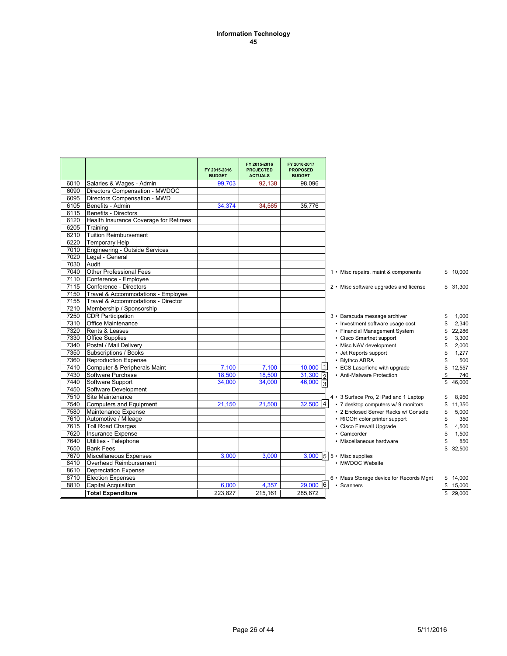#### **Information Technology 45**

|      |                                        | FY 2015-2016<br><b>BUDGET</b> | FY 2015-2016<br><b>PROJECTED</b><br><b>ACTUALS</b> | FY 2016-2017<br><b>PROPOSED</b><br><b>BUDGET</b> |                                                   |              |
|------|----------------------------------------|-------------------------------|----------------------------------------------------|--------------------------------------------------|---------------------------------------------------|--------------|
| 6010 | Salaries & Wages - Admin               | 99,703                        | 92,138                                             | 98.096                                           |                                                   |              |
| 6090 | Directors Compensation - MWDOC         |                               |                                                    |                                                  |                                                   |              |
| 6095 | Directors Compensation - MWD           |                               |                                                    |                                                  |                                                   |              |
| 6105 | Benefits - Admin                       | 34.374                        | 34.565                                             | 35.776                                           |                                                   |              |
| 6115 | Benefits - Directors                   |                               |                                                    |                                                  |                                                   |              |
| 6120 | Health Insurance Coverage for Retirees |                               |                                                    |                                                  |                                                   |              |
| 6205 | Training                               |                               |                                                    |                                                  |                                                   |              |
| 6210 | Tuition Reimbursement                  |                               |                                                    |                                                  |                                                   |              |
| 6220 | <b>Temporary Help</b>                  |                               |                                                    |                                                  |                                                   |              |
| 7010 | Engineering - Outside Services         |                               |                                                    |                                                  |                                                   |              |
| 7020 | Legal - General                        |                               |                                                    |                                                  |                                                   |              |
| 7030 | Audit                                  |                               |                                                    |                                                  |                                                   |              |
| 7040 | <b>Other Professional Fees</b>         |                               |                                                    |                                                  | 1 • Misc repairs, maint & components              | \$10,000     |
| 7110 | Conference - Employee                  |                               |                                                    |                                                  |                                                   |              |
| 7115 | Conference - Directors                 |                               |                                                    |                                                  | 2 • Misc software upgrades and license            | \$31,300     |
| 7150 | Travel & Accommodations - Employee     |                               |                                                    |                                                  |                                                   |              |
| 7155 | Travel & Accommodations - Director     |                               |                                                    |                                                  |                                                   |              |
| 7210 | Membership / Sponsorship               |                               |                                                    |                                                  |                                                   |              |
| 7250 | <b>CDR Participation</b>               |                               |                                                    |                                                  | 3 • Baracuda message archiver                     | 1,000        |
| 7310 | Office Maintenance                     |                               |                                                    |                                                  | • Investment software usage cost                  | 2,340        |
| 7320 | Rents & Leases                         |                               |                                                    |                                                  | • Financial Management System                     | 22,286       |
| 7330 | <b>Office Supplies</b>                 |                               |                                                    |                                                  | • Cisco Smartnet support                          | 3,300        |
| 7340 | Postal / Mail Delivery                 |                               |                                                    |                                                  | • Misc NAV development                            | 2,000<br>S   |
| 7350 | Subscriptions / Books                  |                               |                                                    |                                                  | • Jet Reports support                             | 1,277        |
| 7360 | <b>Reproduction Expense</b>            |                               |                                                    |                                                  | • Blythco ABRA                                    | 500          |
| 7410 | Computer & Peripherals Maint           | 7,100                         | 7,100                                              | $10,000$ 1                                       | • ECS Laserfiche with upgrade                     | 12,557<br>\$ |
| 7430 | Software Purchase                      | 18,500                        | 18,500                                             | 31,300                                           | • Anti-Malware Protection                         | 740<br>\$    |
| 7440 | Software Support                       | 34.000                        | 34,000                                             | $\frac{2}{3}$<br>46,000                          |                                                   | 46.000       |
| 7450 | Software Development                   |                               |                                                    |                                                  |                                                   |              |
| 7510 | Site Maintenance                       |                               |                                                    |                                                  | 4 • 3 Surface Pro, 2 iPad and 1 Laptop            | 8,950        |
| 7540 | Computers and Equipment                | 21,150                        | 21,500                                             | $32,500$ 4                                       | • 7 desktop computers w/ 9 monitors               | 11,350<br>\$ |
| 7580 | Maintenance Expense                    |                               |                                                    |                                                  | • 2 Enclosed Server Racks w/ Console              | 5,000<br>\$  |
| 7610 | Automotive / Mileage                   |                               |                                                    |                                                  | • RICOH color printer support                     | \$<br>350    |
| 7615 | <b>Toll Road Charges</b>               |                               |                                                    |                                                  | • Cisco Firewall Upgrade                          | 4,500<br>\$  |
| 7620 | Insurance Expense                      |                               |                                                    |                                                  | • Camcorder                                       | 1,500<br>\$  |
| 7640 | Utilities - Telephone                  |                               |                                                    |                                                  | • Miscellaneous hardware                          | 850<br>\$    |
| 7650 | <b>Bank Fees</b>                       |                               |                                                    |                                                  |                                                   | 32,500<br>\$ |
| 7670 | Miscellaneous Expenses                 | 3,000                         | 3,000                                              |                                                  | $\overline{3,000}$ 5 $\overline{5}$ Misc supplies |              |
| 8410 | Overhead Reimbursement                 |                               |                                                    |                                                  | • MWDOC Website                                   |              |
| 8610 | <b>Depreciation Expense</b>            |                               |                                                    |                                                  |                                                   |              |
| 8710 | <b>Election Expenses</b>               |                               |                                                    |                                                  | 6 • Mass Storage device for Records Mgnt          | 14,000<br>\$ |
| 8810 | <b>Capital Acquisition</b>             | 6.000                         | 4,357                                              | $29,000$ 6                                       | • Scanners                                        | \$<br>15,000 |
|      | <b>Total Expenditure</b>               | 223.827                       | 215,161                                            | 285,672                                          |                                                   | \$29,000     |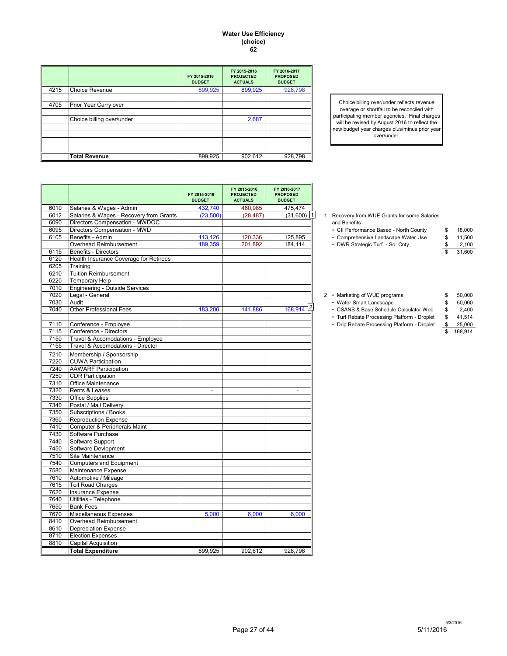#### **Water Use Efficiency (choice) 62**

|      |                           | FY 2015-2016<br><b>BUDGET</b> | FY 2015-2016<br><b>PROJECTED</b><br><b>ACTUALS</b> | FY 2016-2017<br><b>PROPOSED</b><br><b>BUDGET</b> |
|------|---------------------------|-------------------------------|----------------------------------------------------|--------------------------------------------------|
| 4215 | <b>Choice Revenue</b>     | 899,925                       | 899,925                                            | 928,798                                          |
|      |                           |                               |                                                    |                                                  |
| 4705 | Prior Year Carry over     |                               |                                                    |                                                  |
|      |                           |                               |                                                    |                                                  |
|      | Choice billing over/under |                               | 2,687                                              |                                                  |
|      |                           |                               |                                                    |                                                  |
|      |                           |                               |                                                    |                                                  |
|      |                           |                               |                                                    |                                                  |
|      |                           |                               |                                                    |                                                  |
|      | <b>Total Revenue</b>      | 899,925                       | 902,612                                            | 928,798                                          |

Choice billing over/under reflects revenue overage or shortfall to be reconciled with participating member agencies. Final charges will be revised by August 2016 to reflect the new budget year charges plus/minus prior year over/under.

|      |                                         | FY 2015-2016<br><b>BUDGET</b> | FY 2015-2016<br><b>PROJECTED</b><br><b>ACTUALS</b> | FY 2016-2017<br><b>PROPOSED</b><br><b>BUDGET</b> |  |                                              |                         |         |
|------|-----------------------------------------|-------------------------------|----------------------------------------------------|--------------------------------------------------|--|----------------------------------------------|-------------------------|---------|
| 6010 | Salaries & Wages - Admin                | 432,740                       | 460,985                                            | 475,474                                          |  |                                              |                         |         |
| 6012 | Salaries & Wages - Recovery from Grants | (23,500)                      | (28, 487)                                          | $(31,600)$   1                                   |  | 1 Recovery from WUE Grants for some Salaries |                         |         |
| 6090 | Directors Compensation - MWDOC          |                               |                                                    |                                                  |  | and Benefits:                                |                         |         |
| 6095 | Directors Compensation - MWD            |                               |                                                    |                                                  |  | • CII Performance Based - North County       | \$                      | 18,000  |
| 6105 | Benefits - Admin                        | 113,126                       | 120,336                                            | 125,895                                          |  | • Comprehensive Landscape Water Use          | \$                      | 11,500  |
|      | Overhead Reimbursement                  | 189,359                       | 201,892                                            | 184,114                                          |  | • DWR Strategic Turf - So. Cnty              | \$                      | 2,100   |
| 6115 | Benefits - Directors                    |                               |                                                    |                                                  |  |                                              | \$                      | 31,600  |
| 6120 | Health Insurance Coverage for Retirees  |                               |                                                    |                                                  |  |                                              |                         |         |
| 6205 | Training                                |                               |                                                    |                                                  |  |                                              |                         |         |
| 6210 | <b>Tuition Reimbursement</b>            |                               |                                                    |                                                  |  |                                              |                         |         |
| 6220 | <b>Temporary Help</b>                   |                               |                                                    |                                                  |  |                                              |                         |         |
| 7010 | Engineering - Outside Services          |                               |                                                    |                                                  |  |                                              |                         |         |
| 7020 | Legal - General                         |                               |                                                    |                                                  |  | 2 • Marketing of WUE programs                | \$                      | 50,000  |
| 7030 | Audit                                   |                               |                                                    |                                                  |  | • Water Smart Landscape                      | \$                      | 50,000  |
| 7040 | <b>Other Professional Fees</b>          | 183,200                       | 141,886                                            | $\sqrt{2}$<br>168.914                            |  | • CSANS & Base Schedule Calculator Web       | \$                      | 2,400   |
|      |                                         |                               |                                                    |                                                  |  | • Turf Rebate Processing Platform - Droplet  | \$                      | 41,514  |
| 7110 | Conference - Employee                   |                               |                                                    |                                                  |  | • Drip Rebate Processing Platform - Droplet  | \$                      | 25,000  |
| 7115 | Conference - Directors                  |                               |                                                    |                                                  |  |                                              | $\overline{\mathbb{S}}$ | 168.914 |
| 7150 | Travel & Accomodations - Employee       |                               |                                                    |                                                  |  |                                              |                         |         |
| 7155 | Travel & Accomodations - Director       |                               |                                                    |                                                  |  |                                              |                         |         |
| 7210 | Membership / Sponsorship                |                               |                                                    |                                                  |  |                                              |                         |         |
| 7220 | <b>CUWA Participation</b>               |                               |                                                    |                                                  |  |                                              |                         |         |
| 7240 | <b>AAWARF Participation</b>             |                               |                                                    |                                                  |  |                                              |                         |         |
| 7250 | <b>CDR Participation</b>                |                               |                                                    |                                                  |  |                                              |                         |         |
| 7310 | Office Maintenance                      |                               |                                                    |                                                  |  |                                              |                         |         |
| 7320 | Rents & Leases                          | ÷.                            |                                                    | ÷.                                               |  |                                              |                         |         |
| 7330 | <b>Office Supplies</b>                  |                               |                                                    |                                                  |  |                                              |                         |         |
| 7340 | Postal / Mail Delivery                  |                               |                                                    |                                                  |  |                                              |                         |         |
| 7350 | Subscriptions / Books                   |                               |                                                    |                                                  |  |                                              |                         |         |
| 7360 | <b>Reproduction Expense</b>             |                               |                                                    |                                                  |  |                                              |                         |         |
| 7410 | Computer & Peripherals Maint            |                               |                                                    |                                                  |  |                                              |                         |         |
| 7430 | Software Purchase                       |                               |                                                    |                                                  |  |                                              |                         |         |
| 7440 | Software Support                        |                               |                                                    |                                                  |  |                                              |                         |         |
| 7450 | Software Devlopment                     |                               |                                                    |                                                  |  |                                              |                         |         |
| 7510 | Site Maintenance                        |                               |                                                    |                                                  |  |                                              |                         |         |
| 7540 | Computers and Equipment                 |                               |                                                    |                                                  |  |                                              |                         |         |
| 7580 | Maintenance Expense                     |                               |                                                    |                                                  |  |                                              |                         |         |
| 7610 | Automotive / Mileage                    |                               |                                                    |                                                  |  |                                              |                         |         |
| 7615 | <b>Toll Road Charges</b>                |                               |                                                    |                                                  |  |                                              |                         |         |
| 7620 | Insurance Expense                       |                               |                                                    |                                                  |  |                                              |                         |         |
| 7640 | Utilities - Telephone                   |                               |                                                    |                                                  |  |                                              |                         |         |
| 7650 | <b>Bank Fees</b>                        |                               |                                                    |                                                  |  |                                              |                         |         |
| 7670 | Miscellaneous Expenses                  | 5,000                         | 6,000                                              | 6,000                                            |  |                                              |                         |         |
| 8410 | Overhead Reimbursement                  |                               |                                                    |                                                  |  |                                              |                         |         |
| 8610 | <b>Depreciation Expense</b>             |                               |                                                    |                                                  |  |                                              |                         |         |
| 8710 | <b>Election Expenses</b>                |                               |                                                    |                                                  |  |                                              |                         |         |
| 8810 | Capital Acquisition                     |                               |                                                    |                                                  |  |                                              |                         |         |
|      | <b>Total Expenditure</b>                | 899.925                       | 902,612                                            | 928,798                                          |  |                                              |                         |         |

| Recovery from WUE Grants for some Salaries |
|--------------------------------------------|
| and Benefits:                              |

| › CII Performance Based - North County | 18,000 |
|----------------------------------------|--------|
| Comprehensive Landscape Water Use      | 11.500 |

| • Marketing of WUE programs                 | \$ | 50,000  |
|---------------------------------------------|----|---------|
| • Water Smart Landscape                     | \$ | 50,000  |
| • CSANS & Base Schedule Calculator Web      | \$ | 2.400   |
| • Turf Rebate Processing Platform - Droplet | \$ | 41.514  |
| • Drip Rebate Processing Platform - Droplet | £. | 25,000  |
|                                             |    | 168.914 |
|                                             |    |         |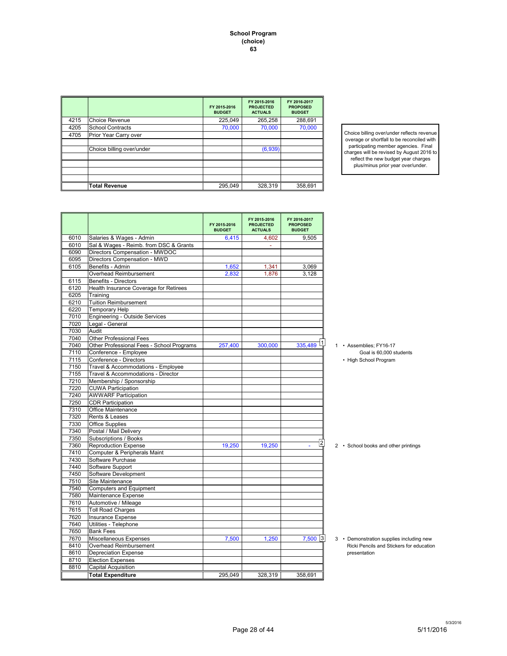**School Program (choice) 63**

|      |                           | FY 2015-2016<br><b>BUDGET</b> | FY 2015-2016<br><b>PROJECTED</b><br><b>ACTUALS</b> | FY 2016-2017<br><b>PROPOSED</b><br><b>BUDGET</b> |
|------|---------------------------|-------------------------------|----------------------------------------------------|--------------------------------------------------|
| 4215 | <b>Choice Revenue</b>     | 225,049                       | 265,258                                            | 288,691                                          |
| 4205 | <b>School Contracts</b>   | 70,000                        | 70,000                                             | 70,000                                           |
| 4705 | Prior Year Carry over     |                               |                                                    |                                                  |
|      |                           |                               |                                                    |                                                  |
|      | Choice billing over/under |                               | (6,939)                                            |                                                  |
|      |                           |                               |                                                    |                                                  |
|      |                           |                               |                                                    |                                                  |
|      |                           |                               |                                                    |                                                  |
|      |                           |                               |                                                    |                                                  |
|      | <b>Total Revenue</b>      | 295,049                       | 328,319                                            | 358,691                                          |

Choice billing over/under reflects revenue overage or shortfall to be reconciled with participating member agencies. Final charges will be revised by August 2016 to reflect the new budget year charges plus/minus prior year over/under.

|      |                                           | FY 2015-2016<br><b>BUDGET</b> | FY 2015-2016<br><b>PROJECTED</b><br><b>ACTUALS</b> | FY 2016-2017<br><b>PROPOSED</b><br><b>BUDGET</b> |                      |
|------|-------------------------------------------|-------------------------------|----------------------------------------------------|--------------------------------------------------|----------------------|
| 6010 | Salaries & Wages - Admin                  | 6,415                         | 4,602                                              | 9,505                                            |                      |
| 6010 | Sal & Wages - Reimb. from DSC & Grants    |                               |                                                    |                                                  |                      |
| 6090 | Directors Compensation - MWDOC            |                               |                                                    |                                                  |                      |
| 6095 | Directors Compensation - MWD              |                               |                                                    |                                                  |                      |
| 6105 | Benefits - Admin                          | 1,652                         | 1,341                                              | 3,069                                            |                      |
|      | Overhead Reimbursement                    | 2,832                         | 1,876                                              | 3,128                                            |                      |
| 6115 | Benefits - Directors                      |                               |                                                    |                                                  |                      |
| 6120 | Health Insurance Coverage for Retirees    |                               |                                                    |                                                  |                      |
| 6205 | Training                                  |                               |                                                    |                                                  |                      |
| 6210 | <b>Tuition Reimbursement</b>              |                               |                                                    |                                                  |                      |
| 6220 | <b>Temporary Help</b>                     |                               |                                                    |                                                  |                      |
| 7010 | <b>Engineering - Outside Services</b>     |                               |                                                    |                                                  |                      |
| 7020 | Legal - General                           |                               |                                                    |                                                  |                      |
| 7030 | Audit                                     |                               |                                                    |                                                  |                      |
| 7040 | <b>Other Professional Fees</b>            |                               |                                                    |                                                  |                      |
| 7040 | Other Professional Fees - School Programs | 257,400                       | 300.000                                            | ا 1<br>335.489                                   | 1 • Assemblies:      |
| 7110 | Conference - Employee                     |                               |                                                    |                                                  | Goal is              |
| 7115 | Conference - Directors                    |                               |                                                    |                                                  | • High School        |
| 7150 | Travel & Accommodations - Employee        |                               |                                                    |                                                  |                      |
| 7155 | Travel & Accommodations - Director        |                               |                                                    |                                                  |                      |
| 7210 | Membership / Sponsorship                  |                               |                                                    |                                                  |                      |
| 7220 | <b>CUWA Participation</b>                 |                               |                                                    |                                                  |                      |
| 7240 | <b>AWWARF Participation</b>               |                               |                                                    |                                                  |                      |
| 7250 | <b>CDR Participation</b>                  |                               |                                                    |                                                  |                      |
| 7310 | Office Maintenance                        |                               |                                                    |                                                  |                      |
| 7320 | Rents & Leases                            |                               |                                                    |                                                  |                      |
| 7330 | <b>Office Supplies</b>                    |                               |                                                    |                                                  |                      |
| 7340 | Postal / Mail Delivery                    |                               |                                                    |                                                  |                      |
| 7350 | Subscriptions / Books                     |                               |                                                    |                                                  |                      |
| 7360 | <b>Reproduction Expense</b>               | 19,250                        | 19,250                                             | 12                                               | 2 · School book      |
| 7410 | Computer & Peripherals Maint              |                               |                                                    |                                                  |                      |
| 7430 | Software Purchase                         |                               |                                                    |                                                  |                      |
| 7440 | Software Support                          |                               |                                                    |                                                  |                      |
| 7450 | Software Development                      |                               |                                                    |                                                  |                      |
| 7510 | Site Maintenance                          |                               |                                                    |                                                  |                      |
| 7540 |                                           |                               |                                                    |                                                  |                      |
|      | <b>Computers and Equipment</b>            |                               |                                                    |                                                  |                      |
| 7580 | Maintenance Expense                       |                               |                                                    |                                                  |                      |
| 7610 | Automotive / Mileage                      |                               |                                                    |                                                  |                      |
| 7615 | <b>Toll Road Charges</b>                  |                               |                                                    |                                                  |                      |
| 7620 | <b>Insurance Expense</b>                  |                               |                                                    |                                                  |                      |
| 7640 | Utilities - Telephone                     |                               |                                                    |                                                  |                      |
| 7650 | <b>Bank Fees</b>                          |                               |                                                    |                                                  |                      |
| 7670 | Miscellaneous Expenses                    | 7,500                         | 1,250                                              | $7,500$ 3                                        | 3 · Demonstrati      |
| 8410 | Overhead Reimbursement                    |                               |                                                    |                                                  | <b>Ricki Pencils</b> |
| 8610 | <b>Depreciation Expense</b>               |                               |                                                    |                                                  | presentation         |
| 8710 | <b>Election Expenses</b>                  |                               |                                                    |                                                  |                      |
| 8810 | <b>Capital Acquisition</b>                |                               |                                                    |                                                  |                      |
|      | <b>Total Expenditure</b>                  | 295,049                       | 328,319                                            | 358,691                                          |                      |

<sup>1 •</sup> Assemblies; FY16-17

2 • School books and other printings

3 • Demonstration supplies including new Ricki Pencils and Stickers for education<br>presentation

Goal is 60,000 students • High School Program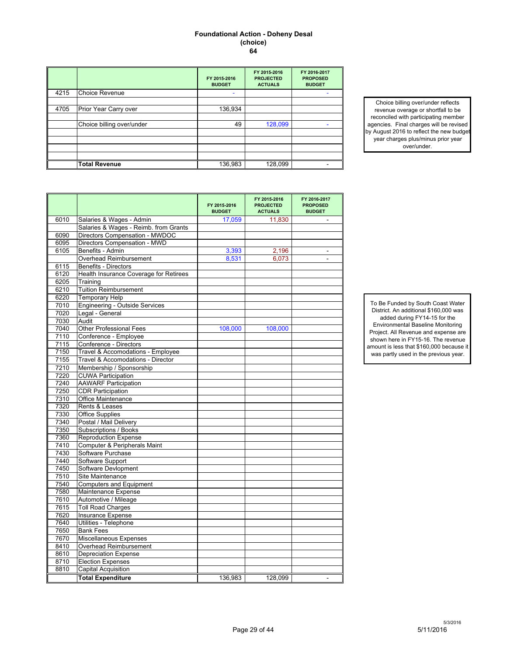#### **Foundational Action - Doheny Desal (choice) 64**

|      |                           | FY 2015-2016<br><b>BUDGET</b> | FY 2015-2016<br><b>PROJECTED</b><br><b>ACTUALS</b> | FY 2016-2017<br><b>PROPOSED</b><br><b>BUDGET</b> |
|------|---------------------------|-------------------------------|----------------------------------------------------|--------------------------------------------------|
| 4215 | <b>Choice Revenue</b>     | ۰                             |                                                    |                                                  |
|      |                           |                               |                                                    |                                                  |
| 4705 | Prior Year Carry over     | 136,934                       |                                                    |                                                  |
|      |                           |                               |                                                    |                                                  |
|      | Choice billing over/under | 49                            | 128,099                                            |                                                  |
|      |                           |                               |                                                    |                                                  |
|      |                           |                               |                                                    |                                                  |
|      |                           |                               |                                                    |                                                  |
|      |                           |                               |                                                    |                                                  |
|      | <b>Total Revenue</b>      | 136,983                       | 128,099                                            |                                                  |

Choice billing over/under reflects revenue overage or shortfall to be reconciled with participating member agencies. Final charges will be revised by August 2016 to reflect the new budget year charges plus/minus prior year over/under.

|      |                                        | FY 2015-2016<br><b>BUDGET</b> | FY 2015-2016<br><b>PROJECTED</b><br><b>ACTUALS</b> | FY 2016-2017<br><b>PROPOSED</b><br><b>BUDGET</b> |
|------|----------------------------------------|-------------------------------|----------------------------------------------------|--------------------------------------------------|
| 6010 | Salaries & Wages - Admin               | 17.059                        | 11,830                                             |                                                  |
|      | Salaries & Wages - Reimb. from Grants  |                               |                                                    |                                                  |
| 6090 | Directors Compensation - MWDOC         |                               |                                                    |                                                  |
| 6095 | Directors Compensation - MWD           |                               |                                                    |                                                  |
| 6105 | Benefits - Admin                       | 3,393                         | 2,196                                              |                                                  |
|      | Overhead Reimbursement                 | 8,531                         | 6,073                                              | $\frac{1}{2}$                                    |
| 6115 | Benefits - Directors                   |                               |                                                    |                                                  |
| 6120 | Health Insurance Coverage for Retirees |                               |                                                    |                                                  |
| 6205 | Training                               |                               |                                                    |                                                  |
| 6210 | <b>Tuition Reimbursement</b>           |                               |                                                    |                                                  |
| 6220 | <b>Temporary Help</b>                  |                               |                                                    |                                                  |
| 7010 | <b>Engineering - Outside Services</b>  |                               |                                                    |                                                  |
| 7020 | Legal - General                        |                               |                                                    |                                                  |
| 7030 | Audit                                  |                               |                                                    |                                                  |
| 7040 | <b>Other Professional Fees</b>         | 108,000                       | 108,000                                            |                                                  |
| 7110 | Conference - Employee                  |                               |                                                    |                                                  |
| 7115 | Conference - Directors                 |                               |                                                    |                                                  |
| 7150 | Travel & Accomodations - Employee      |                               |                                                    |                                                  |
| 7155 | Travel & Accomodations - Director      |                               |                                                    |                                                  |
| 7210 | Membership / Sponsorship               |                               |                                                    |                                                  |
| 7220 | <b>CUWA Participation</b>              |                               |                                                    |                                                  |
| 7240 | <b>AAWARF Participation</b>            |                               |                                                    |                                                  |
| 7250 | <b>CDR Participation</b>               |                               |                                                    |                                                  |
| 7310 | Office Maintenance                     |                               |                                                    |                                                  |
| 7320 | Rents & Leases                         |                               |                                                    |                                                  |
| 7330 | <b>Office Supplies</b>                 |                               |                                                    |                                                  |
| 7340 | Postal / Mail Delivery                 |                               |                                                    |                                                  |
| 7350 | Subscriptions / Books                  |                               |                                                    |                                                  |
| 7360 | <b>Reproduction Expense</b>            |                               |                                                    |                                                  |
| 7410 | Computer & Peripherals Maint           |                               |                                                    |                                                  |
| 7430 | Software Purchase                      |                               |                                                    |                                                  |
| 7440 | Software Support                       |                               |                                                    |                                                  |
| 7450 | Software Devlopment                    |                               |                                                    |                                                  |
| 7510 | <b>Site Maintenance</b>                |                               |                                                    |                                                  |
| 7540 | <b>Computers and Equipment</b>         |                               |                                                    |                                                  |
| 7580 | Maintenance Expense                    |                               |                                                    |                                                  |
| 7610 | Automotive / Mileage                   |                               |                                                    |                                                  |
| 7615 | <b>Toll Road Charges</b>               |                               |                                                    |                                                  |
| 7620 | <b>Insurance Expense</b>               |                               |                                                    |                                                  |
| 7640 | Utilities - Telephone                  |                               |                                                    |                                                  |
| 7650 | <b>Bank Fees</b>                       |                               |                                                    |                                                  |
| 7670 | Miscellaneous Expenses                 |                               |                                                    |                                                  |
| 8410 | Overhead Reimbursement                 |                               |                                                    |                                                  |
| 8610 | <b>Depreciation Expense</b>            |                               |                                                    |                                                  |
| 8710 | <b>Election Expenses</b>               |                               |                                                    |                                                  |
| 8810 | <b>Capital Acquisition</b>             |                               |                                                    |                                                  |
|      | <b>Total Expenditure</b>               | 136,983                       | 128,099                                            | $\blacksquare$                                   |

To Be Funded by South Coast Water District. An additional \$160,000 was added during FY14-15 for the Environmental Baseline Monitoring Project. All Revenue and expense are shown here in FY15-16. The revenue amount is less that \$160,000 because it was partly used in the previous year.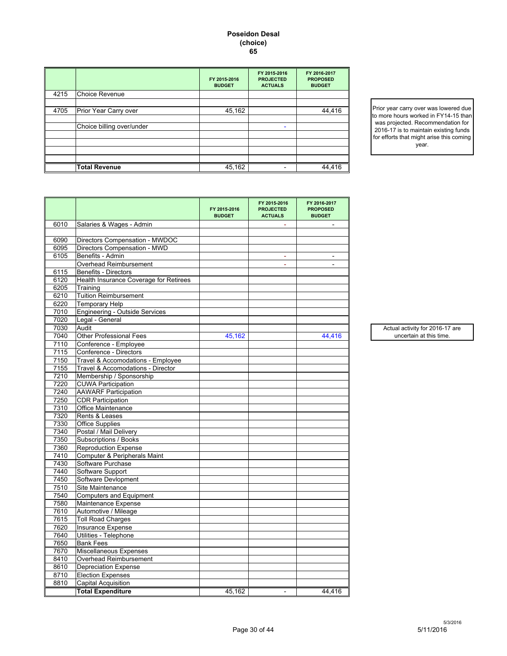#### **Poseidon Desal (choice) 65**

|      |                           | FY 2015-2016<br><b>BUDGET</b> | FY 2015-2016<br><b>PROJECTED</b><br><b>ACTUALS</b> | FY 2016-2017<br><b>PROPOSED</b><br><b>BUDGET</b> |
|------|---------------------------|-------------------------------|----------------------------------------------------|--------------------------------------------------|
| 4215 | <b>Choice Revenue</b>     |                               |                                                    |                                                  |
|      |                           |                               |                                                    |                                                  |
| 4705 | Prior Year Carry over     | 45,162                        |                                                    | 44,416                                           |
|      |                           |                               |                                                    |                                                  |
|      | Choice billing over/under |                               |                                                    |                                                  |
|      |                           |                               |                                                    |                                                  |
|      |                           |                               |                                                    |                                                  |
|      |                           |                               |                                                    |                                                  |
|      |                           |                               |                                                    |                                                  |
|      | <b>Total Revenue</b>      | 45,162                        |                                                    | 44,416                                           |

Prior year carry over was lowered due to more hours worked in FY14-15 than was projected. Recommendation for 2016-17 is to maintain existing funds for efforts that might arise this coming year.

|      |                                        | FY 2015-2016<br><b>BUDGET</b> | FY 2015-2016<br><b>PROJECTED</b><br><b>ACTUALS</b> | FY 2016-2017<br><b>PROPOSED</b><br><b>BUDGET</b> |
|------|----------------------------------------|-------------------------------|----------------------------------------------------|--------------------------------------------------|
| 6010 | Salaries & Wages - Admin               |                               |                                                    |                                                  |
|      |                                        |                               |                                                    |                                                  |
| 6090 | Directors Compensation - MWDOC         |                               |                                                    |                                                  |
| 6095 | Directors Compensation - MWD           |                               |                                                    |                                                  |
| 6105 | Benefits - Admin                       |                               |                                                    |                                                  |
|      | Overhead Reimbursement                 |                               |                                                    |                                                  |
| 6115 | Benefits - Directors                   |                               |                                                    |                                                  |
| 6120 | Health Insurance Coverage for Retirees |                               |                                                    |                                                  |
| 6205 | Training                               |                               |                                                    |                                                  |
| 6210 | <b>Tuition Reimbursement</b>           |                               |                                                    |                                                  |
| 6220 | <b>Temporary Help</b>                  |                               |                                                    |                                                  |
| 7010 | <b>Engineering - Outside Services</b>  |                               |                                                    |                                                  |
| 7020 | Legal - General                        |                               |                                                    |                                                  |
| 7030 | Audit                                  |                               |                                                    |                                                  |
| 7040 | <b>Other Professional Fees</b>         | 45,162                        |                                                    | 44,416                                           |
| 7110 | Conference - Employee                  |                               |                                                    |                                                  |
| 7115 | Conference - Directors                 |                               |                                                    |                                                  |
| 7150 | Travel & Accomodations - Employee      |                               |                                                    |                                                  |
| 7155 | Travel & Accomodations - Director      |                               |                                                    |                                                  |
| 7210 | Membership / Sponsorship               |                               |                                                    |                                                  |
| 7220 | <b>CUWA Participation</b>              |                               |                                                    |                                                  |
| 7240 | <b>AAWARF Participation</b>            |                               |                                                    |                                                  |
| 7250 | <b>CDR Participation</b>               |                               |                                                    |                                                  |
| 7310 | Office Maintenance                     |                               |                                                    |                                                  |
| 7320 | Rents & Leases                         |                               |                                                    |                                                  |
| 7330 | <b>Office Supplies</b>                 |                               |                                                    |                                                  |
| 7340 | Postal / Mail Delivery                 |                               |                                                    |                                                  |
| 7350 | Subscriptions / Books                  |                               |                                                    |                                                  |
| 7360 | <b>Reproduction Expense</b>            |                               |                                                    |                                                  |
| 7410 | Computer & Peripherals Maint           |                               |                                                    |                                                  |
| 7430 | Software Purchase                      |                               |                                                    |                                                  |
| 7440 | Software Support                       |                               |                                                    |                                                  |
| 7450 | Software Devlopment                    |                               |                                                    |                                                  |
| 7510 | Site Maintenance                       |                               |                                                    |                                                  |
| 7540 | <b>Computers and Equipment</b>         |                               |                                                    |                                                  |
| 7580 | Maintenance Expense                    |                               |                                                    |                                                  |
| 7610 | Automotive / Mileage                   |                               |                                                    |                                                  |
| 7615 | <b>Toll Road Charges</b>               |                               |                                                    |                                                  |
| 7620 | Insurance Expense                      |                               |                                                    |                                                  |
| 7640 | Utilities - Telephone                  |                               |                                                    |                                                  |
| 7650 | <b>Bank Fees</b>                       |                               |                                                    |                                                  |
| 7670 | Miscellaneous Expenses                 |                               |                                                    |                                                  |
| 8410 | Overhead Reimbursement                 |                               |                                                    |                                                  |
| 8610 | <b>Depreciation Expense</b>            |                               |                                                    |                                                  |
| 8710 | <b>Election Expenses</b>               |                               |                                                    |                                                  |
| 8810 | <b>Capital Acquisition</b>             |                               |                                                    |                                                  |
|      | <b>Total Expenditure</b>               | 45,162                        | $\blacksquare$                                     | 44,416                                           |

Actual activity for 2016-17 are uncertain at this time.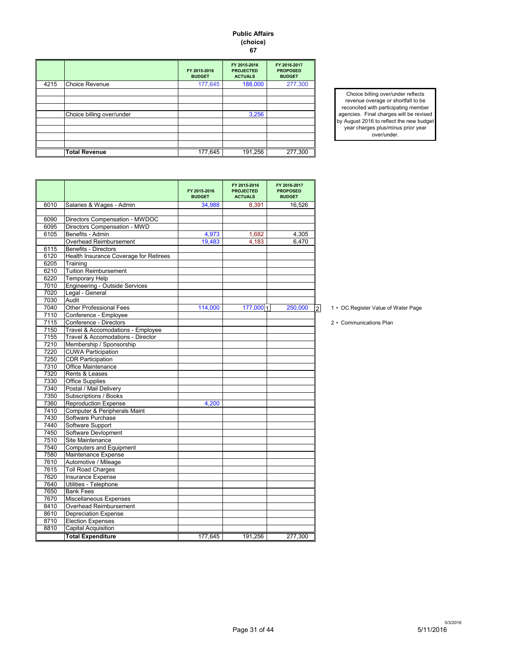#### **Public Affairs (choice) 67**

|      |                           | FY 2015-2016<br><b>BUDGET</b> | FY 2015-2016<br><b>PROJECTED</b><br><b>ACTUALS</b> | FY 2016-2017<br><b>PROPOSED</b><br><b>BUDGET</b> |
|------|---------------------------|-------------------------------|----------------------------------------------------|--------------------------------------------------|
| 4215 | <b>Choice Revenue</b>     | 177,645                       | 188,000                                            | 277,300                                          |
|      |                           |                               |                                                    |                                                  |
|      |                           |                               |                                                    |                                                  |
|      |                           |                               |                                                    |                                                  |
|      | Choice billing over/under |                               | 3,256                                              |                                                  |
|      |                           |                               |                                                    |                                                  |
|      |                           |                               |                                                    |                                                  |
|      |                           |                               |                                                    |                                                  |
|      |                           |                               |                                                    |                                                  |
|      | <b>Total Revenue</b>      | 177,645                       | 191,256                                            | 277,300                                          |

Choice billing over/under reflects revenue overage or shortfall to be reconciled with participating member agencies. Final charges will be revised by August 2016 to reflect the new budget year charges plus/minus prior year over/under.

|      |                                        | FY 2015-2016<br><b>BUDGET</b> | FY 2015-2016<br><b>PROJECTED</b><br><b>ACTUALS</b> | FY 2016-2017<br><b>PROPOSED</b><br><b>BUDGET</b> |
|------|----------------------------------------|-------------------------------|----------------------------------------------------|--------------------------------------------------|
| 6010 | Salaries & Wages - Admin               | 34,988                        | 8,391                                              | 16,526                                           |
|      |                                        |                               |                                                    |                                                  |
| 6090 | Directors Compensation - MWDOC         |                               |                                                    |                                                  |
| 6095 | Directors Compensation - MWD           |                               |                                                    |                                                  |
| 6105 | Benefits - Admin                       | 4,973                         | 1,682                                              | 4,305                                            |
|      | Overhead Reimbursement                 | 19,483                        | 4.183                                              | 6.470                                            |
| 6115 | <b>Benefits - Directors</b>            |                               |                                                    |                                                  |
| 6120 | Health Insurance Coverage for Retirees |                               |                                                    |                                                  |
| 6205 | Training                               |                               |                                                    |                                                  |
| 6210 | <b>Tuition Reimbursement</b>           |                               |                                                    |                                                  |
| 6220 | <b>Temporary Help</b>                  |                               |                                                    |                                                  |
| 7010 | <b>Engineering - Outside Services</b>  |                               |                                                    |                                                  |
| 7020 | Legal - General                        |                               |                                                    |                                                  |
| 7030 | Audit                                  |                               |                                                    |                                                  |
| 7040 | <b>Other Professional Fees</b>         | 114,000                       | 177,000 1                                          | 250,000<br>$\overline{2}$                        |
| 7110 | Conference - Employee                  |                               |                                                    |                                                  |
| 7115 | Conference - Directors                 |                               |                                                    |                                                  |
| 7150 | Travel & Accomodations - Employee      |                               |                                                    |                                                  |
| 7155 | Travel & Accomodations - Director      |                               |                                                    |                                                  |
| 7210 | Membership / Sponsorship               |                               |                                                    |                                                  |
| 7220 | <b>CUWA Participation</b>              |                               |                                                    |                                                  |
| 7250 | <b>CDR</b> Participation               |                               |                                                    |                                                  |
| 7310 | <b>Office Maintenance</b>              |                               |                                                    |                                                  |
| 7320 | Rents & Leases                         |                               |                                                    |                                                  |
| 7330 | <b>Office Supplies</b>                 |                               |                                                    |                                                  |
| 7340 | Postal / Mail Deliverv                 |                               |                                                    |                                                  |
| 7350 | Subscriptions / Books                  |                               |                                                    |                                                  |
| 7360 | <b>Reproduction Expense</b>            | 4,200                         |                                                    |                                                  |
| 7410 | Computer & Peripherals Maint           |                               |                                                    |                                                  |
| 7430 | Software Purchase                      |                               |                                                    |                                                  |
| 7440 | Software Support                       |                               |                                                    |                                                  |
| 7450 | Software Devlopment                    |                               |                                                    |                                                  |
| 7510 | Site Maintenance                       |                               |                                                    |                                                  |
| 7540 | <b>Computers and Equipment</b>         |                               |                                                    |                                                  |
| 7580 | Maintenance Expense                    |                               |                                                    |                                                  |
| 7610 | Automotive / Mileage                   |                               |                                                    |                                                  |
| 7615 | <b>Toll Road Charges</b>               |                               |                                                    |                                                  |
| 7620 | Insurance Expense                      |                               |                                                    |                                                  |
| 7640 | Utilities - Telephone                  |                               |                                                    |                                                  |
| 7650 | <b>Bank Fees</b>                       |                               |                                                    |                                                  |
| 7670 | Miscellaneous Expenses                 |                               |                                                    |                                                  |
| 8410 | Overhead Reimbursement                 |                               |                                                    |                                                  |
| 8610 | <b>Depreciation Expense</b>            |                               |                                                    |                                                  |
| 8710 | <b>Election Expenses</b>               |                               |                                                    |                                                  |
| 8810 | <b>Capital Acquisition</b>             |                               |                                                    |                                                  |
|      | <b>Total Expenditure</b>               | 177,645                       | 191.256                                            | 277.300                                          |

- 1 OC Register Value of Water Page
- 2 Communications Plan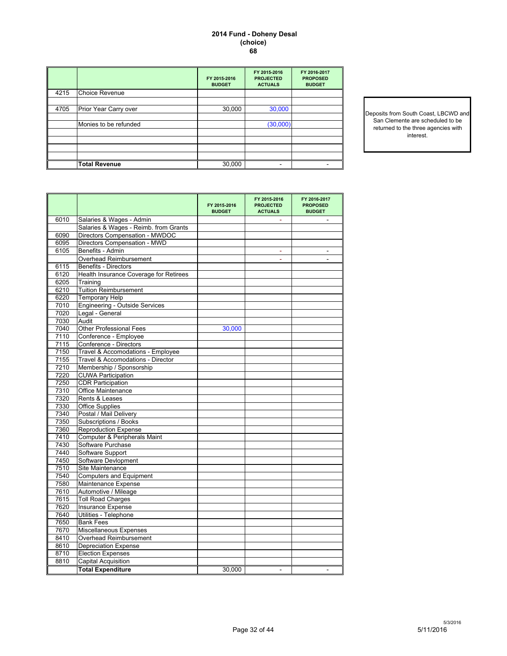#### **2014 Fund - Doheny Desal (choice) 68**

|      |                       | FY 2015-2016<br><b>BUDGET</b> | FY 2015-2016<br><b>PROJECTED</b><br><b>ACTUALS</b> | FY 2016-2017<br><b>PROPOSED</b><br><b>BUDGET</b> |
|------|-----------------------|-------------------------------|----------------------------------------------------|--------------------------------------------------|
| 4215 | Choice Revenue        |                               |                                                    |                                                  |
| 4705 | Prior Year Carry over | 30,000                        | 30,000                                             |                                                  |
|      | Monies to be refunded |                               | (30,000)                                           |                                                  |
|      |                       |                               |                                                    |                                                  |
|      |                       |                               |                                                    |                                                  |
|      | <b>Total Revenue</b>  | 30,000                        | -                                                  |                                                  |

Deposits from South Coast, LBCWD and San Clemente are scheduled to be returned to the three agencies with interest.

|      |                                        | FY 2015-2016<br><b>BUDGET</b> | FY 2015-2016<br><b>PROJECTED</b><br><b>ACTUALS</b> | FY 2016-2017<br><b>PROPOSED</b><br><b>BUDGET</b> |
|------|----------------------------------------|-------------------------------|----------------------------------------------------|--------------------------------------------------|
| 6010 | Salaries & Wages - Admin               |                               |                                                    |                                                  |
|      | Salaries & Wages - Reimb. from Grants  |                               |                                                    |                                                  |
| 6090 | Directors Compensation - MWDOC         |                               |                                                    |                                                  |
| 6095 | Directors Compensation - MWD           |                               |                                                    |                                                  |
| 6105 | Benefits - Admin                       |                               |                                                    |                                                  |
|      | Overhead Reimbursement                 |                               | ÷.                                                 |                                                  |
| 6115 | <b>Benefits - Directors</b>            |                               |                                                    |                                                  |
| 6120 | Health Insurance Coverage for Retirees |                               |                                                    |                                                  |
| 6205 | Training                               |                               |                                                    |                                                  |
| 6210 | <b>Tuition Reimbursement</b>           |                               |                                                    |                                                  |
| 6220 | <b>Temporary Help</b>                  |                               |                                                    |                                                  |
| 7010 | <b>Engineering - Outside Services</b>  |                               |                                                    |                                                  |
| 7020 | Legal - General                        |                               |                                                    |                                                  |
| 7030 | Audit                                  |                               |                                                    |                                                  |
| 7040 | <b>Other Professional Fees</b>         | 30,000                        |                                                    |                                                  |
| 7110 | Conference - Employee                  |                               |                                                    |                                                  |
| 7115 | Conference - Directors                 |                               |                                                    |                                                  |
| 7150 | Travel & Accomodations - Employee      |                               |                                                    |                                                  |
| 7155 | Travel & Accomodations - Director      |                               |                                                    |                                                  |
| 7210 | Membership / Sponsorship               |                               |                                                    |                                                  |
| 7220 | <b>CUWA Participation</b>              |                               |                                                    |                                                  |
| 7250 | <b>CDR Participation</b>               |                               |                                                    |                                                  |
| 7310 | Office Maintenance                     |                               |                                                    |                                                  |
| 7320 | Rents & Leases                         |                               |                                                    |                                                  |
| 7330 | <b>Office Supplies</b>                 |                               |                                                    |                                                  |
| 7340 | Postal / Mail Delivery                 |                               |                                                    |                                                  |
| 7350 | Subscriptions / Books                  |                               |                                                    |                                                  |
| 7360 | <b>Reproduction Expense</b>            |                               |                                                    |                                                  |
| 7410 | Computer & Peripherals Maint           |                               |                                                    |                                                  |
| 7430 | Software Purchase                      |                               |                                                    |                                                  |
| 7440 | Software Support                       |                               |                                                    |                                                  |
| 7450 | Software Devlopment                    |                               |                                                    |                                                  |
| 7510 | Site Maintenance                       |                               |                                                    |                                                  |
| 7540 | <b>Computers and Equipment</b>         |                               |                                                    |                                                  |
| 7580 | Maintenance Expense                    |                               |                                                    |                                                  |
| 7610 | Automotive / Mileage                   |                               |                                                    |                                                  |
| 7615 | <b>Toll Road Charges</b>               |                               |                                                    |                                                  |
| 7620 | Insurance Expense                      |                               |                                                    |                                                  |
| 7640 | Utilities - Telephone                  |                               |                                                    |                                                  |
| 7650 | <b>Bank Fees</b>                       |                               |                                                    |                                                  |
| 7670 | Miscellaneous Expenses                 |                               |                                                    |                                                  |
| 8410 | Overhead Reimbursement                 |                               |                                                    |                                                  |
| 8610 | <b>Depreciation Expense</b>            |                               |                                                    |                                                  |
| 8710 | <b>Election Expenses</b>               |                               |                                                    |                                                  |
| 8810 | <b>Capital Acquisition</b>             |                               |                                                    |                                                  |
|      | <b>Total Expenditure</b>               | 30,000                        |                                                    |                                                  |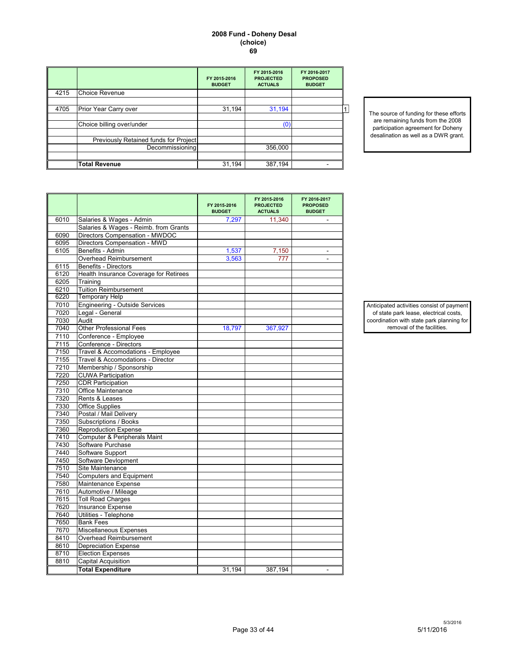#### **2008 Fund - Doheny Desal (choice) 69**

|                                       | FY 2015-2016<br><b>BUDGET</b>                 | FY 2015-2016<br><b>PROJECTED</b><br><b>ACTUALS</b> | FY 2016-2017<br><b>PROPOSED</b><br><b>BUDGET</b> |
|---------------------------------------|-----------------------------------------------|----------------------------------------------------|--------------------------------------------------|
| <b>Choice Revenue</b>                 |                                               |                                                    |                                                  |
|                                       |                                               |                                                    |                                                  |
|                                       |                                               |                                                    |                                                  |
| Choice billing over/under             |                                               | (0)                                                |                                                  |
| Previously Retained funds for Project |                                               |                                                    |                                                  |
| Decommissioning                       |                                               | 356,000                                            |                                                  |
|                                       |                                               |                                                    |                                                  |
|                                       | Prior Year Carry over<br><b>Total Revenue</b> | 31,194<br>31,194                                   | 31,194<br>387,194                                |

The source of funding for these efforts are remaining funds from the 2008 participation agreement for Doheny desalination as well as a DWR grant.

|      |                                        | FY 2015-2016<br><b>BUDGET</b> | FY 2015-2016<br><b>PROJECTED</b><br><b>ACTUALS</b> | FY 2016-2017<br><b>PROPOSED</b><br><b>BUDGET</b> |
|------|----------------------------------------|-------------------------------|----------------------------------------------------|--------------------------------------------------|
| 6010 | Salaries & Wages - Admin               | 7,297                         | 11,340                                             |                                                  |
|      | Salaries & Wages - Reimb. from Grants  |                               |                                                    |                                                  |
| 6090 | Directors Compensation - MWDOC         |                               |                                                    |                                                  |
| 6095 | Directors Compensation - MWD           |                               |                                                    |                                                  |
| 6105 | Benefits - Admin                       | 1,537                         | 7,150                                              |                                                  |
|      | <b>Overhead Reimbursement</b>          | 3,563                         | 777                                                |                                                  |
| 6115 | <b>Benefits - Directors</b>            |                               |                                                    |                                                  |
| 6120 | Health Insurance Coverage for Retirees |                               |                                                    |                                                  |
| 6205 | Training                               |                               |                                                    |                                                  |
| 6210 | <b>Tuition Reimbursement</b>           |                               |                                                    |                                                  |
| 6220 | <b>Temporary Help</b>                  |                               |                                                    |                                                  |
| 7010 | <b>Engineering - Outside Services</b>  |                               |                                                    |                                                  |
| 7020 | Legal - General                        |                               |                                                    |                                                  |
| 7030 | Audit                                  |                               |                                                    |                                                  |
| 7040 | <b>Other Professional Fees</b>         | 18,797                        | 367,927                                            |                                                  |
| 7110 | Conference - Employee                  |                               |                                                    |                                                  |
| 7115 | Conference - Directors                 |                               |                                                    |                                                  |
| 7150 | Travel & Accomodations - Employee      |                               |                                                    |                                                  |
| 7155 | Travel & Accomodations - Director      |                               |                                                    |                                                  |
| 7210 | Membership / Sponsorship               |                               |                                                    |                                                  |
| 7220 | <b>CUWA Participation</b>              |                               |                                                    |                                                  |
| 7250 | <b>CDR Participation</b>               |                               |                                                    |                                                  |
| 7310 | Office Maintenance                     |                               |                                                    |                                                  |
| 7320 | Rents & Leases                         |                               |                                                    |                                                  |
| 7330 | <b>Office Supplies</b>                 |                               |                                                    |                                                  |
| 7340 | Postal / Mail Delivery                 |                               |                                                    |                                                  |
| 7350 | Subscriptions / Books                  |                               |                                                    |                                                  |
| 7360 | <b>Reproduction Expense</b>            |                               |                                                    |                                                  |
| 7410 | Computer & Peripherals Maint           |                               |                                                    |                                                  |
| 7430 | Software Purchase                      |                               |                                                    |                                                  |
| 7440 | Software Support                       |                               |                                                    |                                                  |
| 7450 | Software Devlopment                    |                               |                                                    |                                                  |
| 7510 | Site Maintenance                       |                               |                                                    |                                                  |
| 7540 | <b>Computers and Equipment</b>         |                               |                                                    |                                                  |
| 7580 | Maintenance Expense                    |                               |                                                    |                                                  |
| 7610 | Automotive / Mileage                   |                               |                                                    |                                                  |
| 7615 | <b>Toll Road Charges</b>               |                               |                                                    |                                                  |
| 7620 | Insurance Expense                      |                               |                                                    |                                                  |
| 7640 | Utilities - Telephone                  |                               |                                                    |                                                  |
| 7650 | <b>Bank Fees</b>                       |                               |                                                    |                                                  |
| 7670 | Miscellaneous Expenses                 |                               |                                                    |                                                  |
| 8410 | Overhead Reimbursement                 |                               |                                                    |                                                  |
| 8610 | <b>Depreciation Expense</b>            |                               |                                                    |                                                  |
| 8710 | <b>Election Expenses</b>               |                               |                                                    |                                                  |
| 8810 | Capital Acquisition                    |                               |                                                    |                                                  |
|      | <b>Total Expenditure</b>               | 31,194                        | 387,194                                            |                                                  |

Anticipated activities consist of payment of state park lease, electrical costs, coordination with state park planning for removal of the facilities.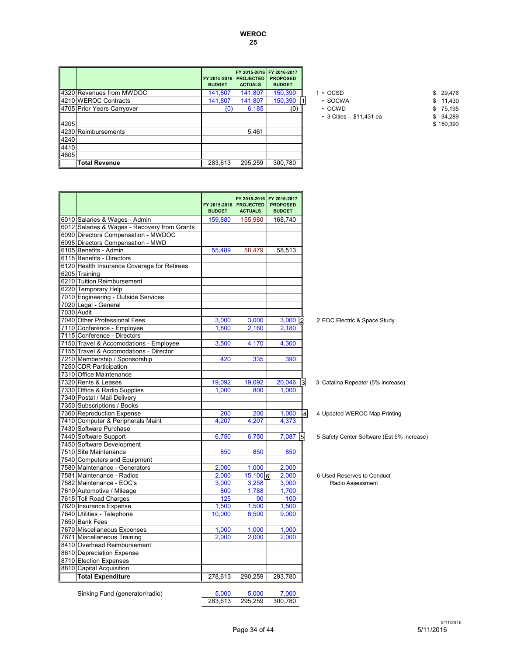#### **WEROC 25**

|      |                            | FY 2015-2016 PROJECTED<br><b>BUDGET</b> | FY 2015-2016 FY 2016-2017<br><b>ACTUALS</b> | <b>PROPOSED</b><br><b>BUDGET</b> |                                 |              |
|------|----------------------------|-----------------------------------------|---------------------------------------------|----------------------------------|---------------------------------|--------------|
|      | 4320 Revenues from MWDOC   | 141,807                                 | 141,807                                     | 150,390                          | $\cdot$ OCSD                    | 29,476<br>\$ |
|      | 4210 WEROC Contracts       | 141,807                                 | 141,807                                     | 150,390 1                        | $\cdot$ SOCWA                   | 11,430<br>\$ |
|      | 4705 Prior Years Carryover |                                         | 6,185                                       | (0)                              | $\cdot$ OCWD                    | 75,195<br>\$ |
|      |                            |                                         |                                             |                                  | $\cdot$ 3 Cities -- \$11,431 ea | 34,289       |
| 4205 |                            |                                         |                                             |                                  |                                 | \$150,390    |
|      | 4230 Reimbursements        |                                         | 5.461                                       |                                  |                                 |              |
| 4240 |                            |                                         |                                             |                                  |                                 |              |
| 4410 |                            |                                         |                                             |                                  |                                 |              |
| 4805 |                            |                                         |                                             |                                  |                                 |              |
|      | <b>Total Revenue</b>       | 283.613                                 | 295,259                                     | 300,780                          |                                 |              |

| $1 \cdot$ OCSD                  | \$ 29.476 |
|---------------------------------|-----------|
| $\cdot$ SOCWA                   | \$11,430  |
| $\cdot$ OCWD                    | \$75.195  |
| $\cdot$ 3 Cities -- \$11.431 ea | \$34.289  |
|                                 | \$150,390 |

| 6010 Salaries & Wages - Admin<br>159,880<br>155,980<br>168,740<br>6012 Salaries & Wages - Recovery from Grants<br>6090 Directors Compensation - MWDOC<br>6095 Directors Compensation - MWD<br>6105 Benefits - Admin<br>55.489<br>58.513<br>58.479<br>6115 Benefits - Directors<br>6120 Health Insurance Coverage for Retirees<br>6205 Training<br>6210 Tuition Reimbursement<br>6220 Temporary Help<br>7010 Engineering - Outside Services<br>7020 Legal - General<br>7030 Audit<br>7040 Other Professional Fees<br>3,000<br>3,000<br>3,000<br>2<br>7110 Conference - Employee<br>1.800<br>2,160<br>2.180<br>7115 Conference - Directors<br>7150 Travel & Accomodations - Employee<br>3,500<br>4,170<br>4,300<br>7155 Travel & Accomodations - Director<br>7210 Membership / Sponsorship<br>390<br>420<br>335<br>7250 CDR Participation<br>7310 Office Maintenance<br>7320 Rents & Leases<br>19,092<br>19,092<br>20,046<br>3<br>7330 Office & Radio Supplies<br>1.000<br>1.000<br>800<br>7340 Postal / Mail Delivery<br>7350 Subscriptions / Books |                                   |
|----------------------------------------------------------------------------------------------------------------------------------------------------------------------------------------------------------------------------------------------------------------------------------------------------------------------------------------------------------------------------------------------------------------------------------------------------------------------------------------------------------------------------------------------------------------------------------------------------------------------------------------------------------------------------------------------------------------------------------------------------------------------------------------------------------------------------------------------------------------------------------------------------------------------------------------------------------------------------------------------------------------------------------------------------|-----------------------------------|
|                                                                                                                                                                                                                                                                                                                                                                                                                                                                                                                                                                                                                                                                                                                                                                                                                                                                                                                                                                                                                                                    |                                   |
|                                                                                                                                                                                                                                                                                                                                                                                                                                                                                                                                                                                                                                                                                                                                                                                                                                                                                                                                                                                                                                                    |                                   |
|                                                                                                                                                                                                                                                                                                                                                                                                                                                                                                                                                                                                                                                                                                                                                                                                                                                                                                                                                                                                                                                    |                                   |
|                                                                                                                                                                                                                                                                                                                                                                                                                                                                                                                                                                                                                                                                                                                                                                                                                                                                                                                                                                                                                                                    |                                   |
|                                                                                                                                                                                                                                                                                                                                                                                                                                                                                                                                                                                                                                                                                                                                                                                                                                                                                                                                                                                                                                                    |                                   |
|                                                                                                                                                                                                                                                                                                                                                                                                                                                                                                                                                                                                                                                                                                                                                                                                                                                                                                                                                                                                                                                    |                                   |
|                                                                                                                                                                                                                                                                                                                                                                                                                                                                                                                                                                                                                                                                                                                                                                                                                                                                                                                                                                                                                                                    |                                   |
|                                                                                                                                                                                                                                                                                                                                                                                                                                                                                                                                                                                                                                                                                                                                                                                                                                                                                                                                                                                                                                                    |                                   |
|                                                                                                                                                                                                                                                                                                                                                                                                                                                                                                                                                                                                                                                                                                                                                                                                                                                                                                                                                                                                                                                    |                                   |
|                                                                                                                                                                                                                                                                                                                                                                                                                                                                                                                                                                                                                                                                                                                                                                                                                                                                                                                                                                                                                                                    |                                   |
|                                                                                                                                                                                                                                                                                                                                                                                                                                                                                                                                                                                                                                                                                                                                                                                                                                                                                                                                                                                                                                                    |                                   |
|                                                                                                                                                                                                                                                                                                                                                                                                                                                                                                                                                                                                                                                                                                                                                                                                                                                                                                                                                                                                                                                    |                                   |
|                                                                                                                                                                                                                                                                                                                                                                                                                                                                                                                                                                                                                                                                                                                                                                                                                                                                                                                                                                                                                                                    |                                   |
|                                                                                                                                                                                                                                                                                                                                                                                                                                                                                                                                                                                                                                                                                                                                                                                                                                                                                                                                                                                                                                                    | 2 EOC Electric & Space Study      |
|                                                                                                                                                                                                                                                                                                                                                                                                                                                                                                                                                                                                                                                                                                                                                                                                                                                                                                                                                                                                                                                    |                                   |
|                                                                                                                                                                                                                                                                                                                                                                                                                                                                                                                                                                                                                                                                                                                                                                                                                                                                                                                                                                                                                                                    |                                   |
|                                                                                                                                                                                                                                                                                                                                                                                                                                                                                                                                                                                                                                                                                                                                                                                                                                                                                                                                                                                                                                                    |                                   |
|                                                                                                                                                                                                                                                                                                                                                                                                                                                                                                                                                                                                                                                                                                                                                                                                                                                                                                                                                                                                                                                    |                                   |
|                                                                                                                                                                                                                                                                                                                                                                                                                                                                                                                                                                                                                                                                                                                                                                                                                                                                                                                                                                                                                                                    |                                   |
|                                                                                                                                                                                                                                                                                                                                                                                                                                                                                                                                                                                                                                                                                                                                                                                                                                                                                                                                                                                                                                                    |                                   |
|                                                                                                                                                                                                                                                                                                                                                                                                                                                                                                                                                                                                                                                                                                                                                                                                                                                                                                                                                                                                                                                    |                                   |
|                                                                                                                                                                                                                                                                                                                                                                                                                                                                                                                                                                                                                                                                                                                                                                                                                                                                                                                                                                                                                                                    | 3 Catalina Repeater (5% increase) |
|                                                                                                                                                                                                                                                                                                                                                                                                                                                                                                                                                                                                                                                                                                                                                                                                                                                                                                                                                                                                                                                    |                                   |
|                                                                                                                                                                                                                                                                                                                                                                                                                                                                                                                                                                                                                                                                                                                                                                                                                                                                                                                                                                                                                                                    |                                   |
|                                                                                                                                                                                                                                                                                                                                                                                                                                                                                                                                                                                                                                                                                                                                                                                                                                                                                                                                                                                                                                                    |                                   |
| 7360 Reproduction Expense<br>200<br>200<br>1,000<br> 4                                                                                                                                                                                                                                                                                                                                                                                                                                                                                                                                                                                                                                                                                                                                                                                                                                                                                                                                                                                             | 4 Updated WEROC Map Printing      |
| 7410 Computer & Peripherals Maint<br>4,207<br>4,207<br>4,373                                                                                                                                                                                                                                                                                                                                                                                                                                                                                                                                                                                                                                                                                                                                                                                                                                                                                                                                                                                       |                                   |
| 7430 Software Purchase                                                                                                                                                                                                                                                                                                                                                                                                                                                                                                                                                                                                                                                                                                                                                                                                                                                                                                                                                                                                                             |                                   |
| 7440 Software Support<br>6,750<br>6,750<br>7,087<br>5                                                                                                                                                                                                                                                                                                                                                                                                                                                                                                                                                                                                                                                                                                                                                                                                                                                                                                                                                                                              | 5 Safety Center Software (Est 5%  |
| 7450 Software Development                                                                                                                                                                                                                                                                                                                                                                                                                                                                                                                                                                                                                                                                                                                                                                                                                                                                                                                                                                                                                          |                                   |
| 7510 Site Maintenance<br>850<br>850<br>850                                                                                                                                                                                                                                                                                                                                                                                                                                                                                                                                                                                                                                                                                                                                                                                                                                                                                                                                                                                                         |                                   |
| 7540 Computers and Equipment                                                                                                                                                                                                                                                                                                                                                                                                                                                                                                                                                                                                                                                                                                                                                                                                                                                                                                                                                                                                                       |                                   |
| 7580 Maintenance - Generators<br>2,000<br>1,000<br>2,000                                                                                                                                                                                                                                                                                                                                                                                                                                                                                                                                                                                                                                                                                                                                                                                                                                                                                                                                                                                           |                                   |
| 7581 Maintenance - Radios<br>2,000<br>15,100 6<br>2,000                                                                                                                                                                                                                                                                                                                                                                                                                                                                                                                                                                                                                                                                                                                                                                                                                                                                                                                                                                                            | 6 Used Reserves to Conduct        |
| 7582 Maintenance - EOC's<br>3,000<br>3,258<br>3,000                                                                                                                                                                                                                                                                                                                                                                                                                                                                                                                                                                                                                                                                                                                                                                                                                                                                                                                                                                                                | Radio Assessment                  |
| 1,700<br>7610 Automotive / Mileage<br>800<br>1,788                                                                                                                                                                                                                                                                                                                                                                                                                                                                                                                                                                                                                                                                                                                                                                                                                                                                                                                                                                                                 |                                   |
| 7615 Toll Road Charges<br>125<br>90<br>100                                                                                                                                                                                                                                                                                                                                                                                                                                                                                                                                                                                                                                                                                                                                                                                                                                                                                                                                                                                                         |                                   |
| 7620 Insurance Expense<br>1,500<br>1,500<br>1,500                                                                                                                                                                                                                                                                                                                                                                                                                                                                                                                                                                                                                                                                                                                                                                                                                                                                                                                                                                                                  |                                   |
| 7640 Utilities - Telephone<br>10,000<br>8,500<br>9,000                                                                                                                                                                                                                                                                                                                                                                                                                                                                                                                                                                                                                                                                                                                                                                                                                                                                                                                                                                                             |                                   |
| 7650 Bank Fees                                                                                                                                                                                                                                                                                                                                                                                                                                                                                                                                                                                                                                                                                                                                                                                                                                                                                                                                                                                                                                     |                                   |
| 7670 Miscellaneous Expenses<br>1.000<br>1.000<br>1.000                                                                                                                                                                                                                                                                                                                                                                                                                                                                                                                                                                                                                                                                                                                                                                                                                                                                                                                                                                                             |                                   |
| 7671 Miscellaneous Training<br>2,000<br>2,000<br>2,000                                                                                                                                                                                                                                                                                                                                                                                                                                                                                                                                                                                                                                                                                                                                                                                                                                                                                                                                                                                             |                                   |
| 8410 Overhead Reimbursement                                                                                                                                                                                                                                                                                                                                                                                                                                                                                                                                                                                                                                                                                                                                                                                                                                                                                                                                                                                                                        |                                   |
| 8610 Depreciation Expense                                                                                                                                                                                                                                                                                                                                                                                                                                                                                                                                                                                                                                                                                                                                                                                                                                                                                                                                                                                                                          |                                   |
| 8710 Election Expenses                                                                                                                                                                                                                                                                                                                                                                                                                                                                                                                                                                                                                                                                                                                                                                                                                                                                                                                                                                                                                             |                                   |
| 8810 Capital Acquisition                                                                                                                                                                                                                                                                                                                                                                                                                                                                                                                                                                                                                                                                                                                                                                                                                                                                                                                                                                                                                           |                                   |
| <b>Total Expenditure</b><br>278,613<br>290,259<br>293,780                                                                                                                                                                                                                                                                                                                                                                                                                                                                                                                                                                                                                                                                                                                                                                                                                                                                                                                                                                                          |                                   |
|                                                                                                                                                                                                                                                                                                                                                                                                                                                                                                                                                                                                                                                                                                                                                                                                                                                                                                                                                                                                                                                    |                                   |

Sinking Fund (generator/radio)  $\frac{5,000}{283,613}$   $\frac{5,000}{295,259}$   $\frac{7,000}{300,780}$ 295,259

re (Est 5% increase)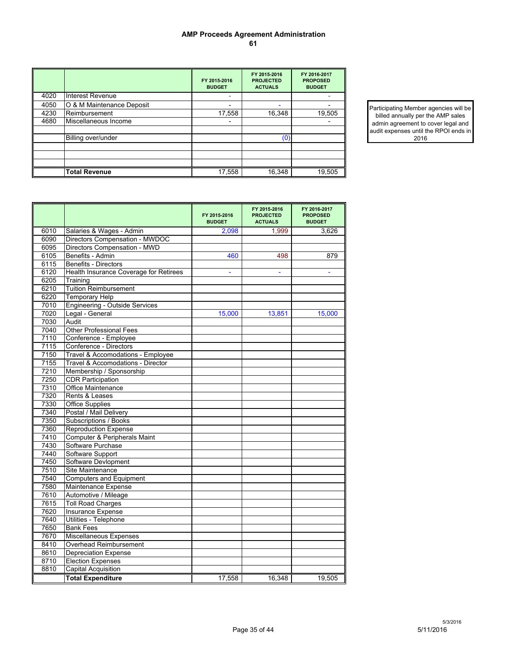#### **AMP Proceeds Agreement Administration 61**

|      |                           | FY 2015-2016<br><b>BUDGET</b> | FY 2015 2016<br><b>PROJECTED</b><br><b>ACTUALS</b> | FY 2016-2017<br><b>PROPOSED</b><br><b>BUDGET</b> |
|------|---------------------------|-------------------------------|----------------------------------------------------|--------------------------------------------------|
| 4020 | Interest Revenue          | -                             |                                                    |                                                  |
| 4050 | O & M Maintenance Deposit |                               |                                                    |                                                  |
| 4230 | Reimbursement             | 17,558                        | 16,348                                             | 19,505                                           |
| 4680 | Miscellaneous Income      |                               |                                                    |                                                  |
|      |                           |                               |                                                    |                                                  |
|      | Billing over/under        |                               | (0)                                                |                                                  |
|      |                           |                               |                                                    |                                                  |
|      |                           |                               |                                                    |                                                  |
|      |                           |                               |                                                    |                                                  |
|      | <b>Total Revenue</b>      | 17,558                        | 16,348                                             | 19,505                                           |

Participating Member agencies will be billed annually per the AMP sales admin agreement to cover legal and audit expenses until the RPOI ends in 2016

|      |                                        | FY 2015-2016<br><b>BUDGET</b> | FY 2015 2016<br><b>PROJECTED</b><br><b>ACTUALS</b> | FY 2016-2017<br><b>PROPOSED</b><br><b>BUDGET</b> |
|------|----------------------------------------|-------------------------------|----------------------------------------------------|--------------------------------------------------|
| 6010 | Salaries & Wages - Admin               | 2.098                         | 1.999                                              | 3,626                                            |
| 6090 | Directors Compensation - MWDOC         |                               |                                                    |                                                  |
| 6095 | Directors Compensation - MWD           |                               |                                                    |                                                  |
| 6105 | Benefits - Admin                       | 460                           | 498                                                | 879                                              |
| 6115 | <b>Benefits - Directors</b>            |                               |                                                    |                                                  |
| 6120 | Health Insurance Coverage for Retirees | ٠                             | $\blacksquare$                                     | ۰                                                |
| 6205 | Training                               |                               |                                                    |                                                  |
| 6210 | <b>Tuition Reimbursement</b>           |                               |                                                    |                                                  |
| 6220 | <b>Temporary Help</b>                  |                               |                                                    |                                                  |
| 7010 | <b>Engineering - Outside Services</b>  |                               |                                                    |                                                  |
| 7020 | Legal - General                        | 15,000                        | 13,851                                             | 15,000                                           |
| 7030 | Audit                                  |                               |                                                    |                                                  |
| 7040 | <b>Other Professional Fees</b>         |                               |                                                    |                                                  |
| 7110 | Conference - Employee                  |                               |                                                    |                                                  |
| 7115 | Conference - Directors                 |                               |                                                    |                                                  |
| 7150 | Travel & Accomodations - Employee      |                               |                                                    |                                                  |
| 7155 | Travel & Accomodations - Director      |                               |                                                    |                                                  |
| 7210 | Membership / Sponsorship               |                               |                                                    |                                                  |
| 7250 | <b>CDR</b> Participation               |                               |                                                    |                                                  |
| 7310 | <b>Office Maintenance</b>              |                               |                                                    |                                                  |
| 7320 | Rents & Leases                         |                               |                                                    |                                                  |
| 7330 | <b>Office Supplies</b>                 |                               |                                                    |                                                  |
| 7340 | Postal / Mail Delivery                 |                               |                                                    |                                                  |
| 7350 | Subscriptions / Books                  |                               |                                                    |                                                  |
| 7360 | <b>Reproduction Expense</b>            |                               |                                                    |                                                  |
| 7410 | Computer & Peripherals Maint           |                               |                                                    |                                                  |
| 7430 | Software Purchase                      |                               |                                                    |                                                  |
| 7440 | Software Support                       |                               |                                                    |                                                  |
| 7450 | Software Devlopment                    |                               |                                                    |                                                  |
| 7510 | Site Maintenance                       |                               |                                                    |                                                  |
| 7540 | <b>Computers and Equipment</b>         |                               |                                                    |                                                  |
| 7580 | Maintenance Expense                    |                               |                                                    |                                                  |
| 7610 | Automotive / Mileage                   |                               |                                                    |                                                  |
| 7615 | <b>Toll Road Charges</b>               |                               |                                                    |                                                  |
| 7620 | <b>Insurance Expense</b>               |                               |                                                    |                                                  |
| 7640 | Utilities - Telephone                  |                               |                                                    |                                                  |
| 7650 | <b>Bank Fees</b>                       |                               |                                                    |                                                  |
| 7670 | <b>Miscellaneous Expenses</b>          |                               |                                                    |                                                  |
| 8410 | Overhead Reimbursement                 |                               |                                                    |                                                  |
| 8610 | <b>Depreciation Expense</b>            |                               |                                                    |                                                  |
| 8710 | <b>Election Expenses</b>               |                               |                                                    |                                                  |
| 8810 | <b>Capital Acquisition</b>             |                               |                                                    |                                                  |
|      | <b>Total Expenditure</b>               | 17,558                        | 16,348                                             | 19,505                                           |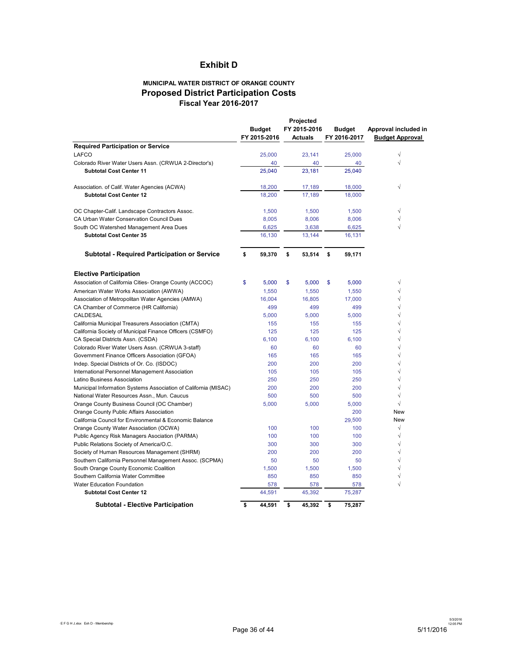## **Exhibit D**

#### **MUNICIPAL WATER DISTRICT OF ORANGE COUNTY Proposed District Participation Costs Fiscal Year 2016-2017**

|                                                                 | <b>Budget</b> | Projected<br>FY 2015-2016 | Budget       | Approval included in   |
|-----------------------------------------------------------------|---------------|---------------------------|--------------|------------------------|
|                                                                 | FY 2015-2016  | Actuals                   | FY 2016-2017 | <b>Budget Approval</b> |
| <b>Required Participation or Service</b>                        |               |                           |              |                        |
| LAFCO                                                           | 25,000        | 23,141                    | 25,000       | √                      |
| Colorado River Water Users Assn. (CRWUA 2-Director's)           | 40            | 40                        | 40           |                        |
| <b>Subtotal Cost Center 11</b>                                  | 25,040        | 23.181                    | 25.040       |                        |
|                                                                 |               |                           |              |                        |
| Association. of Calif. Water Agencies (ACWA)                    | 18,200        | 17,189                    | 18,000       | √                      |
| <b>Subtotal Cost Center 12</b>                                  | 18,200        | 17,189                    | 18,000       |                        |
|                                                                 |               |                           |              |                        |
| OC Chapter-Calif. Landscape Contractors Assoc.                  | 1,500         | 1,500                     | 1,500        | √                      |
| CA Urban Water Conservation Council Dues                        | 8,005         | 8,006                     | 8,006        | √                      |
| South OC Watershed Management Area Dues                         | 6,625         | 3,638                     | 6,625        | √                      |
| <b>Subtotal Cost Center 35</b>                                  | 16,130        | 13,144                    | 16,131       |                        |
|                                                                 |               |                           |              |                        |
| <b>Subtotal - Required Participation or Service</b>             | \$<br>59,370  | \$<br>53,514              | \$<br>59,171 |                        |
|                                                                 |               |                           |              |                        |
|                                                                 |               |                           |              |                        |
| <b>Elective Participation</b>                                   |               |                           |              |                        |
| Association of California Cities- Orange County (ACCOC)         | \$<br>5,000   | \$<br>5,000               | \$<br>5,000  | √                      |
| American Water Works Association (AWWA)                         | 1,550         | 1,550                     | 1,550        | √                      |
| Association of Metropolitan Water Agencies (AMWA)               | 16,004        | 16,805                    | 17,000       | $\sqrt{}$              |
| CA Chamber of Commerce (HR California)                          | 499           | 499                       | 499          |                        |
| <b>CALDESAL</b>                                                 | 5,000         | 5,000                     | 5,000        | √                      |
| California Municipal Treasurers Association (CMTA)              | 155           | 155                       | 155          | √                      |
| California Society of Municipal Finance Officers (CSMFO)        | 125           | 125                       | 125          | $\sqrt{}$              |
| CA Special Districts Assn. (CSDA)                               | 6.100         | 6.100                     | 6.100        | $\sqrt{2}$             |
| Colorado River Water Users Assn. (CRWUA 3-staff)                | 60            | 60                        | 60           | $\sqrt{}$              |
| Government Finance Officers Association (GFOA)                  | 165           | 165                       | 165          | √                      |
| Indep. Special Districts of Or. Co. (ISDOC)                     | 200           | 200                       | 200          | $\sqrt{2}$             |
| International Personnel Management Association                  | 105           | 105                       | 105          | √                      |
| Latino Business Association                                     | 250           | 250                       | 250          | $\sqrt{}$              |
| Municipal Information Systems Association of California (MISAC) | 200           | 200                       | 200          | √                      |
| National Water Resources Assn., Mun. Caucus                     | 500           | 500                       | 500          | √                      |
| Orange County Business Council (OC Chamber)                     | 5,000         | 5,000                     | 5,000        | $\sqrt{}$              |
| Orange County Public Affairs Association                        |               |                           | 200          | <b>New</b>             |
| California Council for Environmental & Economic Balance         |               |                           | 29,500       | New                    |
| Orange County Water Association (OCWA)                          | 100           | 100                       | 100          | $\sqrt{}$              |
| Public Agency Risk Managers Asociation (PARMA)                  | 100           | 100                       | 100          | $\sqrt{}$              |
| Public Relations Society of America/O.C.                        | 300           | 300                       | 300          | √                      |
| Society of Human Resources Management (SHRM)                    | 200           | 200                       | 200          | $\sqrt{}$              |
| Southern California Personnel Management Assoc. (SCPMA)         | 50            | 50                        | 50           | $\sqrt{}$              |
| South Orange County Economic Coalition                          | 1,500         | 1,500                     | 1,500        | √                      |
| Southern California Water Committee                             | 850           | 850                       | 850          | √                      |
| Water Education Foundation                                      | 578           | 578                       | 578          | √                      |
| <b>Subtotal Cost Center 12</b>                                  | 44,591        | 45,392                    | 75,287       |                        |
| <b>Subtotal - Elective Participation</b>                        | \$<br>44.591  | \$<br>45.392              | 75.287<br>\$ |                        |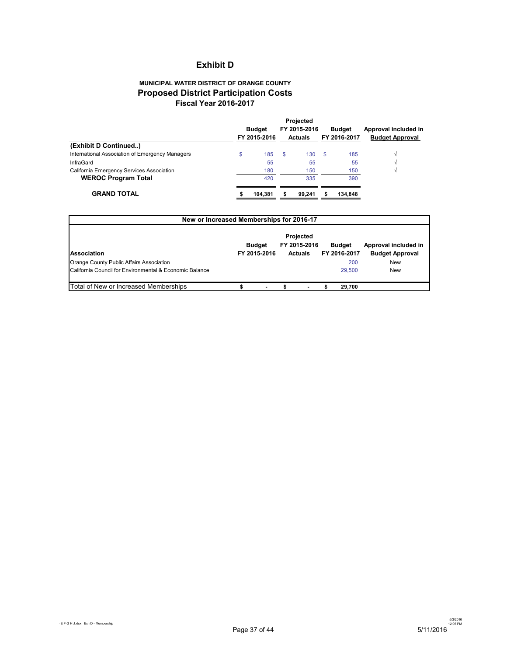## **Exhibit D**

## **MUNICIPAL WATER DISTRICT OF ORANGE COUNTY Proposed District Participation Costs Fiscal Year 2016-2017**

|                                                    |     | Projected |                        |  |  |  |
|----------------------------------------------------|-----|-----------|------------------------|--|--|--|
| FY 2015-2016                                       |     | Budget    | Approval included in   |  |  |  |
| <b>Actuals</b>                                     |     |           | <b>Budget Approval</b> |  |  |  |
|                                                    |     |           |                        |  |  |  |
| \$<br>130                                          | -\$ | 185       |                        |  |  |  |
| 55                                                 |     | 55        |                        |  |  |  |
| 150                                                |     | 150       |                        |  |  |  |
| 335                                                |     | 390       |                        |  |  |  |
| 99.241                                             | S   | 134.848   |                        |  |  |  |
| FY 2015-2016<br>185<br>55<br>180<br>420<br>104.381 |     |           | FY 2016-2017           |  |  |  |

| New or Increased Memberships for 2016-17                |                               |  |                                             |  |                               |                                                |
|---------------------------------------------------------|-------------------------------|--|---------------------------------------------|--|-------------------------------|------------------------------------------------|
| <b>Association</b>                                      | <b>Budget</b><br>FY 2015-2016 |  | Projected<br>FY 2015-2016<br><b>Actuals</b> |  | <b>Budget</b><br>FY 2016-2017 | Approval included in<br><b>Budget Approval</b> |
| Orange County Public Affairs Association                |                               |  |                                             |  | 200                           | <b>New</b>                                     |
| California Council for Environmental & Economic Balance |                               |  |                                             |  | 29,500                        | <b>New</b>                                     |
| Total of New or Increased Memberships                   |                               |  |                                             |  | 29.700                        |                                                |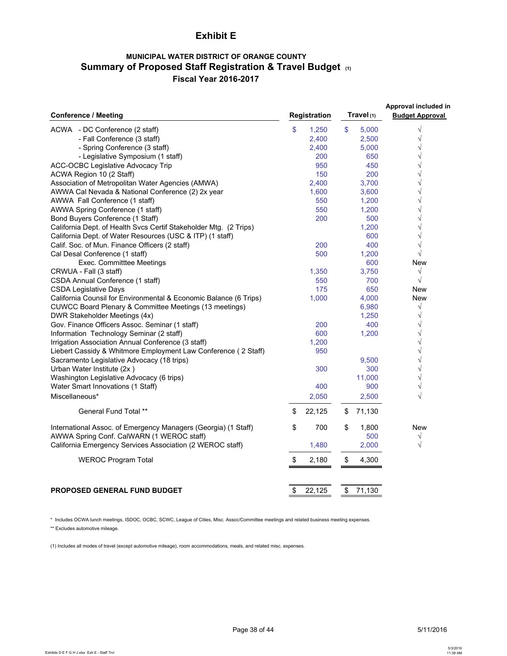## **Exhibit E**

## **MUNICIPAL WATER DISTRICT OF ORANGE COUNTY Summary of Proposed Staff Registration & Travel Budget (1) Fiscal Year 2016-2017**

| <b>Conference / Meeting</b>                                       | <b>Registration</b> | Travel (1)   | Approval included in<br><b>Budget Approval</b> |
|-------------------------------------------------------------------|---------------------|--------------|------------------------------------------------|
| ACWA - DC Conference (2 staff)                                    | \$<br>1,250         | \$<br>5,000  | $\sqrt{}$                                      |
| - Fall Conference (3 staff)                                       | 2,400               | 2,500        | $\sqrt{}$                                      |
| - Spring Conference (3 staff)                                     | 2,400               | 5,000        | $\sqrt{}$                                      |
| - Legislative Symposium (1 staff)                                 | 200                 | 650          | $\sqrt{}$                                      |
| <b>ACC-OCBC Legislative Advocacy Trip</b>                         | 950                 | 450          | $\sqrt{}$                                      |
| ACWA Region 10 (2 Staff)                                          | 150                 | 200          | $\sqrt{}$                                      |
| Association of Metropolitan Water Agencies (AMWA)                 | 2,400               | 3,700        | $\sqrt{}$                                      |
| AWWA Cal Nevada & National Conference (2) 2x year                 | 1,600               | 3,600        | $\sqrt{}$                                      |
| AWWA Fall Conference (1 staff)                                    | 550                 | 1,200        | $\sqrt{}$                                      |
| AWWA Spring Conference (1 staff)                                  | 550                 | 1,200        | $\sqrt{}$                                      |
| Bond Buyers Conference (1 Staff)                                  | 200                 | 500          | $\sqrt{}$                                      |
| California Dept. of Health Svcs Certif Stakeholder Mtg. (2 Trips) |                     | 1,200        | $\sqrt{}$                                      |
| California Dept. of Water Resources (USC & ITP) (1 staff)         |                     | 600          | $\sqrt{ }$                                     |
| Calif. Soc. of Mun. Finance Officers (2 staff)                    | 200                 | 400          | $\sqrt{}$                                      |
| Cal Desal Conference (1 staff)                                    | 500                 | 1,200        | $\sqrt{}$                                      |
| Exec. Committtee Meetings                                         |                     | 600          | New                                            |
| CRWUA - Fall (3 staff)                                            | 1,350               | 3,750        | $\sqrt{}$                                      |
| CSDA Annual Conference (1 staff)                                  | 550                 | 700          | $\sqrt{ }$                                     |
| <b>CSDA Legislative Days</b>                                      | 175                 | 650          | New                                            |
| California Counsil for Environmental & Economic Balance (6 Trips) | 1,000               | 4,000        | <b>New</b>                                     |
| CUWCC Board Plenary & Committee Meetings (13 meetings)            |                     | 6,980        | $\sqrt{ }$                                     |
| DWR Stakeholder Meetings (4x)                                     |                     | 1,250        | $\sqrt{}$                                      |
| Gov. Finance Officers Assoc. Seminar (1 staff)                    | 200                 | 400          | $\sqrt{}$                                      |
| Information Technology Seminar (2 staff)                          | 600                 | 1,200        | $\sqrt{}$                                      |
| Irrigation Association Annual Conference (3 staff)                | 1,200               |              | $\sqrt{ }$                                     |
| Liebert Cassidy & Whitmore Employment Law Conference (2 Staff)    | 950                 |              | $\sqrt{ }$                                     |
| Sacramento Legislative Advocacy (18 trips)                        |                     | 9,500        | $\sqrt{}$                                      |
| Urban Water Institute (2x)                                        | 300                 | 300          | $\sqrt{}$                                      |
| Washington Legislative Advocacy (6 trips)                         |                     | 11,000       | $\sqrt{}$                                      |
| Water Smart Innovations (1 Staff)                                 | 400                 | 900          | $\sqrt{}$                                      |
| Miscellaneous*                                                    | 2,050               | 2,500        | $\sqrt{ }$                                     |
| <b>General Fund Total **</b>                                      | \$<br>22,125        | \$<br>71,130 |                                                |
| International Assoc. of Emergency Managers (Georgia) (1 Staff)    | \$<br>700           | \$<br>1,800  | <b>New</b>                                     |
| AWWA Spring Conf. CalWARN (1 WEROC staff)                         |                     | 500          | $\sqrt{}$                                      |
| California Emergency Services Association (2 WEROC staff)         | 1,480               | 2,000        | $\sqrt{ }$                                     |
| <b>WEROC Program Total</b>                                        | \$<br>2,180         | \$<br>4,300  |                                                |
|                                                                   |                     |              |                                                |
| <b>PROPOSED GENERAL FUND BUDGET</b>                               | \$<br>22,125        | \$<br>71,130 |                                                |

\* Includes OCWA lunch meetings, ISDOC, OCBC, SCWC, League of Cities, Misc. Assoc/Committee meetings and related business meeting expenses.

\*\* Excludes automotive mileage.

(1) Includes all modes of travel (except automotive mileage), room accommodations, meals, and related misc. expenses.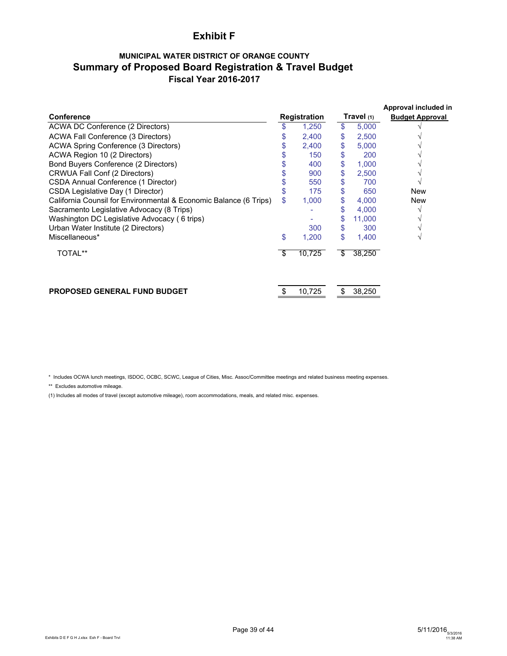## **Exhibit F**

## **MUNICIPAL WATER DISTRICT OF ORANGE COUNTY Summary of Proposed Board Registration & Travel Budget Fiscal Year 2016-2017**

|                                                                   |                     |        |            |        | Approval included in   |  |
|-------------------------------------------------------------------|---------------------|--------|------------|--------|------------------------|--|
| <b>Conference</b>                                                 | <b>Registration</b> |        | Travel (1) |        | <b>Budget Approval</b> |  |
| ACWA DC Conference (2 Directors)                                  | \$                  | 1,250  | \$         | 5,000  |                        |  |
| ACWA Fall Conference (3 Directors)                                |                     | 2,400  | \$         | 2,500  |                        |  |
| ACWA Spring Conference (3 Directors)                              |                     | 2,400  | \$         | 5,000  |                        |  |
| ACWA Region 10 (2 Directors)                                      |                     | 150    | \$         | 200    |                        |  |
| Bond Buyers Conference (2 Directors)                              |                     | 400    | \$         | 1,000  |                        |  |
| CRWUA Fall Conf (2 Directors)                                     |                     | 900    | \$         | 2,500  |                        |  |
| CSDA Annual Conference (1 Director)                               |                     | 550    | \$         | 700    |                        |  |
| CSDA Legislative Day (1 Director)                                 |                     | 175    | \$         | 650    | <b>New</b>             |  |
| California Counsil for Environmental & Economic Balance (6 Trips) | \$                  | 1,000  | \$         | 4,000  | <b>New</b>             |  |
| Sacramento Legislative Advocacy (8 Trips)                         |                     |        | S          | 4,000  |                        |  |
| Washington DC Legislative Advocacy (6 trips)                      |                     |        | \$         | 11,000 |                        |  |
| Urban Water Institute (2 Directors)                               |                     | 300    | \$         | 300    |                        |  |
| Miscellaneous*                                                    | \$                  | 1,200  | \$         | 1,400  |                        |  |
| <b>TOTAL**</b>                                                    | \$                  | 10,725 | \$         | 38,250 |                        |  |
| PROPOSED GENERAL FUND BUDGET                                      | \$                  | 10,725 | \$         | 38,250 |                        |  |

\* Includes OCWA lunch meetings, ISDOC, OCBC, SCWC, League of Cities, Misc. Assoc/Committee meetings and related business meeting expenses.

\*\* Excludes automotive mileage.

(1) Includes all modes of travel (except automotive mileage), room accommodations, meals, and related misc. expenses.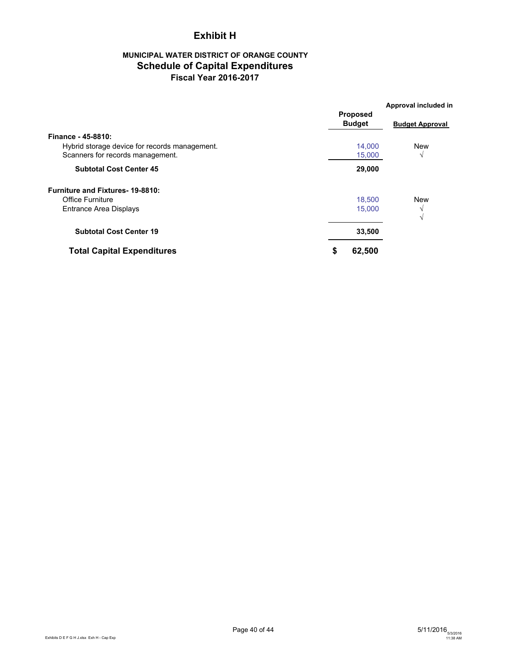## **Exhibit H**

## **MUNICIPAL WATER DISTRICT OF ORANGE COUNTY Schedule of Capital Expenditures Fiscal Year 2016-2017**

|                                                                                   | <b>Proposed</b>  | Approval included in   |  |
|-----------------------------------------------------------------------------------|------------------|------------------------|--|
|                                                                                   | <b>Budget</b>    | <b>Budget Approval</b> |  |
| Finance - 45-8810:                                                                |                  |                        |  |
| Hybrid storage device for records management.<br>Scanners for records management. | 14,000<br>15,000 | <b>New</b><br>V        |  |
|                                                                                   |                  |                        |  |
| <b>Subtotal Cost Center 45</b>                                                    | 29,000           |                        |  |
| <b>Furniture and Fixtures-19-8810:</b>                                            |                  |                        |  |
| <b>Office Furniture</b>                                                           | 18,500           | <b>New</b>             |  |
| Entrance Area Displays                                                            | 15,000           | V<br>V                 |  |
| <b>Subtotal Cost Center 19</b>                                                    | 33,500           |                        |  |
| <b>Total Capital Expenditures</b>                                                 | 62,500<br>\$     |                        |  |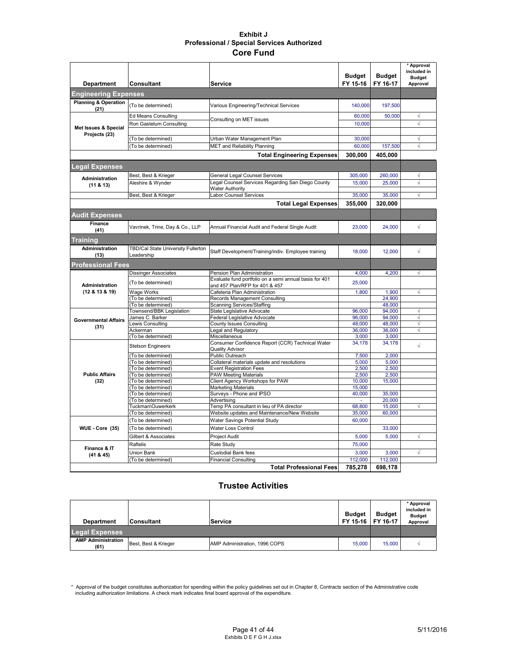#### **Exhibit J Professional / Special Services Authorized Core Fund**

| <b>Department</b>                | <b>Consultant</b>                                     | <b>Service</b>                                                                        | <b>Budget</b><br>FY 15-16 | <b>Budget</b><br>FY 16-17 | * Approval<br>included in<br><b>Budget</b><br>Approval |
|----------------------------------|-------------------------------------------------------|---------------------------------------------------------------------------------------|---------------------------|---------------------------|--------------------------------------------------------|
| <b>Engineering Expenses</b>      |                                                       |                                                                                       |                           |                           |                                                        |
| <b>Planning &amp; Operation</b>  | (To be determined)                                    | Various Engineering/Technical Services                                                | 140,000                   | 197,500                   |                                                        |
| (21)                             |                                                       |                                                                                       |                           |                           |                                                        |
|                                  | <b>Ed Means Consulting</b><br>Ron Gastelum Consulting | Consulting on MET issues                                                              | 60,000<br>10,000          | 50,000                    | √<br>$\sqrt{}$                                         |
| Met Issues & Special             |                                                       |                                                                                       |                           |                           |                                                        |
| Projects (23)                    | (To be determined)                                    | Urban Water Management Plan                                                           | 30,000                    |                           | $\sqrt{}$                                              |
|                                  | (To be determined)                                    | <b>MET and Reliability Planning</b>                                                   | 60,000                    | 157,500                   | $\sqrt{ }$                                             |
|                                  |                                                       | <b>Total Engineering Expenses</b>                                                     | 300.000                   | 405,000                   |                                                        |
| <b>Legal Expenses</b>            |                                                       |                                                                                       |                           |                           |                                                        |
| Administration                   | Best, Best & Krieger                                  | General Legal Counsel Services                                                        | 305.000                   | 260,000                   | $\sqrt{}$                                              |
| (11 & 8 & 13)                    | Aleshire & Wynder                                     | Legal Counsel Services Regarding San Diego County                                     | 15,000                    | 25,000                    | $\sqrt{}$                                              |
|                                  |                                                       | <b>Water Authority</b><br>abor Counsel Services                                       | 35,000                    | 35,000                    | √                                                      |
|                                  | Best, Best & Krieger                                  | <b>Total Legal Expenses</b>                                                           | 355,000                   | 320,000                   |                                                        |
|                                  |                                                       |                                                                                       |                           |                           |                                                        |
| <b>Audit Expenses</b><br>Finance |                                                       |                                                                                       |                           |                           |                                                        |
| (41)                             | Vavrinek, Trine, Day & Co., LLP                       | Annual Financial Audit and Federal Single Audit                                       | 23,000                    | 24,000                    | $\sqrt{}$                                              |
| <b>Training</b>                  |                                                       |                                                                                       |                           |                           |                                                        |
| Administration                   | TBD/Cal State University Fullerton                    | Staff Development/Training/indiv. Employee training                                   | 18,000                    | 12,000                    | $\sqrt{}$                                              |
| (13)                             | Leadership                                            |                                                                                       |                           |                           |                                                        |
| <b>Professional Fees</b>         |                                                       |                                                                                       |                           |                           |                                                        |
|                                  | <b>Dissinger Associates</b>                           | Pension Plan Administration<br>Evaluate fund portfolio on a semi annual basis for 401 | 4,000                     | 4,200                     | √                                                      |
| Administration                   | (To be determined)                                    | and 457 Plan/RFP for 401 & 457                                                        | 25,000                    |                           |                                                        |
| (12 & 13 & 19)                   | Wage Works                                            | Cafeteria Plan Administration                                                         | 1,800                     | 1.900                     | $\sqrt{}$                                              |
|                                  | (To be determined)                                    | Records Management Consulting                                                         |                           | 24,900                    |                                                        |
|                                  | (To be determined)                                    | Scanning Services/Staffing                                                            |                           | 48,000                    |                                                        |
|                                  | Townsend/BBK Legislation<br>James C. Barker           | State Legislative Advocate<br>Federal Legislative Advocate                            | 96,000<br>96,000          | 94,000<br>94,000          | $\sqrt{}$<br>$\sqrt{}$                                 |
| <b>Governmental Affairs</b>      | ewis Consulting                                       | County Issues Consulting                                                              | 48,000                    | 48,000                    | $\sqrt{2}$                                             |
| (31)                             | Ackerman                                              | Legal and Regulatory                                                                  | 36,000                    | 36,000                    | $\sqrt{}$                                              |
|                                  | (To be determined)                                    | Miscellaneous                                                                         | 3,000                     | 3,000                     |                                                        |
|                                  |                                                       | Consumer Confidence Report (CCR) Technical Water                                      | 34,178                    | 34,178                    |                                                        |
|                                  | Stetson Engineers                                     | <b>Quality Advisor</b>                                                                |                           |                           | $\sqrt{ }$                                             |
|                                  | To be determined)                                     | Public Outreach                                                                       | 7,500                     | 2.000                     |                                                        |
|                                  | (To be determined)                                    | Collateral materials update and resolutions                                           | 5,000                     | 5,000                     |                                                        |
|                                  | (To be determined)                                    | <b>Event Registration Fees</b>                                                        | 2,500                     | 2,500                     |                                                        |
| <b>Public Affairs</b>            | To be determined)                                     | <b>PAW Meeting Materials</b>                                                          | 2,500                     | 2,500                     |                                                        |
| (32)                             | (To be determined)                                    | Client Agency Workshops for PAW                                                       | 10,000                    | 15,000                    |                                                        |
|                                  | (To be determined)                                    | <b>Marketing Materials</b>                                                            | 15,000                    |                           |                                                        |
|                                  | To be determined)<br>(To be determined)               | Surveys - Phone and IPSO<br>Advertising                                               | 40,000                    | 35,000<br>20,000          |                                                        |
|                                  | Tuckman\Ouwerkerk                                     | Temp PA consultant in lieu of PA director                                             | 68,800                    | 15,000                    | $\sqrt{}$                                              |
|                                  | (To be determined)                                    | Website updates and Maintenance/New Website                                           | 35,000                    | 60,000                    |                                                        |
|                                  | (To be determined)                                    | Water Savings Potential Study                                                         | 60,000                    |                           |                                                        |
| WUE - Core (35)                  | (To be determined)                                    | Water Loss Control                                                                    |                           | 33,000                    |                                                        |
|                                  | Gilbert & Associates                                  | <b>Project Audit</b>                                                                  | 5,000                     | 5,000                     | $\sqrt{}$                                              |
|                                  | Raftelis                                              | Rate Study                                                                            | 75,000                    |                           |                                                        |
| Finance & IT<br>(41 & 45)        | Union Bank                                            | <b>Custodial Bank fees</b>                                                            | 3,000                     | 3,000                     | $\sqrt{}$                                              |
|                                  | To be determined)                                     | <b>Financial Consulting</b>                                                           | 112,000                   | 112,000                   |                                                        |
|                                  |                                                       | <b>Total Professional Fees</b>                                                        | 785,278                   | 698,178                   |                                                        |

### **Trustee Activities**

| <b>Department</b>                 | <b>Consultant</b>    | <b>Service</b>                | <b>Budget</b><br>FY 15-16 | <b>Budget</b><br>FY 16-17 | * Approval<br>included in<br><b>Budget</b><br>Approval |
|-----------------------------------|----------------------|-------------------------------|---------------------------|---------------------------|--------------------------------------------------------|
| <b>Legal Expenses</b>             |                      |                               |                           |                           |                                                        |
| <b>AMP Administration</b><br>(61) | Best, Best & Krieger | AMP Administration, 1996 COPS | 15,000                    | 15,000                    |                                                        |

\* Approval of the budget constitutes authorization for spending within the policy guidelines set out in Chapter 8, Contracts section of the Administrative code<br>including authorization limitations. A check mark indicates fi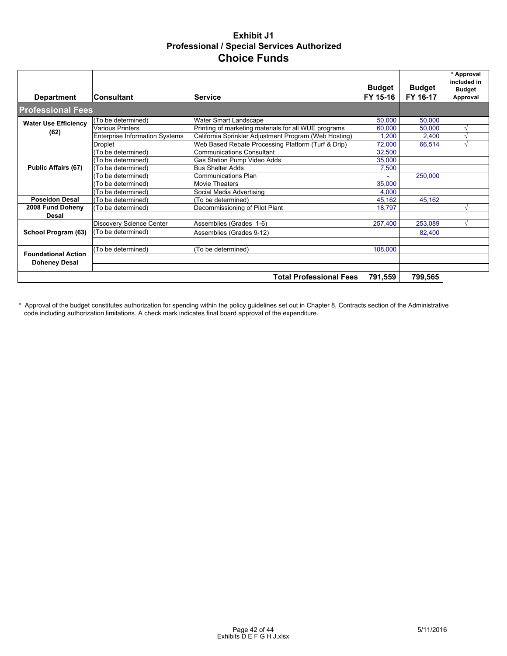## **Exhibit J1 Professional / Special Services Authorized Choice Funds**

| <b>Department</b>           | <b>Consultant</b>                     | <b>Service</b>                                        | <b>Budget</b><br>FY 15-16 | <b>Budget</b><br>FY 16-17 | * Approval<br>included in<br><b>Budget</b><br>Approval |
|-----------------------------|---------------------------------------|-------------------------------------------------------|---------------------------|---------------------------|--------------------------------------------------------|
| <b>Professional Fees</b>    |                                       |                                                       |                           |                           |                                                        |
| <b>Water Use Efficiency</b> | (To be determined)                    | <b>Water Smart Landscape</b>                          | 50,000                    | 50,000                    |                                                        |
| (62)                        | Various Printers                      | Printing of marketing materials for all WUE programs  | 60,000                    | 50,000                    |                                                        |
|                             | <b>Enterprise Information Systems</b> | California Sprinkler Adjustment Program (Web Hosting) | 1.200                     | 2,400                     |                                                        |
|                             | <b>Droplet</b>                        | Web Based Rebate Processing Platform (Turf & Drip)    | 72,000                    | 66,514                    |                                                        |
|                             | (To be determined)                    | <b>Communications Consultant</b>                      | 32,500                    |                           |                                                        |
|                             | (To be determined)                    | Gas Station Pump Video Adds                           | 35,000                    |                           |                                                        |
| <b>Public Affairs (67)</b>  | (To be determined)                    | <b>Bus Shelter Adds</b>                               | 7,500                     |                           |                                                        |
|                             | (To be determined)                    | <b>Communications Plan</b>                            |                           | 250,000                   |                                                        |
|                             | (To be determined)                    | <b>Movie Theaters</b>                                 | 35,000                    |                           |                                                        |
|                             | (To be determined)                    | Social Media Advertising                              | 4,000                     |                           |                                                        |
| <b>Poseidon Desal</b>       | (To be determined)                    | (To be determined)                                    | 45,162                    | 45,162                    |                                                        |
| 2008 Fund Doheny            | (To be determined)                    | Decommissioning of Pilot Plant                        | 18,797                    |                           |                                                        |
| <b>Desal</b>                |                                       |                                                       |                           |                           |                                                        |
|                             | Discovery Science Center              | Assemblies (Grades 1-6)                               | 257,400                   | 253,089                   | $\sqrt{ }$                                             |
| School Program (63)         | (To be determined)                    | Assemblies (Grades 9-12)                              |                           | 82.400                    |                                                        |
|                             |                                       |                                                       |                           |                           |                                                        |
| <b>Foundational Action</b>  | (To be determined)                    | (To be determined)                                    | 108,000                   |                           |                                                        |
| <b>Doheney Desal</b>        |                                       |                                                       |                           |                           |                                                        |
|                             |                                       |                                                       |                           |                           |                                                        |
|                             |                                       | <b>Total Professional Fees</b>                        | 791,559                   | 799,565                   |                                                        |

\* Approval of the budget constitutes authorization for spending within the policy guidelines set out in Chapter 8, Contracts section of the Administrative code including authorization limitations. A check mark indicates final board approval of the expenditure.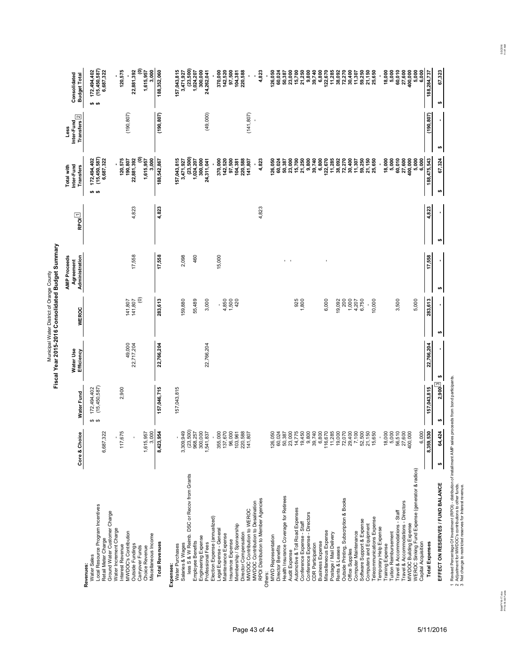|                                                                                                                                                                                                                                | Core & Choice                                                 | <b>Water Fund</b>                    | Water Use<br>Efficiency | <b>WEROC</b>                  | <b>AMP Proceeds</b><br>Administration<br>Agreement | $F_{\text{POL}}$ | Inter-Fund<br>Total with<br><b>Transfers</b>                               | Inter-Fund<br>Transfers <sup>2</sup><br>Less | Consolidated<br><b>Budget Total</b>                                         |
|--------------------------------------------------------------------------------------------------------------------------------------------------------------------------------------------------------------------------------|---------------------------------------------------------------|--------------------------------------|-------------------------|-------------------------------|----------------------------------------------------|------------------|----------------------------------------------------------------------------|----------------------------------------------|-----------------------------------------------------------------------------|
| Local Resource Program Incentives<br>Ground Water Customer Charge<br>Retail Meter Charge<br>Water Sales<br>Revenues:                                                                                                           | 6,687,322                                                     | 172,494,402<br>(15,450,587)<br>မာ မာ |                         |                               |                                                    |                  | (15,450,587)<br>172,494,402<br>6,687,322<br>$\n  an\n$                     |                                              | (15,450,587)<br>172,494,402<br>6,687,322<br>ക ക                             |
| Water Increment Charge<br>MWDOC's Contribution<br>Miscellaneous Income<br>Outside Fundings<br>Interest Revenue<br>Carryover Funds<br>Choice Revenue                                                                            | 3,000<br>117,675<br>1,615,957                                 | 2,900                                | 49,000<br>22,717,204    | $\odot$<br>141,807<br>141,807 | 17,558                                             | 4,823            | ε<br>120,575<br>190,807<br>22,881,392<br>3.000<br>1,615,957                | (190, 807)                                   | ε<br>120,575<br>3,000<br>22,881,392<br>1,615,957                            |
| <b>Total Revenues</b>                                                                                                                                                                                                          | 8,423,954                                                     | 157,046,715                          | 22,766,204              | 283,613                       | 17,558                                             | 4.823            | 188,542,867                                                                | (190, 807)                                   | 188,352,060                                                                 |
| less S & W Reimb. DSC or Recov from Grants<br>Engineering Expense<br><b>Employee Benefits</b><br>Professional Fees<br>Salaries & Wages<br>Water Purchases<br>Expenses:                                                         | 3,309,949<br>(23,500)<br>300,000<br>968,257<br>1,541,837      | 157,043,815                          | 22,766,204              | 3,000<br>55,489<br>159,880    | 2,098<br>460                                       |                  | (23,500)<br>157,043,815<br>300,000<br>1,024,207<br>3,471,927<br>24,311,041 | (49,000)                                     | (23, 500)<br>157,043,815<br>300,000<br>3,471,927<br>1,024,207<br>24,262,041 |
| MWDOC Contribution to Desalination<br>MWDOC Contribution to WEROC<br>Election Expense (annualized)<br>Membership / Sponsorship<br>Legal Expense - General<br>Director Compensation<br>Maintenance Expense<br>Insurance Expense | 355,000<br>103,961<br>220,588<br>141,807<br>137,670<br>96,000 |                                      |                         | 4,850<br>1,500<br>420         | 15,000                                             |                  | 370,000<br>142,520<br>97,500<br>104,381<br>220,588<br>141,807              | (141, 807)                                   | 370,000<br>142,520<br>97,500<br>104,381<br>220,588                          |
| RPOI Distribution to Member Agencies<br>Others:                                                                                                                                                                                |                                                               |                                      |                         |                               |                                                    | 4,823            | 4,823                                                                      |                                              | 4,823                                                                       |
| Health Insurance Coverage for Retirees<br><b>MWD Representation</b><br>Director Benefits                                                                                                                                       | 126,050<br>60,024<br>50,387                                   |                                      |                         |                               | $\mathbf{r} = \mathbf{r}$                          |                  | 126,050<br>60,024<br>50,387                                                |                                              | 126,050<br>60,024<br>50,387                                                 |
| Automotive & Toll Road Expenses<br>Conference Expense - Directors<br>Conference Expense - Staff<br><b>Business Expense</b><br><b>CDR Participation</b><br>Audit Expense                                                        | 23,000<br>14,775<br>9,800<br>39,740<br>19,450<br>6,800        |                                      |                         | 925<br>1,800                  |                                                    |                  | 15,700<br>21,250<br>9,800<br>39,740<br>23,000                              |                                              | 23,000<br>15,700<br>21,250<br>9,800<br>39,740<br>6,800                      |
| Miscellaneous Expense<br>Postage / Mail Delivery                                                                                                                                                                               | 116,670<br>11,285                                             |                                      |                         | 6,000                         |                                                    |                  | 6,800<br>122,670                                                           |                                              | $\begin{array}{c} 122,670 \\ 11,285 \\ 38,092 \end{array}$                  |
| Outside Printing, Subscription & Books<br>Rents & Leases<br>Office Supplies                                                                                                                                                    | 19,000<br>72,070                                              |                                      |                         | 1,000<br>19,092<br>200        |                                                    |                  | 11,285<br>38,092<br>72,270                                                 |                                              | 72,270<br>30,400                                                            |
| Software Support & Expense<br>Computer Maintenance                                                                                                                                                                             | 29,400<br>7,100<br>52,500                                     |                                      |                         | 6,750<br>4,207                |                                                    |                  | 30,400<br>11,307<br>59,250                                                 |                                              | 11,307<br>59,250                                                            |
| Telecommunications Expense<br>Computers and Equipment                                                                                                                                                                          | 21,150<br>15,650                                              |                                      |                         | 10,000                        |                                                    |                  | 21,150<br>25,650                                                           |                                              | 21,150<br>25,650                                                            |
| Travel & Accommodations - Directors<br>Travel & Accommodations - Staff<br>Temporary Help Expense<br><b>Tuition Reimbursement</b><br>Training Expense                                                                           | 18,000<br>5,000<br>56,510<br>27,600<br>ï                      |                                      |                         | 3,500                         |                                                    |                  | 18,000<br>5,000<br>60,010<br>27,600<br>ï                                   |                                              | 5,000<br>18,000<br>60,010<br>27,600                                         |
| WEROC Sinking Fund Expense (generator & radios)<br>MWDOC Building Expense<br>Capital Acquisition                                                                                                                               | 400,000<br>6,000                                              |                                      |                         | 5,000                         |                                                    |                  | 5,000<br>6,000<br>100,000                                                  |                                              | 400,000<br>5,000<br>6,000                                                   |
| <b>Total Expenses</b>                                                                                                                                                                                                          | 8,359,530                                                     | 157,043,815                          | 22,766,204              | 283,613                       | 17,558                                             | 4,823            | 188,475,543                                                                | (190, 807)                                   | 188,284,737                                                                 |
| EFFECT ON RESERVES / FUND BALANCE                                                                                                                                                                                              | 64,424<br>₩                                                   | 2,900 <sup>[3]</sup><br>₩            | ₩                       | H                             | H                                                  | ₩                | 67,324<br>₩                                                                | ↮                                            | 67,323<br>₩                                                                 |

BdatFY16-17.xlsx FY15-16 All Funds

BdatFY16-17:xlsx<br>FY15-16 All Funds

5/3/2016 11:47 AM